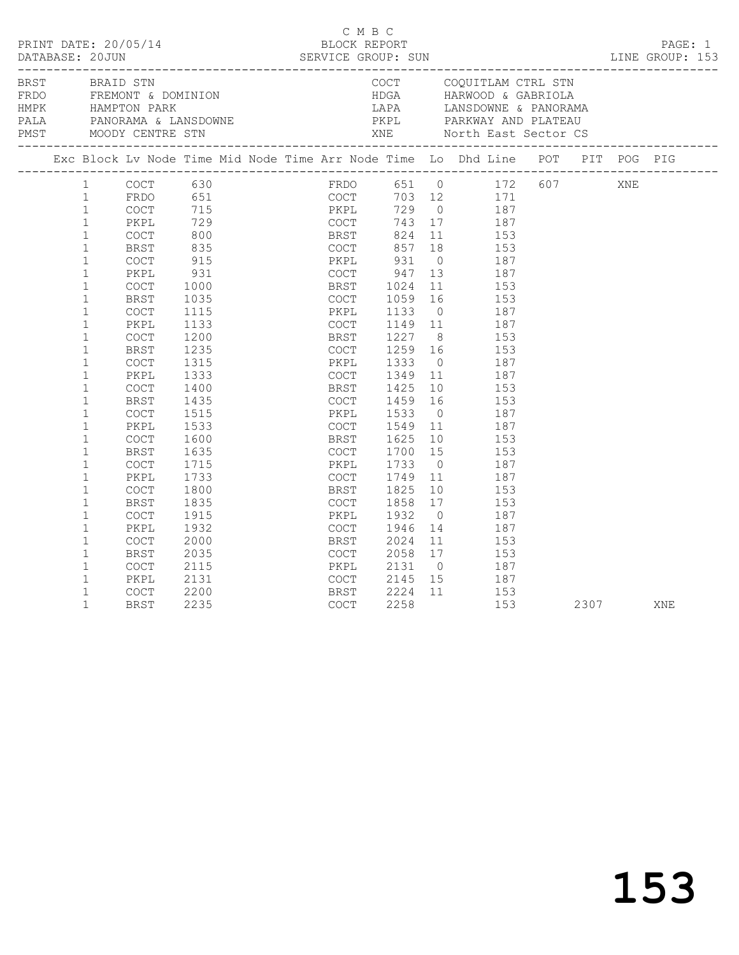|                |                                                                                                                                                                                                                                                                                                                                                              |                                                                                                                                                                                                                                                                                                                                                                                |                                                                                                                                                                            |                  |                                                                                                                                                      | C M B C                                          |                                                                                                      |                                                                 |                                                    |                                                                                                                                                                                                                                                                                                                                                                                                                                                                                                                                                         |      |     | PRINT DATE: 20/05/14<br>BLOCK REPORT<br>DATABASE: 20JUN SERVICE GROUP: SUN LINE GROUP: 153 |
|----------------|--------------------------------------------------------------------------------------------------------------------------------------------------------------------------------------------------------------------------------------------------------------------------------------------------------------------------------------------------------------|--------------------------------------------------------------------------------------------------------------------------------------------------------------------------------------------------------------------------------------------------------------------------------------------------------------------------------------------------------------------------------|----------------------------------------------------------------------------------------------------------------------------------------------------------------------------|------------------|------------------------------------------------------------------------------------------------------------------------------------------------------|--------------------------------------------------|------------------------------------------------------------------------------------------------------|-----------------------------------------------------------------|----------------------------------------------------|---------------------------------------------------------------------------------------------------------------------------------------------------------------------------------------------------------------------------------------------------------------------------------------------------------------------------------------------------------------------------------------------------------------------------------------------------------------------------------------------------------------------------------------------------------|------|-----|--------------------------------------------------------------------------------------------|
| BRST BRAID STN |                                                                                                                                                                                                                                                                                                                                                              |                                                                                                                                                                                                                                                                                                                                                                                |                                                                                                                                                                            |                  |                                                                                                                                                      |                                                  |                                                                                                      |                                                                 |                                                    | COCT COQUITLAM CTRL STN                                                                                                                                                                                                                                                                                                                                                                                                                                                                                                                                 |      |     |                                                                                            |
|                |                                                                                                                                                                                                                                                                                                                                                              |                                                                                                                                                                                                                                                                                                                                                                                |                                                                                                                                                                            |                  |                                                                                                                                                      |                                                  |                                                                                                      |                                                                 |                                                    |                                                                                                                                                                                                                                                                                                                                                                                                                                                                                                                                                         |      |     | Exc Block Lv Node Time Mid Node Time Arr Node Time Lo Dhd Line POT PIT POG PIG             |
|                | 1<br>$\mathbf{1}$<br>$\mathbf{1}$<br>$\mathbf{1}$<br>$\mathbf{1}$<br>$\mathbf{1}$<br>$\mathbf{1}$<br>$\mathbf{1}$<br>1<br>$\mathbf{1}$<br>$\mathbf{1}$<br>$\mathbf 1$<br>$\mathbf 1$<br>$\mathbf{1}$<br>$\mathbf{1}$<br>1<br>1<br>$\mathbf{1}$<br>$\mathbf{1}$<br>$\mathbf 1$<br>$\mathbf{1}$<br>$\mathbf{1}$<br>$\mathbf{1}$<br>1<br>1<br>1<br>$\mathbf{1}$ | <b>COCT</b><br>PKPL<br><b>COCT</b><br>BRST<br>$\mathtt{C}\mathtt{O}\mathtt{C}\mathtt{T}$<br>PKPL<br>$\mathtt{C}\mathtt{O}\mathtt{C}\mathtt{T}$<br>BRST<br>COCT<br>PKPL<br>$\mathtt{C}\mathtt{O}\mathtt{C}\mathtt{T}$<br>BRST<br><b>COCT</b><br>PKPL<br><b>COCT</b><br>BRST<br><b>COCT</b><br>PKPL<br>$\mathtt{C}\mathtt{O}\mathtt{C}\mathtt{T}$<br>BRST<br><b>COCT</b><br>PKPL | 915<br>931<br>1000<br>1035<br>1115<br>1133<br>1200<br>1235<br>1315<br>1333<br>1400<br>1435<br>1515<br>1533<br>1600<br>1635<br>1715<br>1733<br>1800<br>1835<br>1915<br>1932 | <b>BRST</b> 1024 | COCT<br>PKPL<br>COCT<br>BRST<br>COCT<br>PKPL<br>COCT<br>BRST<br>COCT<br>PKPL<br>COCT<br>BRST<br>COCT<br>PKPL<br>COCT<br>BRST<br>COCT<br>PKPL<br>COCT | 1133<br>1259<br>$1333$<br>$1349$<br>1533<br>1932 | 1059<br>1149<br>1227<br>1425<br>1459<br>1549<br>1625<br>1700<br>1733<br>1749<br>1825<br>1858<br>1946 | 15<br>$\overline{0}$<br>10 <sup>1</sup><br>17<br>$\overline{0}$ | $\overline{0}$<br>16<br>8 <sup>8</sup><br>16<br>10 | COCT 630<br>FRDO 651 FRDO 651 0 172 607<br>FRDO 651 COCT 703 12 171<br>COCT 715 PKPL 729 0 187<br>PKPL 729 COCT 743 17 187<br>COCT 800 BRST 824 11 153<br>BRST 835 COCT 857 18 153<br>COCT 915<br>187<br>$\begin{array}{ccc} 0 & 10 \\ 13 & 187 \end{array}$<br>11 153<br>153<br>16 153<br>0 187<br>11 187<br>153<br>16 153<br>$\begin{array}{ccc} 0 & \hspace{1.5cm} & 187 \\ 11 & \hspace{1.5cm} & 187 \end{array}$<br>10 153<br>153<br>$\overline{0}$<br>187<br>11 187<br>153<br>153<br>187<br>$\overline{11}$<br>187<br>153<br>153<br>187<br>14 187 |      | XNE |                                                                                            |
|                | $\mathbf 1$<br>$\mathbf 1$<br>1<br>$\mathbf{1}$<br>$\mathbf{1}$<br>$\mathbf{1}$                                                                                                                                                                                                                                                                              | <b>COCT</b><br>BRST<br>COCT<br>PKPL<br><b>COCT</b><br>BRST                                                                                                                                                                                                                                                                                                                     | 2000<br>2035<br>2115<br>2131<br>2200<br>2235                                                                                                                               | COCT             | BRST<br>PKPL<br>COCT<br>BRST<br><b>COCT</b>                                                                                                          | 2058                                             | 2024<br>2224<br>2258                                                                                 | 17                                                              | 11                                                 | 153<br>153<br>2131 0 187<br>2145 15 187<br>11 153<br>153                                                                                                                                                                                                                                                                                                                                                                                                                                                                                                | 2307 |     | XNE                                                                                        |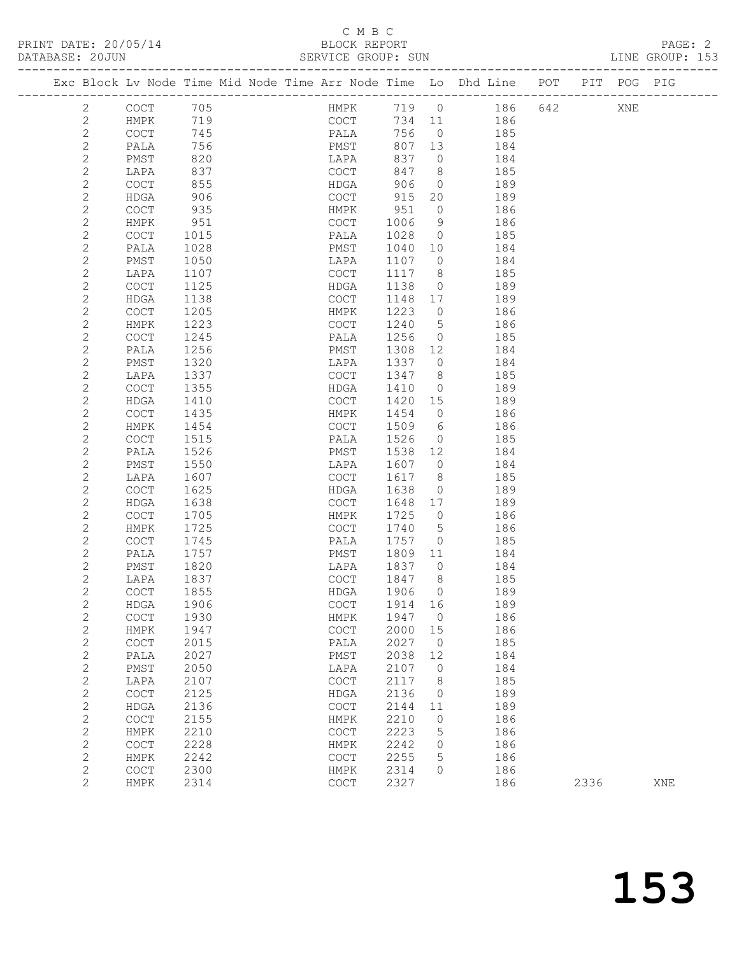# C M B C<br>BLOCK REPORT

| DATABASE: 20JUN |                |                                            |      |  | SERVICE GROUP: SUN                         |        |                 |                                                                    |     |             | LINE GROUP: 153 |  |
|-----------------|----------------|--------------------------------------------|------|--|--------------------------------------------|--------|-----------------|--------------------------------------------------------------------|-----|-------------|-----------------|--|
|                 |                |                                            |      |  |                                            |        |                 | Exc Block Lv Node Time Mid Node Time Arr Node Time Lo Dhd Line POT |     | PIT POG PIG |                 |  |
|                 | $\mathbf{2}$   | COCT                                       | 705  |  | <b>HMPK</b>                                | 719 0  |                 | 186                                                                | 642 | XNE         |                 |  |
|                 | $\mathbf{2}$   | HMPK                                       | 719  |  | COCT                                       | 734 11 |                 | 186                                                                |     |             |                 |  |
|                 | $\mathbf{2}$   | COCT                                       | 745  |  | PALA                                       | 756    | $\overline{0}$  | 185                                                                |     |             |                 |  |
|                 | $\mathbf{2}$   | PALA                                       | 756  |  | PMST                                       | 807    | 13              | 184                                                                |     |             |                 |  |
|                 | $\mathbf{2}$   | PMST                                       | 820  |  | LAPA                                       | 837    | $\overline{0}$  | 184                                                                |     |             |                 |  |
|                 | $\mathbf{2}$   | LAPA                                       | 837  |  | COCT                                       | 847    | 8 <sup>8</sup>  | 185                                                                |     |             |                 |  |
|                 | $\sqrt{2}$     | COCT                                       | 855  |  | HDGA                                       | 906    | $\overline{0}$  | 189                                                                |     |             |                 |  |
|                 | $\mathbf{2}$   | HDGA                                       | 906  |  | COCT                                       | 915    | 20              | 189                                                                |     |             |                 |  |
|                 | $\mathbf{2}$   | COCT                                       | 935  |  | HMPK                                       | 951    | $\circ$         | 186                                                                |     |             |                 |  |
|                 | $\mathbf{2}$   | HMPK                                       | 951  |  | COCT                                       | 1006   | 9               | 186                                                                |     |             |                 |  |
|                 | $\sqrt{2}$     | COCT                                       | 1015 |  | PALA                                       | 1028   | $\overline{0}$  | 185                                                                |     |             |                 |  |
|                 | $\mathbf{2}$   | PALA                                       | 1028 |  | PMST                                       | 1040   | 10              | 184                                                                |     |             |                 |  |
|                 | $\mathbf{2}$   | PMST                                       | 1050 |  | LAPA                                       | 1107   | $\overline{0}$  | 184                                                                |     |             |                 |  |
|                 | $\mathbf{2}$   | LAPA                                       | 1107 |  | COCT                                       | 1117   | 8 <sup>8</sup>  | 185                                                                |     |             |                 |  |
|                 | $\sqrt{2}$     | COCT                                       | 1125 |  | HDGA                                       | 1138   | $\overline{0}$  | 189                                                                |     |             |                 |  |
|                 | $\sqrt{2}$     | HDGA                                       | 1138 |  | COCT                                       | 1148   | 17              | 189                                                                |     |             |                 |  |
|                 | $\mathbf{2}$   | COCT                                       | 1205 |  | HMPK                                       | 1223   | $\overline{0}$  | 186                                                                |     |             |                 |  |
|                 | $\mathbf{2}$   | HMPK                                       | 1223 |  | COCT                                       | 1240   | $5\overline{)}$ | 186                                                                |     |             |                 |  |
|                 | $\sqrt{2}$     | COCT                                       | 1245 |  | PALA                                       | 1256   | $\overline{0}$  | 185                                                                |     |             |                 |  |
|                 | $\sqrt{2}$     | PALA                                       | 1256 |  | PMST                                       | 1308   | 12              | 184                                                                |     |             |                 |  |
|                 | $\overline{c}$ | PMST                                       | 1320 |  | LAPA                                       | 1337   | $\overline{0}$  | 184                                                                |     |             |                 |  |
|                 | $\mathbf{2}$   | LAPA                                       | 1337 |  | COCT                                       | 1347   | 8 <sup>8</sup>  | 185                                                                |     |             |                 |  |
|                 | $\overline{c}$ | COCT                                       | 1355 |  | HDGA                                       | 1410   | $\overline{0}$  | 189                                                                |     |             |                 |  |
|                 | $\sqrt{2}$     | HDGA                                       | 1410 |  | COCT                                       | 1420   | 15              | 189                                                                |     |             |                 |  |
|                 | $\overline{c}$ | COCT                                       | 1435 |  | HMPK                                       | 1454   | $\overline{0}$  | 186                                                                |     |             |                 |  |
|                 | $\mathbf{2}$   | HMPK                                       | 1454 |  | COCT                                       | 1509   | 6               | 186                                                                |     |             |                 |  |
|                 | $\sqrt{2}$     | COCT                                       | 1515 |  | PALA                                       | 1526   | $\overline{0}$  | 185                                                                |     |             |                 |  |
|                 | $\sqrt{2}$     | PALA                                       | 1526 |  | PMST                                       | 1538   | 12              | 184                                                                |     |             |                 |  |
|                 | $\mathbf{2}$   | PMST                                       | 1550 |  | LAPA                                       | 1607   | $\overline{0}$  | 184                                                                |     |             |                 |  |
|                 | $\sqrt{2}$     | LAPA                                       | 1607 |  | COCT                                       | 1617   | 8 <sup>8</sup>  | 185                                                                |     |             |                 |  |
|                 | $\mathbf{2}$   | COCT                                       | 1625 |  | HDGA                                       | 1638   | $\overline{0}$  | 189                                                                |     |             |                 |  |
|                 | $\sqrt{2}$     | HDGA                                       | 1638 |  | COCT                                       | 1648   | 17              | 189                                                                |     |             |                 |  |
|                 | $\sqrt{2}$     | COCT                                       | 1705 |  | HMPK                                       | 1725   | $\overline{0}$  | 186                                                                |     |             |                 |  |
|                 | $\mathbf{2}$   | HMPK                                       | 1725 |  | COCT                                       | 1740   | 5               | 186                                                                |     |             |                 |  |
|                 | $\mathbf{2}$   | COCT                                       | 1745 |  | PALA                                       | 1757   | $\overline{0}$  | 185                                                                |     |             |                 |  |
|                 | $\sqrt{2}$     | PALA                                       | 1757 |  | PMST                                       | 1809   | 11              | 184                                                                |     |             |                 |  |
|                 | $\mathbf{2}$   | PMST                                       | 1820 |  | LAPA                                       | 1837   | $\overline{0}$  | 184                                                                |     |             |                 |  |
|                 | $\overline{2}$ | LAPA                                       | 1837 |  | COCT                                       | 1847   | 8               | 185                                                                |     |             |                 |  |
|                 | $\mathbf{2}$   | COCT 1855                                  |      |  | HDGA 1906 0                                |        |                 | 189                                                                |     |             |                 |  |
|                 | $\mathbf 2$    | HDGA                                       | 1906 |  | $\mathtt{C}\mathtt{O}\mathtt{C}\mathtt{T}$ | 1914   | 16              | 189                                                                |     |             |                 |  |
|                 | $\overline{c}$ | $\mathtt{C}\mathtt{O}\mathtt{C}\mathtt{T}$ | 1930 |  | HMPK                                       | 1947   | $\mathbf{0}$    | 186                                                                |     |             |                 |  |
|                 | $\mathbf{2}$   | HMPK                                       | 1947 |  | COCT                                       | 2000   | 15              | 186                                                                |     |             |                 |  |
|                 | $\mathbf{2}$   | $\mathtt{C}\mathtt{O}\mathtt{C}\mathtt{T}$ | 2015 |  | PALA                                       | 2027   | $\circ$         | 185                                                                |     |             |                 |  |
|                 | $\sqrt{2}$     | PALA                                       | 2027 |  | PMST                                       | 2038   | 12              | 184                                                                |     |             |                 |  |
|                 | $\mathbf{2}$   | PMST                                       | 2050 |  | LAPA                                       | 2107   | 0               | 184                                                                |     |             |                 |  |
|                 | $\sqrt{2}$     | LAPA                                       | 2107 |  | $\mathtt{C}\mathtt{O}\mathtt{C}\mathtt{T}$ | 2117   | 8               | 185                                                                |     |             |                 |  |
|                 | $\mathbf{2}$   | $\mathtt{C}\mathtt{O}\mathtt{C}\mathtt{T}$ | 2125 |  | HDGA                                       | 2136   | $\circ$         | 189                                                                |     |             |                 |  |
|                 | $\overline{c}$ | HDGA                                       | 2136 |  | $\mathtt{C}\mathtt{O}\mathtt{C}\mathtt{T}$ | 2144   | 11              | 189                                                                |     |             |                 |  |
|                 | $\sqrt{2}$     | $\mathtt{C}\mathtt{O}\mathtt{C}\mathtt{T}$ | 2155 |  | HMPK                                       | 2210   | $\mathbb O$     | 186                                                                |     |             |                 |  |
|                 | $\mathbf{2}$   | HMPK                                       | 2210 |  | COCT                                       | 2223   | 5               | 186                                                                |     |             |                 |  |
|                 | $\sqrt{2}$     | COCT                                       | 2228 |  | HMPK                                       | 2242   | 0               | 186                                                                |     |             |                 |  |
|                 | $\mathbf{2}$   | HMPK                                       | 2242 |  | COCT                                       | 2255   | 5               | 186                                                                |     |             |                 |  |
|                 | $\overline{c}$ | COCT                                       | 2300 |  | ${\tt HMPK}$                               | 2314   | $\circ$         | 186                                                                |     |             |                 |  |

2 HMPK 2314 COCT 2327 186 2336 XNE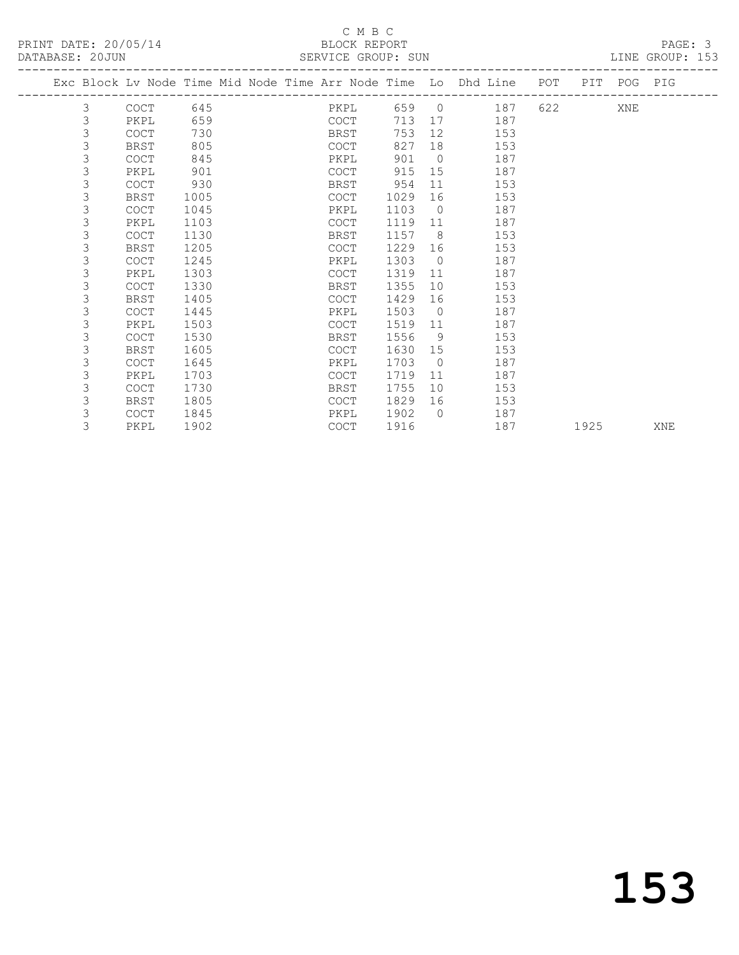|  |                |             |      |  |             |       |                | Exc Block Lv Node Time Mid Node Time Arr Node Time Lo Dhd Line POT |      | PIT POG PIG |     |
|--|----------------|-------------|------|--|-------------|-------|----------------|--------------------------------------------------------------------|------|-------------|-----|
|  |                |             |      |  |             |       |                |                                                                    |      |             |     |
|  | 3              | <b>COCT</b> | 645  |  | PKPL        | 659 0 |                | 187                                                                |      | XNE         |     |
|  | 3              | PKPL        | 659  |  | COCT        | 713   | 17             | 187                                                                |      |             |     |
|  | 3              | <b>COCT</b> | 730  |  | BRST        | 753   | 12             | 153                                                                |      |             |     |
|  | 3              | <b>BRST</b> | 805  |  | COCT        | 827   | 18             | 153                                                                |      |             |     |
|  | 3              | <b>COCT</b> | 845  |  | PKPL        | 901   | $\bigcirc$     | 187                                                                |      |             |     |
|  | $\mathsf 3$    | PKPL        | 901  |  | <b>COCT</b> | 915   | 15             | 187                                                                |      |             |     |
|  | 3              | <b>COCT</b> | 930  |  | BRST        | 954   | 11             | 153                                                                |      |             |     |
|  | 3              | BRST        | 1005 |  | COCT        | 1029  | 16             | 153                                                                |      |             |     |
|  | 3              | <b>COCT</b> | 1045 |  | PKPL        | 1103  | $\overline{0}$ | 187                                                                |      |             |     |
|  | 3              | PKPL        | 1103 |  | <b>COCT</b> | 1119  | 11             | 187                                                                |      |             |     |
|  | 3              | <b>COCT</b> | 1130 |  | BRST        | 1157  | 8 <sup>8</sup> | 153                                                                |      |             |     |
|  | 3              | BRST        | 1205 |  | COCT        | 1229  | 16             | 153                                                                |      |             |     |
|  | $\mathfrak{Z}$ | <b>COCT</b> | 1245 |  | PKPL        | 1303  | $\overline{0}$ | 187                                                                |      |             |     |
|  | 3              | PKPL        | 1303 |  | <b>COCT</b> | 1319  | 11             | 187                                                                |      |             |     |
|  | $\mathsf 3$    | <b>COCT</b> | 1330 |  | BRST        | 1355  | 10             | 153                                                                |      |             |     |
|  | 3              | BRST        | 1405 |  | COCT        | 1429  | 16             | 153                                                                |      |             |     |
|  | 3              | <b>COCT</b> | 1445 |  | PKPL        | 1503  | $\Omega$       | 187                                                                |      |             |     |
|  | 3              | PKPL        | 1503 |  | COCT        | 1519  | 11             | 187                                                                |      |             |     |
|  | 3              | <b>COCT</b> | 1530 |  | BRST        | 1556  | - 9            | 153                                                                |      |             |     |
|  | $\mathsf 3$    | <b>BRST</b> | 1605 |  | <b>COCT</b> | 1630  | 15             | 153                                                                |      |             |     |
|  | 3              | <b>COCT</b> | 1645 |  | PKPL        | 1703  | $\overline{0}$ | 187                                                                |      |             |     |
|  | 3              | PKPL        | 1703 |  | <b>COCT</b> | 1719  | 11             | 187                                                                |      |             |     |
|  | 3              | <b>COCT</b> | 1730 |  | BRST        | 1755  | 10             | 153                                                                |      |             |     |
|  | 3              | <b>BRST</b> | 1805 |  | <b>COCT</b> | 1829  | 16             | 153                                                                |      |             |     |
|  | 3              | COCT        | 1845 |  | PKPL        | 1902  | $\bigcirc$     | 187                                                                |      |             |     |
|  | 3              | PKPL        | 1902 |  | <b>COCT</b> | 1916  |                | 187                                                                | 1925 |             | XNE |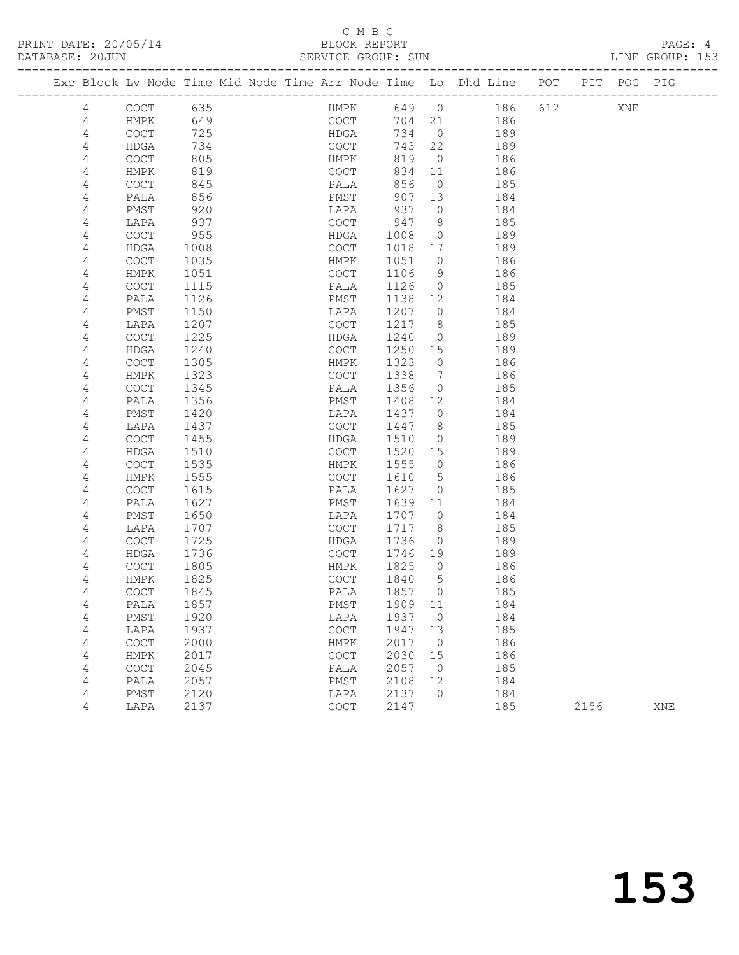|   |             |     | Exc Block Lv Node Time Mid Node Time Arr Node Time Lo Dhd Line |     |                  |     | POT | PIT | POG | PIG |
|---|-------------|-----|----------------------------------------------------------------|-----|------------------|-----|-----|-----|-----|-----|
| 4 | COCT        | 635 | HMPK                                                           | 649 | $\left( \right)$ | 186 | 612 |     | XNE |     |
| 4 | HMPK        | 649 | COCT                                                           | 704 | 21               | 186 |     |     |     |     |
| 4 | <b>COCT</b> | 725 | HDGA                                                           | 734 | $\Omega$         | 189 |     |     |     |     |
|   | HDGA        | 734 | COCT                                                           | 743 | 22               | 189 |     |     |     |     |
|   | <b>COCT</b> | 805 | HMPK                                                           | 819 | $\Omega$         | 186 |     |     |     |     |
| 4 | HMPK        | 819 | COCT                                                           | 834 | $-11$            | 186 |     |     |     |     |
| 4 | <b>COCT</b> | 845 | PALA                                                           | 856 | $\Omega$         | 185 |     |     |     |     |
| 4 | PALA        | 856 | PMST                                                           | 907 | - 13             | 184 |     |     |     |     |
|   | PMST        | 920 | LAPA                                                           | 937 | $\Omega$         | 184 |     |     |     |     |
|   | LAPA        | 937 | COCT                                                           | 947 | 8                | 185 |     |     |     |     |
|   |             |     |                                                                |     |                  |     |     |     |     |     |

| 4              | LULI                                       | 84J  | PALA                                       | 8 J O | U           | TQD |      |     |
|----------------|--------------------------------------------|------|--------------------------------------------|-------|-------------|-----|------|-----|
| 4              | PALA                                       | 856  | PMST                                       | 907   | 13          | 184 |      |     |
| 4              | PMST                                       | 920  | LAPA                                       | 937   | $\circ$     | 184 |      |     |
| 4              | LAPA                                       | 937  | COCT                                       | 947   | 8           | 185 |      |     |
| 4              | $\mathtt{C}\mathtt{O}\mathtt{C}\mathtt{T}$ | 955  | ${\tt HDGA}$                               | 1008  | $\circ$     | 189 |      |     |
| 4              | ${\tt HDGA}$                               | 1008 | $\mathtt{C}\mathtt{O}\mathtt{C}\mathtt{T}$ | 1018  | 17          | 189 |      |     |
| 4              | $\mathtt{C}\mathtt{O}\mathtt{C}\mathtt{T}$ | 1035 | HMPK                                       | 1051  | 0           | 186 |      |     |
| 4              | HMPK                                       | 1051 | COCT                                       | 1106  | 9           | 186 |      |     |
| $\overline{4}$ | $\mathtt{C}\mathtt{O}\mathtt{C}\mathtt{T}$ | 1115 | PALA                                       | 1126  | $\circ$     | 185 |      |     |
| 4              | PALA                                       | 1126 | PMST                                       | 1138  | 12          | 184 |      |     |
| 4              | ${\tt PMST}$                               | 1150 | LAPA                                       | 1207  | 0           | 184 |      |     |
| 4              | LAPA                                       | 1207 | COCT                                       | 1217  | 8           | 185 |      |     |
| 4              | COCT                                       | 1225 | HDGA                                       | 1240  | $\circ$     | 189 |      |     |
| 4              | <b>HDGA</b>                                | 1240 | $\mathtt{C}\mathtt{O}\mathtt{C}\mathtt{T}$ | 1250  | 15          | 189 |      |     |
| 4              | COCT                                       | 1305 | HMPK                                       | 1323  | $\circ$     | 186 |      |     |
| 4              | HMPK                                       | 1323 | COCT                                       | 1338  | 7           | 186 |      |     |
| 4              | $\mathtt{C}\mathtt{O}\mathtt{C}\mathtt{T}$ | 1345 | PALA                                       | 1356  | $\circ$     | 185 |      |     |
| 4              | PALA                                       | 1356 | PMST                                       | 1408  | 12          | 184 |      |     |
| 4              | PMST                                       | 1420 | LAPA                                       | 1437  | 0           | 184 |      |     |
| 4              | LAPA                                       | 1437 | $\mathtt{C}\mathtt{O}\mathtt{C}\mathtt{T}$ | 1447  | 8           | 185 |      |     |
| 4              | $\mathtt{C}\mathtt{O}\mathtt{C}\mathtt{T}$ | 1455 | HDGA                                       | 1510  | $\mathbb O$ | 189 |      |     |
| 4              | <b>HDGA</b>                                | 1510 | COCT                                       | 1520  | 15          | 189 |      |     |
| 4              | COCT                                       | 1535 | <b>HMPK</b>                                | 1555  | $\circ$     | 186 |      |     |
| 4              | HMPK                                       | 1555 | COCT                                       | 1610  | 5           | 186 |      |     |
| 4              | COCT                                       | 1615 | PALA                                       | 1627  | $\mathbf 0$ | 185 |      |     |
| 4              | PALA                                       | 1627 | PMST                                       | 1639  | 11          | 184 |      |     |
| 4              | PMST                                       | 1650 | LAPA                                       | 1707  | 0           | 184 |      |     |
| 4              | LAPA                                       | 1707 | $\mathtt{C}\mathtt{O}\mathtt{C}\mathtt{T}$ | 1717  | 8           | 185 |      |     |
| 4              | COCT                                       | 1725 | HDGA                                       | 1736  | 0           | 189 |      |     |
| $\overline{4}$ | <b>HDGA</b>                                | 1736 | COCT                                       | 1746  | 19          | 189 |      |     |
| $\overline{4}$ | $\mathtt{C}\mathtt{O}\mathtt{C}\mathtt{T}$ | 1805 | HMPK                                       | 1825  | 0           | 186 |      |     |
| $\sqrt{4}$     | HMPK                                       | 1825 | COCT                                       | 1840  | 5           | 186 |      |     |
| 4              | <b>COCT</b>                                | 1845 | PALA                                       | 1857  | 0           | 185 |      |     |
| 4              | PALA                                       | 1857 | PMST                                       | 1909  | 11          | 184 |      |     |
| 4              | PMST                                       | 1920 | LAPA                                       | 1937  | $\circ$     | 184 |      |     |
| 4              | LAPA                                       | 1937 | COCT                                       | 1947  | 13          | 185 |      |     |
| 4              | $\mathtt{C}\mathtt{O}\mathtt{C}\mathtt{T}$ | 2000 | HMPK                                       | 2017  | 0           | 186 |      |     |
| 4              | HMPK                                       | 2017 | COCT                                       | 2030  | 15          | 186 |      |     |
| 4              | $\mathtt{C}\mathtt{O}\mathtt{C}\mathtt{T}$ | 2045 | PALA                                       | 2057  | $\circ$     | 185 |      |     |
| 4              | PALA                                       | 2057 | PMST                                       | 2108  | 12          | 184 |      |     |
| 4              | PMST                                       | 2120 | LAPA                                       | 2137  | $\circ$     | 184 |      |     |
| 4              | LAPA                                       | 2137 | COCT                                       | 2147  |             | 185 | 2156 | XNE |
|                |                                            |      |                                            |       |             |     |      |     |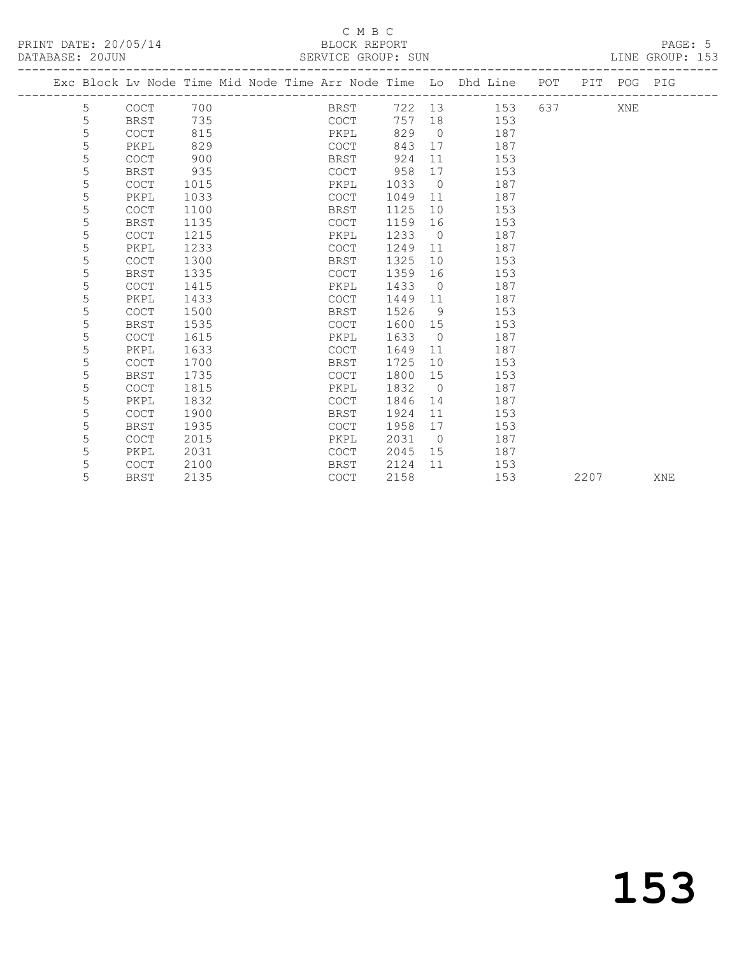|   |             | Exc Block Lv Node Time Mid Node Time Arr Node Time Lo Dhd Line |             |      |                |               | POT |      | PIT POG PIG |     |
|---|-------------|----------------------------------------------------------------|-------------|------|----------------|---------------|-----|------|-------------|-----|
| 5 | <b>COCT</b> | 700                                                            | BRST        |      |                | 722 13<br>153 | 637 |      | XNE         |     |
| 5 | <b>BRST</b> | 735                                                            | COCT        | 757  | 18             | 153           |     |      |             |     |
| 5 | COCT        | 815                                                            | PKPL        | 829  | $\bigcirc$     | 187           |     |      |             |     |
| 5 | PKPL        | 829                                                            | COCT        | 843  | 17             | 187           |     |      |             |     |
| 5 | <b>COCT</b> | 900                                                            | <b>BRST</b> | 924  | 11             | 153           |     |      |             |     |
| 5 | <b>BRST</b> | 935                                                            | <b>COCT</b> | 958  | 17             | 153           |     |      |             |     |
| 5 | <b>COCT</b> | 1015                                                           | PKPL        | 1033 | $\overline{0}$ | 187           |     |      |             |     |
| 5 | PKPL        | 1033                                                           | COCT        | 1049 | 11             | 187           |     |      |             |     |
| 5 | <b>COCT</b> | 1100                                                           | <b>BRST</b> | 1125 | 10             | 153           |     |      |             |     |
| 5 | <b>BRST</b> | 1135                                                           | <b>COCT</b> | 1159 | 16             | 153           |     |      |             |     |
| 5 | <b>COCT</b> | 1215                                                           | PKPL        | 1233 | $\bigcirc$     | 187           |     |      |             |     |
| 5 | PKPL        | 1233                                                           | COCT        | 1249 | 11             | 187           |     |      |             |     |
| 5 | COCT        | 1300                                                           | <b>BRST</b> | 1325 | 10             | 153           |     |      |             |     |
| 5 | <b>BRST</b> | 1335                                                           | COCT        | 1359 | 16             | 153           |     |      |             |     |
| 5 | <b>COCT</b> | 1415                                                           | PKPL        | 1433 | $\overline{0}$ | 187           |     |      |             |     |
| 5 | PKPL        | 1433                                                           | <b>COCT</b> | 1449 | 11             | 187           |     |      |             |     |
| 5 | <b>COCT</b> | 1500                                                           | BRST        | 1526 | 9              | 153           |     |      |             |     |
| 5 | BRST        | 1535                                                           | <b>COCT</b> | 1600 | 15             | 153           |     |      |             |     |
| 5 | <b>COCT</b> | 1615                                                           | PKPL        | 1633 | $\overline{0}$ | 187           |     |      |             |     |
| 5 | PKPL        | 1633                                                           | COCT        | 1649 | 11             | 187           |     |      |             |     |
| 5 | <b>COCT</b> | 1700                                                           | <b>BRST</b> | 1725 | 10             | 153           |     |      |             |     |
| 5 | <b>BRST</b> | 1735                                                           | COCT        | 1800 | 15             | 153           |     |      |             |     |
| 5 | <b>COCT</b> | 1815                                                           | PKPL        | 1832 | $\overline{0}$ | 187           |     |      |             |     |
| 5 | PKPL        | 1832                                                           | COCT        | 1846 | 14             | 187           |     |      |             |     |
| 5 | <b>COCT</b> | 1900                                                           | BRST        | 1924 | 11             | 153           |     |      |             |     |
| 5 | <b>BRST</b> | 1935                                                           | COCT        | 1958 | 17             | 153           |     |      |             |     |
| 5 | <b>COCT</b> | 2015                                                           | PKPL        | 2031 | $\overline{0}$ | 187           |     |      |             |     |
| 5 | PKPL        | 2031                                                           | COCT        | 2045 | 15             | 187           |     |      |             |     |
| 5 | <b>COCT</b> | 2100                                                           | <b>BRST</b> | 2124 | 11             | 153           |     |      |             |     |
| 5 | <b>BRST</b> | 2135                                                           | <b>COCT</b> | 2158 |                | 153           |     | 2207 |             | XNE |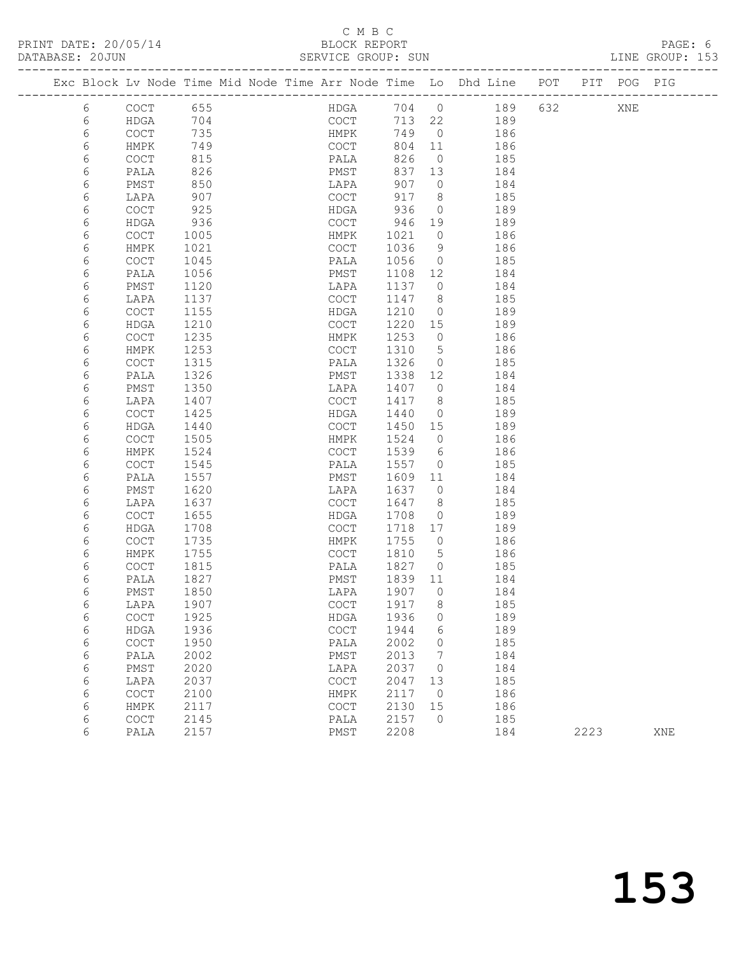| PRINT DATE: 20/05/14 |                                                                                | BLOCK REPORT       |  |     | PAGE: 6         |
|----------------------|--------------------------------------------------------------------------------|--------------------|--|-----|-----------------|
| DATABASE: 20JUN      |                                                                                | SERVICE GROUP: SUN |  |     | LINE GROUP: 153 |
|                      | Exc Block Ly Node Time Mid Node Time Arr Node Time Lo Dhd Line POT PIT POG PIG |                    |  |     |                 |
| COCT 655             |                                                                                | HDCA 704 0 189 632 |  | VNF |                 |

| 6 | COCT                                       | 655  | HDGA                                       | 704  | 0              | 189 | 632 | XNE  |     |
|---|--------------------------------------------|------|--------------------------------------------|------|----------------|-----|-----|------|-----|
| 6 | <b>HDGA</b>                                | 704  | COCT                                       | 713  | 22             | 189 |     |      |     |
| 6 | $\mathtt{C}\mathtt{O}\mathtt{C}\mathtt{T}$ | 735  | HMPK                                       | 749  | $\circ$        | 186 |     |      |     |
| 6 | HMPK                                       | 749  | $\mathtt{C}\mathtt{O}\mathtt{C}\mathtt{T}$ | 804  | 11             | 186 |     |      |     |
| 6 | COCT                                       | 815  | PALA                                       | 826  | $\circledcirc$ | 185 |     |      |     |
| 6 | PALA                                       | 826  | PMST                                       | 837  | 13             | 184 |     |      |     |
| 6 | PMST                                       | 850  | LAPA                                       | 907  | $\circ$        | 184 |     |      |     |
| 6 | LAPA                                       | 907  | COCT                                       | 917  | 8              | 185 |     |      |     |
| 6 | $\mathtt{C}\mathtt{O}\mathtt{C}\mathtt{T}$ | 925  | HDGA                                       | 936  | 0              | 189 |     |      |     |
| 6 | HDGA                                       | 936  | $\mathtt{C}\mathtt{O}\mathtt{C}\mathtt{T}$ | 946  | 19             | 189 |     |      |     |
| 6 | $\mathtt{C}\mathtt{O}\mathtt{C}\mathtt{T}$ | 1005 | HMPK                                       | 1021 | 0              | 186 |     |      |     |
| 6 | ${\tt HMPK}$                               | 1021 | $\mathtt{C}\mathtt{O}\mathtt{C}\mathtt{T}$ | 1036 | 9              | 186 |     |      |     |
| 6 | $\mathtt{C}\mathtt{O}\mathtt{C}\mathtt{T}$ | 1045 | PALA                                       | 1056 | 0              | 185 |     |      |     |
| 6 | PALA                                       | 1056 | ${\tt PMST}$                               | 1108 | 12             | 184 |     |      |     |
| 6 | PMST                                       | 1120 | LAPA                                       | 1137 | $\circ$        | 184 |     |      |     |
| 6 | LAPA                                       | 1137 | $\mathtt{C}\mathtt{O}\mathtt{C}\mathtt{T}$ | 1147 | 8              | 185 |     |      |     |
| 6 | $\mathtt{C}\mathtt{O}\mathtt{C}\mathtt{T}$ | 1155 | HDGA                                       | 1210 | 0              | 189 |     |      |     |
| 6 | HDGA                                       | 1210 | $\mathtt{C}\mathtt{O}\mathtt{C}\mathtt{T}$ | 1220 | 15             | 189 |     |      |     |
| 6 | $\mathtt{C}\mathtt{O}\mathtt{C}\mathtt{T}$ | 1235 | HMPK                                       | 1253 | 0              | 186 |     |      |     |
| 6 | HMPK                                       | 1253 | COCT                                       | 1310 | 5              | 186 |     |      |     |
| 6 | COCT                                       | 1315 | PALA                                       | 1326 | 0              | 185 |     |      |     |
| 6 | PALA                                       | 1326 | PMST                                       | 1338 | 12             | 184 |     |      |     |
| 6 | PMST                                       | 1350 | LAPA                                       | 1407 | $\circ$        | 184 |     |      |     |
| 6 | LAPA                                       | 1407 | COCT                                       | 1417 | 8              | 185 |     |      |     |
| 6 | $\operatorname{COT}$                       | 1425 | HDGA                                       | 1440 | 0              | 189 |     |      |     |
| 6 | HDGA                                       | 1440 | $\mathtt{C}\mathtt{O}\mathtt{C}\mathtt{T}$ | 1450 | 15             | 189 |     |      |     |
| 6 | $\operatorname{COT}$                       | 1505 | HMPK                                       | 1524 | $\circ$        | 186 |     |      |     |
| 6 | HMPK                                       | 1524 | COCT                                       | 1539 | 6              | 186 |     |      |     |
| 6 | $\mathtt{C}\mathtt{O}\mathtt{C}\mathtt{T}$ | 1545 | PALA                                       | 1557 | 0              | 185 |     |      |     |
| 6 | PALA                                       | 1557 | ${\tt PMST}$                               | 1609 | 11             | 184 |     |      |     |
| 6 | PMST                                       | 1620 | LAPA                                       | 1637 | 0              | 184 |     |      |     |
| 6 | LAPA                                       | 1637 | COCT                                       | 1647 | 8              | 185 |     |      |     |
| 6 | $\mathtt{C}\mathtt{O}\mathtt{C}\mathtt{T}$ | 1655 | HDGA                                       | 1708 | 0              | 189 |     |      |     |
| 6 | ${\tt HDGA}$                               | 1708 | $\mathtt{C}\mathtt{O}\mathtt{C}\mathtt{T}$ | 1718 | 17             | 189 |     |      |     |
| 6 | $\operatorname{COT}$                       | 1735 | ${\tt HMPK}$                               | 1755 | 0              | 186 |     |      |     |
| 6 | HMPK                                       | 1755 | $\mathtt{C}\mathtt{O}\mathtt{C}\mathtt{T}$ | 1810 | 5              | 186 |     |      |     |
| 6 | $\mathtt{C}\mathtt{O}\mathtt{C}\mathtt{T}$ | 1815 | PALA                                       | 1827 | 0              | 185 |     |      |     |
| 6 | PALA                                       | 1827 | PMST                                       | 1839 | 11             | 184 |     |      |     |
| 6 | PMST                                       | 1850 | LAPA                                       | 1907 | 0              | 184 |     |      |     |
| 6 | LAPA                                       | 1907 | $\mathtt{C}\mathtt{O}\mathtt{C}\mathtt{T}$ | 1917 | 8              | 185 |     |      |     |
| 6 | COCT                                       | 1925 | <b>HDGA</b>                                | 1936 | 0              | 189 |     |      |     |
| 6 | <b>HDGA</b>                                | 1936 | COCT                                       | 1944 | 6              | 189 |     |      |     |
| 6 | $\mathtt{C}\mathtt{O}\mathtt{C}\mathtt{T}$ | 1950 | PALA                                       | 2002 | 0              | 185 |     |      |     |
| 6 | PALA                                       | 2002 | PMST                                       | 2013 | 7              | 184 |     |      |     |
| 6 | PMST                                       | 2020 | LAPA                                       | 2037 | 0              | 184 |     |      |     |
| 6 | LAPA                                       | 2037 | COCT                                       | 2047 | 13             | 185 |     |      |     |
| 6 | COCT                                       | 2100 | HMPK                                       | 2117 | $\circ$        | 186 |     |      |     |
| 6 | HMPK                                       | 2117 | $_{\mathrm{COT}}$                          | 2130 | 15             | 186 |     |      |     |
| 6 | $\mathtt{C}\mathtt{O}\mathtt{C}\mathtt{T}$ | 2145 | PALA                                       | 2157 | $\circ$        | 185 |     |      |     |
| 6 | PALA                                       | 2157 | PMST                                       | 2208 |                | 184 |     | 2223 | XNE |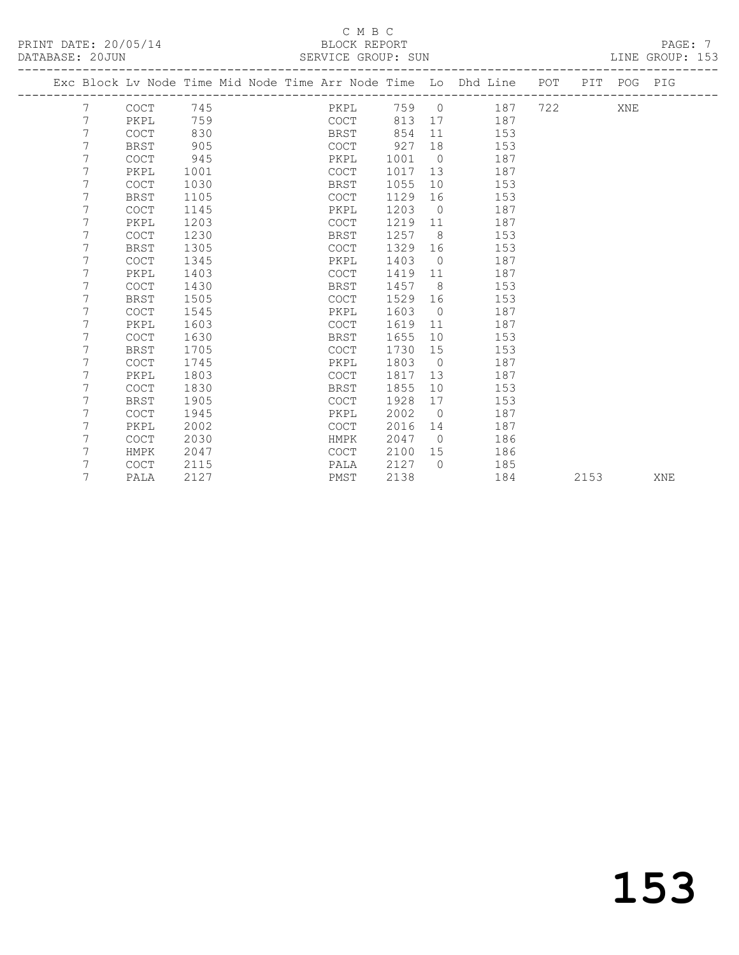PRINT DATE: 20/05/14 BLOCK REPORT<br>DATABASE: 20JUN BERVICE GROUP: SUN DATABASE: 20JUN PAGE: 7

### C M B C<br>BLOCK REPORT SERVICE GROUP: SUN

|   | Exc Block Lv Node Time Mid Node Time Arr Node Time Lo Dhd Line POT PIT POG PIG |      |  |             |      |      |                 |           |     |     |     |  |
|---|--------------------------------------------------------------------------------|------|--|-------------|------|------|-----------------|-----------|-----|-----|-----|--|
| 7 | COCT                                                                           | 745  |  |             | PKPL |      |                 | 759 0 187 |     | 722 | XNE |  |
| 7 | PKPL                                                                           | 759  |  | COCT        |      | 813  | 17              | 187       |     |     |     |  |
| 7 | <b>COCT</b>                                                                    | 830  |  | BRST        |      | 854  | 11              |           | 153 |     |     |  |
| 7 | <b>BRST</b>                                                                    | 905  |  | COCT        |      | 927  | 18              |           | 153 |     |     |  |
| 7 | <b>COCT</b>                                                                    | 945  |  | PKPL        |      | 1001 | $\bigcirc$      |           | 187 |     |     |  |
| 7 | PKPL                                                                           | 1001 |  | COCT        |      | 1017 | 13              |           | 187 |     |     |  |
| 7 | <b>COCT</b>                                                                    | 1030 |  | BRST        |      | 1055 | 10              |           | 153 |     |     |  |
| 7 | BRST                                                                           | 1105 |  | COCT        |      | 1129 | 16              |           | 153 |     |     |  |
| 7 | <b>COCT</b>                                                                    | 1145 |  | PKPL        |      | 1203 | $\overline{0}$  |           | 187 |     |     |  |
| 7 | PKPL                                                                           | 1203 |  | COCT        |      | 1219 | 11              |           | 187 |     |     |  |
| 7 | <b>COCT</b>                                                                    | 1230 |  | BRST        |      | 1257 | 8 <sup>8</sup>  |           | 153 |     |     |  |
| 7 | <b>BRST</b>                                                                    | 1305 |  | COCT        |      | 1329 | 16              |           | 153 |     |     |  |
| 7 | <b>COCT</b>                                                                    | 1345 |  | PKPL        |      | 1403 | $\bigcirc$      |           | 187 |     |     |  |
| 7 | PKPL                                                                           | 1403 |  | <b>COCT</b> |      | 1419 | 11              |           | 187 |     |     |  |
| 7 | <b>COCT</b>                                                                    | 1430 |  | <b>BRST</b> |      | 1457 | 8 <sup>8</sup>  |           | 153 |     |     |  |
|   | <b>BRST</b>                                                                    | 1505 |  | COCT        |      | 1529 | 16              |           | 153 |     |     |  |
| 7 | <b>COCT</b>                                                                    | 1545 |  | PKPL        |      | 1603 | $\overline{0}$  |           | 187 |     |     |  |
| 7 | PKPL                                                                           | 1603 |  | COCT        |      | 1619 | 11              |           | 187 |     |     |  |
| 7 | <b>COCT</b>                                                                    | 1630 |  | BRST        |      | 1655 | 10              |           | 153 |     |     |  |
| 7 | <b>BRST</b>                                                                    | 1705 |  | <b>COCT</b> |      | 1730 | 15              |           | 153 |     |     |  |
|   | <b>COCT</b>                                                                    | 1745 |  | PKPL        |      | 1803 | $\overline{0}$  |           | 187 |     |     |  |
| 7 | PKPL                                                                           | 1803 |  | <b>COCT</b> |      | 1817 | 13 <sup>°</sup> |           | 187 |     |     |  |
| 7 | <b>COCT</b>                                                                    | 1830 |  | BRST        |      | 1855 | 10              |           | 153 |     |     |  |
|   | BRST                                                                           | 1905 |  | <b>COCT</b> |      | 1928 | 17              |           | 153 |     |     |  |
|   | <b>COCT</b>                                                                    | 1945 |  | PKPL        |      | 2002 | $\overline{0}$  |           | 187 |     |     |  |
| 7 | PKPL                                                                           | 2002 |  | COCT        |      | 2016 | 14              |           | 187 |     |     |  |
|   | <b>COCT</b>                                                                    | 2030 |  | HMPK        |      | 2047 | $\overline{0}$  |           | 186 |     |     |  |
|   | HMPK                                                                           | 2047 |  | <b>COCT</b> |      | 2100 | 15              |           | 186 |     |     |  |
| 7 | <b>COCT</b>                                                                    | 2115 |  | PALA        |      | 2127 | $\Omega$        |           | 185 |     |     |  |

7 PALA 2127 PMST 2138 184 2153 XNE

153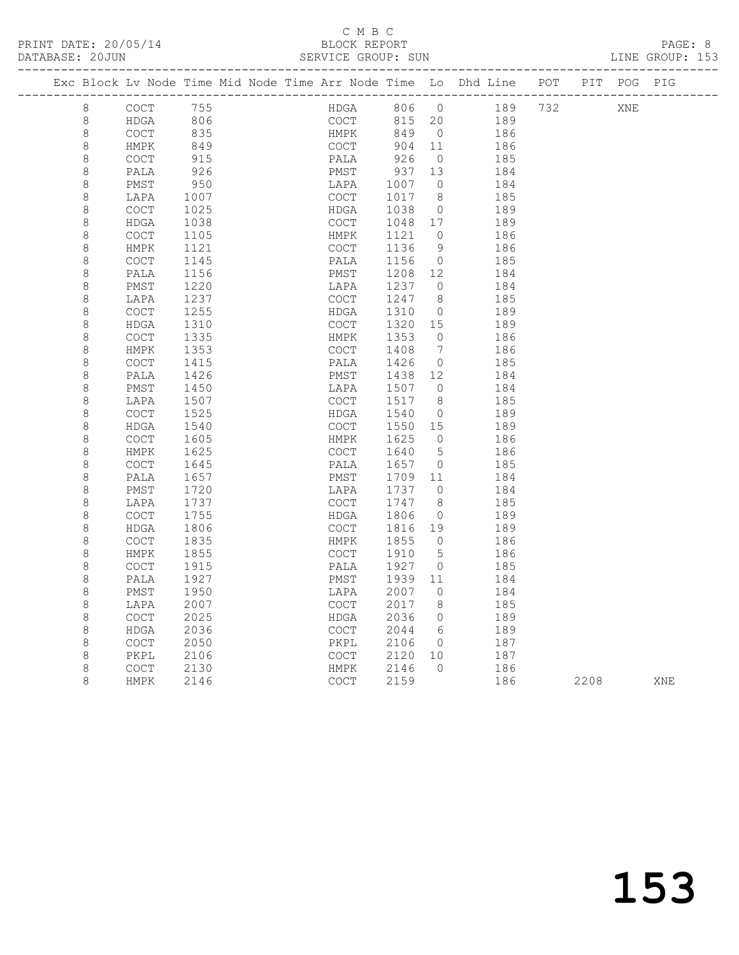| PRINT DATE: 20/05/14                                                                   |  | BLOCK REPORT       |  |  | PAGE: 8         |  |
|----------------------------------------------------------------------------------------|--|--------------------|--|--|-----------------|--|
| DATABASE: 20JUN                                                                        |  | SERVICE GROUP: SUN |  |  | LINE GROUP: 153 |  |
| Exc Block Ly Node Time Mid Node Time Arr Node Time Lo Dhd Line - POT - PIT - POG - PIG |  |                    |  |  |                 |  |

|                    |                                            |              |  |                                            |              |                | Exc Block Lv Node Time Mid Node Time Arr Node Time Lo Dhd Line | POT |      | PIT POG PIG |     |
|--------------------|--------------------------------------------|--------------|--|--------------------------------------------|--------------|----------------|----------------------------------------------------------------|-----|------|-------------|-----|
| 8                  | <b>COCT</b>                                | 755          |  | HDGA                                       | 806          | $\overline{0}$ | 189                                                            | 732 |      | XNE         |     |
| $\,8\,$            | HDGA                                       | 806          |  | COCT                                       | 815          | 20             | 189                                                            |     |      |             |     |
| $\,8\,$            | COCT                                       | 835          |  | HMPK                                       | 849          | $\overline{0}$ | 186                                                            |     |      |             |     |
| $\,8\,$            | HMPK                                       | 849          |  | COCT                                       | 904          | 11             | 186                                                            |     |      |             |     |
| $\,8\,$            | $\operatorname{COT}$                       | 915          |  | PALA                                       | 926          | $\overline{0}$ | 185                                                            |     |      |             |     |
| $\,8\,$            | PALA                                       | 926          |  | PMST                                       | 937          | 13             | 184                                                            |     |      |             |     |
| $\,8\,$            | PMST                                       | 950          |  | LAPA                                       | 1007         | $\overline{0}$ | 184                                                            |     |      |             |     |
| $\,8\,$            | LAPA                                       | 1007         |  | COCT                                       | 1017         | - 8            | 185                                                            |     |      |             |     |
| $\,8\,$            | COCT                                       | 1025         |  | HDGA                                       | 1038         | $\overline{0}$ | 189                                                            |     |      |             |     |
| $\,8\,$            | HDGA                                       | 1038         |  | $\mathtt{C}\mathtt{O}\mathtt{C}\mathtt{T}$ | 1048         | 17             | 189                                                            |     |      |             |     |
| $\,8\,$            | COCT                                       | 1105         |  | HMPK                                       | 1121         | $\overline{0}$ | 186                                                            |     |      |             |     |
| $\,8\,$<br>$\,8\,$ | HMPK                                       | 1121         |  | COCT                                       | 1136         | 9              | 186                                                            |     |      |             |     |
| $\,8\,$            | COCT<br>PALA                               | 1145<br>1156 |  | PALA<br>PMST                               | 1156<br>1208 | $\circ$<br>12  | 185<br>184                                                     |     |      |             |     |
| 8                  | PMST                                       | 1220         |  | LAPA                                       | 1237         | $\overline{0}$ | 184                                                            |     |      |             |     |
| $\,8\,$            | LAPA                                       | 1237         |  | <b>COCT</b>                                | 1247         | 8              | 185                                                            |     |      |             |     |
| $\,8\,$            | COCT                                       | 1255         |  | HDGA                                       | 1310         | $\circ$        | 189                                                            |     |      |             |     |
| $\,8\,$            | HDGA                                       | 1310         |  | COCT                                       | 1320         | 15             | 189                                                            |     |      |             |     |
| $\,8\,$            | COCT                                       | 1335         |  | HMPK                                       | 1353         | $\overline{0}$ | 186                                                            |     |      |             |     |
| $\,8\,$            | HMPK                                       | 1353         |  | <b>COCT</b>                                | 1408         | 7              | 186                                                            |     |      |             |     |
| $\,8\,$            | <b>COCT</b>                                | 1415         |  | PALA                                       | 1426         | $\overline{0}$ | 185                                                            |     |      |             |     |
| $\,8\,$            | PALA                                       | 1426         |  | PMST                                       | 1438         | 12             | 184                                                            |     |      |             |     |
| $\,8\,$            | PMST                                       | 1450         |  | LAPA                                       | 1507         | $\overline{0}$ | 184                                                            |     |      |             |     |
| 8                  | LAPA                                       | 1507         |  | <b>COCT</b>                                | 1517         | - 8            | 185                                                            |     |      |             |     |
| $\,8\,$            | <b>COCT</b>                                | 1525         |  | HDGA                                       | 1540         | $\circ$        | 189                                                            |     |      |             |     |
| $\,8\,$            | <b>HDGA</b>                                | 1540         |  | <b>COCT</b>                                | 1550         | 15             | 189                                                            |     |      |             |     |
| $\,8\,$            | COCT                                       | 1605         |  | HMPK                                       | 1625         | $\bigcirc$     | 186                                                            |     |      |             |     |
| 8                  | HMPK                                       | 1625         |  | COCT                                       | 1640         | 5              | 186                                                            |     |      |             |     |
| $\,8\,$            | COCT                                       | 1645         |  | PALA                                       | 1657         | $\overline{0}$ | 185                                                            |     |      |             |     |
| $\,8\,$            | PALA                                       | 1657         |  | PMST                                       | 1709         | 11             | 184                                                            |     |      |             |     |
| $\,8\,$            | PMST                                       | 1720         |  | LAPA                                       | 1737         | $\overline{0}$ | 184                                                            |     |      |             |     |
| $\,8\,$            | LAPA                                       | 1737         |  | COCT                                       | 1747         | 8              | 185                                                            |     |      |             |     |
| $\,8\,$            | COCT                                       | 1755         |  | HDGA                                       | 1806         | $\circ$        | 189                                                            |     |      |             |     |
| $\,8\,$            | <b>HDGA</b>                                | 1806         |  | $\mathtt{C}\mathtt{O}\mathtt{C}\mathtt{T}$ | 1816         | 19             | 189                                                            |     |      |             |     |
| $\,8\,$            | $\mathtt{C}\mathtt{O}\mathtt{C}\mathtt{T}$ | 1835         |  | HMPK                                       | 1855         | $\overline{0}$ | 186                                                            |     |      |             |     |
| $\,8\,$            | HMPK                                       | 1855         |  | <b>COCT</b>                                | 1910         | 5              | 186                                                            |     |      |             |     |
| $\,8\,$            | COCT                                       | 1915         |  | PALA                                       | 1927         | $\overline{0}$ | 185                                                            |     |      |             |     |
| $\,8\,$            | PALA                                       | 1927         |  | PMST                                       | 1939         | 11             | 184                                                            |     |      |             |     |
| $\,8\,$            | PMST                                       | 1950         |  | LAPA                                       | 2007         | $\circ$        | 184                                                            |     |      |             |     |
| $\,8\,$            | LAPA<br><b>COCT</b>                        | 2007<br>2025 |  | <b>COCT</b><br>HDGA                        | 2017<br>2036 | 8<br>$\circ$   | 185<br>189                                                     |     |      |             |     |
| $\,8\,$<br>$\,8\,$ | <b>HDGA</b>                                | 2036         |  | COCT                                       | 2044         | - 6            | 189                                                            |     |      |             |     |
| $\,8\,$            | COCT                                       | 2050         |  | PKPL                                       | 2106         | $\overline{0}$ | 187                                                            |     |      |             |     |
| $\,8\,$            | PKPL                                       | 2106         |  | COCT                                       | 2120         | 10             | 187                                                            |     |      |             |     |
| 8                  | COCT                                       | 2130         |  | HMPK                                       | 2146         | $\Omega$       | 186                                                            |     |      |             |     |
| 8                  | <b>HMPK</b>                                | 2146         |  | <b>COCT</b>                                | 2159         |                | 186                                                            |     | 2208 |             | XNE |
|                    |                                            |              |  |                                            |              |                |                                                                |     |      |             |     |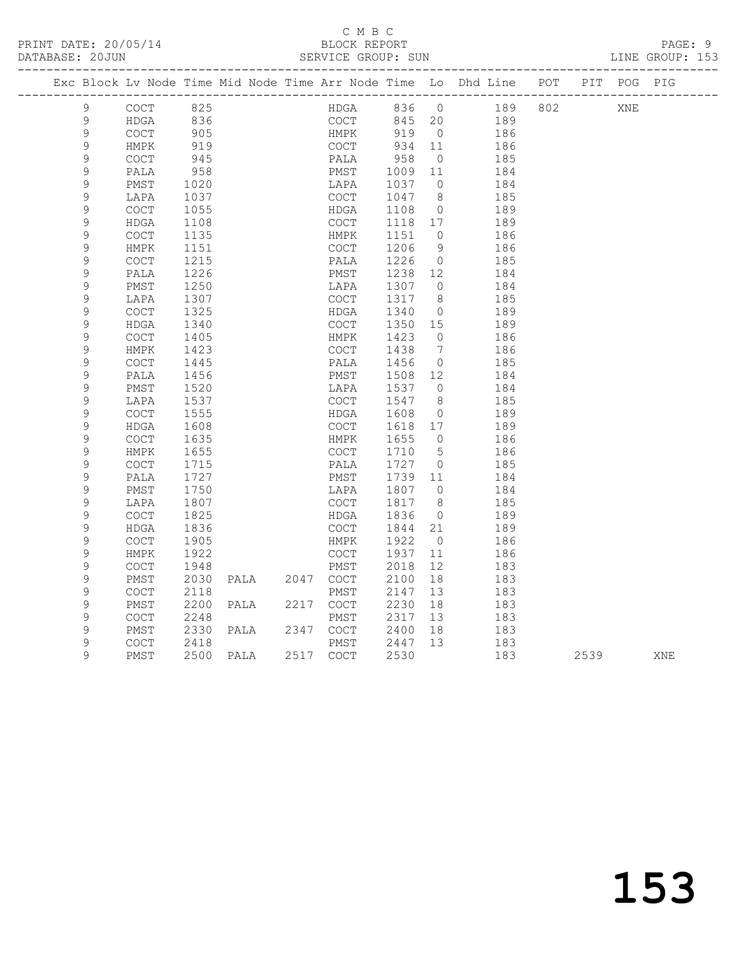|                  |                                            |              |                |              |                   |                | Exc Block Lv Node Time Mid Node Time Arr Node Time Lo Dhd Line POT PIT POG PIG |     |      |     |     |
|------------------|--------------------------------------------|--------------|----------------|--------------|-------------------|----------------|--------------------------------------------------------------------------------|-----|------|-----|-----|
| 9                | <b>COCT</b>                                | 825          |                | HDGA         | 836 0             |                | 189                                                                            | 802 |      | XNE |     |
| $\mathsf 9$      | HDGA                                       | 836          |                | COCT         | 845 20            |                | 189                                                                            |     |      |     |     |
| 9                | COCT                                       | 905          |                | HMPK         | 919 0             |                | 186                                                                            |     |      |     |     |
| $\mathsf 9$      | HMPK                                       | 919          |                | COCT         | 934 11            |                | 186                                                                            |     |      |     |     |
| 9                | COCT                                       | 945          |                | PALA         | 958               | $\overline{0}$ | 185                                                                            |     |      |     |     |
| 9                | PALA                                       | 958          |                | PMST         | 1009              | 11             | 184                                                                            |     |      |     |     |
| $\mathsf 9$      | PMST                                       | 1020         |                | LAPA         | 1037              | $\overline{0}$ | 184                                                                            |     |      |     |     |
| 9                | LAPA                                       | 1037         |                | COCT         | 1047              | 8              | 185                                                                            |     |      |     |     |
| 9                | <b>COCT</b>                                | 1055         |                | HDGA         | 1108              | $\overline{0}$ | 189                                                                            |     |      |     |     |
| 9                | HDGA                                       | 1108         |                | COCT         | 1118 17           |                | 189                                                                            |     |      |     |     |
| 9                | COCT                                       | 1135         |                | HMPK         | 1151              | $\overline{0}$ | 186                                                                            |     |      |     |     |
| $\mathsf 9$      | HMPK                                       | 1151         |                | COCT         | 1206              | - 9            | 186                                                                            |     |      |     |     |
| 9                | COCT                                       | 1215         |                | PALA         | 1226              | $\overline{0}$ | 185                                                                            |     |      |     |     |
| $\mathcal{G}$    | PALA                                       | 1226         |                | PMST         | 1238 12           |                | 184                                                                            |     |      |     |     |
| 9                | PMST                                       | 1250         |                | LAPA         | 1307 0            |                | 184                                                                            |     |      |     |     |
| 9                | LAPA                                       | 1307         |                | COCT         | 1317 8            |                | 185                                                                            |     |      |     |     |
| 9                | COCT                                       | 1325         |                | HDGA         | 1340              | $\overline{0}$ | 189                                                                            |     |      |     |     |
| 9                | HDGA                                       | 1340         |                | COCT         | 1350              | 15             | 189                                                                            |     |      |     |     |
| $\mathcal{G}$    | $\mathtt{C}\mathtt{O}\mathtt{C}\mathtt{T}$ | 1405         |                | HMPK         | 1423              | $\overline{0}$ | 186                                                                            |     |      |     |     |
| 9                | HMPK                                       | 1423         |                | COCT         | 1438              | $\overline{7}$ | 186                                                                            |     |      |     |     |
| 9                | <b>COCT</b>                                | 1445         |                | PALA         | 1456              | $\overline{0}$ | 185                                                                            |     |      |     |     |
| 9                | PALA                                       | 1456         |                | PMST         | 1508 12           |                | 184                                                                            |     |      |     |     |
| $\mathcal{G}$    | PMST                                       | 1520         |                | LAPA         | 1537 0            |                | 184                                                                            |     |      |     |     |
| 9                | LAPA                                       | 1537         |                | COCT         | 1547 8            |                | 185                                                                            |     |      |     |     |
| 9                | $\mathtt{C}\mathtt{O}\mathtt{C}\mathtt{T}$ | 1555         |                | HDGA         | 1608              | $\overline{0}$ | 189                                                                            |     |      |     |     |
| $\mathsf 9$      | HDGA                                       | 1608         |                | COCT         | 1618 17           |                | 189                                                                            |     |      |     |     |
| 9                | <b>COCT</b>                                | 1635         |                | HMPK         | 1655              | $\bigcirc$     | 186                                                                            |     |      |     |     |
| $\mathcal{G}$    | HMPK                                       | 1655         |                | COCT         | 1710              | $5^{\circ}$    | 186                                                                            |     |      |     |     |
| $\mathcal{G}$    | COCT                                       | 1715         |                | PALA         | 1727 0            |                | 185                                                                            |     |      |     |     |
| 9<br>$\mathsf 9$ | PALA                                       | 1727<br>1750 |                | PMST         | 1739 11<br>1807 0 |                | 184<br>184                                                                     |     |      |     |     |
| 9                | PMST                                       | 1807         |                | LAPA<br>COCT | 1817              | 8              | 185                                                                            |     |      |     |     |
| 9                | LAPA<br><b>COCT</b>                        | 1825         |                | HDGA         | 1836              | $\overline{0}$ | 189                                                                            |     |      |     |     |
| 9                | HDGA                                       | 1836         |                | COCT         | 1844 21           |                | 189                                                                            |     |      |     |     |
| 9                | COCT                                       | 1905         |                | HMPK         | 1922              | $\overline{0}$ | 186                                                                            |     |      |     |     |
| $\mathsf 9$      | HMPK                                       | 1922         |                | COCT         | 1937              | 11             | 186                                                                            |     |      |     |     |
| 9                | <b>COCT</b>                                | 1948         |                | PMST         | 2018              | 12             | 183                                                                            |     |      |     |     |
| $\mathcal{G}$    | PMST                                       | 2030         | PALA 2047 COCT |              | 2100              | 18             | 183                                                                            |     |      |     |     |
| 9                | <b>COCT</b>                                | 2118         |                | PMST         | 2147              | 13             | 183                                                                            |     |      |     |     |
| 9                | PMST                                       | 2200         | PALA           | 2217 COCT    | 2230              | 18             | 183                                                                            |     |      |     |     |
| 9                | COCT                                       | 2248         |                | PMST         | 2317              | 13             | 183                                                                            |     |      |     |     |
| 9                | PMST                                       | 2330         | PALA           | 2347 COCT    | 2400              | 18             | 183                                                                            |     |      |     |     |
| $\mathcal{G}$    | <b>COCT</b>                                | 2418         |                | PMST         | 2447              | 13             | 183                                                                            |     |      |     |     |
| 9                | PMST                                       |              | 2500 PALA      | 2517 COCT    | 2530              |                | 183                                                                            |     | 2539 |     | XNE |
|                  |                                            |              |                |              |                   |                |                                                                                |     |      |     |     |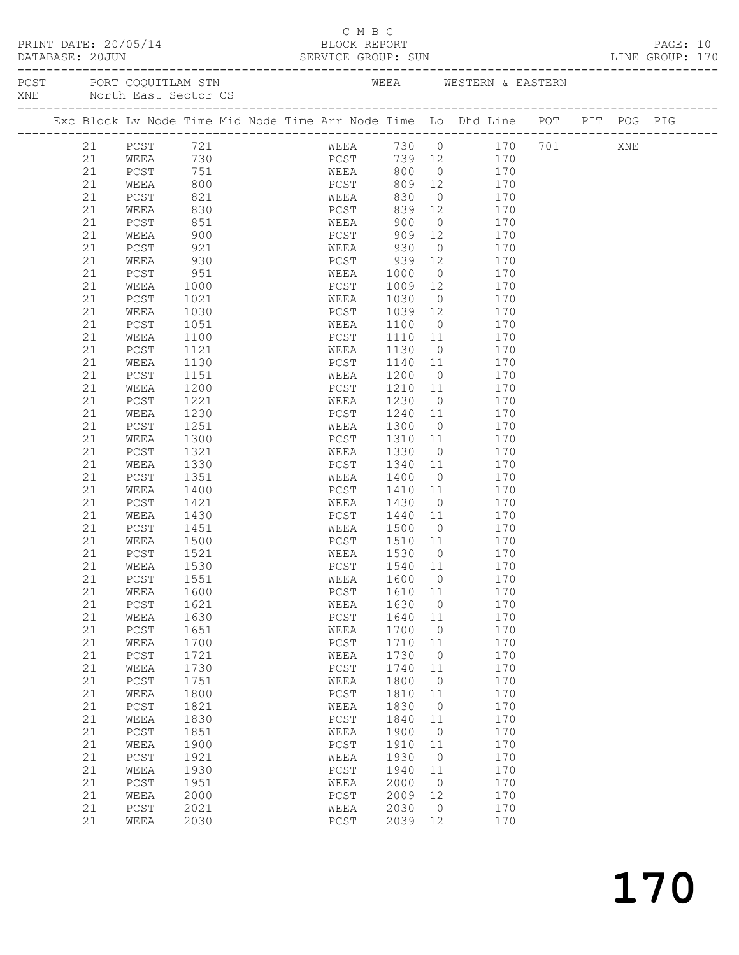|  | PRINT DATE: 20/05/14               |  |
|--|------------------------------------|--|
|  | $\sim$ $\sim$ $\sim$ $\sim$ $\sim$ |  |

# C M B C<br>C M B C<br>BLOCK REPOF

|  |          |                                                                                |              |             |                      |                                   |                |                                        |            |                        |  | PAGE: 10<br>LINE GROUP: 170 |  |
|--|----------|--------------------------------------------------------------------------------|--------------|-------------|----------------------|-----------------------------------|----------------|----------------------------------------|------------|------------------------|--|-----------------------------|--|
|  |          | PCST PORT COQUITLAM STN THE REAN WESTERN & EASTERN<br>XNE North East Sector CS |              |             |                      |                                   |                |                                        |            |                        |  |                             |  |
|  |          | Exc Block Lv Node Time Mid Node Time Arr Node Time Lo Dhd Line POT PIT POG PIG |              |             |                      |                                   |                |                                        |            |                        |  |                             |  |
|  | 21       | PCST 721                                                                       |              |             |                      |                                   |                |                                        |            | WEEA 730 0 170 701 XNE |  |                             |  |
|  | 21       | WEEA 730<br>PCST 751                                                           |              |             |                      | PCST 739 12 170<br>WEEA 800 0 170 |                |                                        |            |                        |  |                             |  |
|  | 21       | PCST                                                                           |              |             |                      |                                   |                |                                        |            |                        |  |                             |  |
|  | 21       | WEEA                                                                           | 800          |             |                      | PCST 809 12 170                   |                |                                        |            |                        |  |                             |  |
|  | 21       | PCST                                                                           | 821          |             | WEEA 830             |                                   |                | $0$ 170                                |            |                        |  |                             |  |
|  | 21       | WEEA                                                                           | 830<br>851   |             |                      | PCST 839 12 170<br>WEEA 900 0 170 |                |                                        |            |                        |  |                             |  |
|  | 21       | PCST                                                                           |              |             |                      |                                   |                |                                        |            |                        |  |                             |  |
|  | 21       | WEEA                                                                           | 900          |             | PCST                 |                                   |                | 909 12 170                             |            |                        |  |                             |  |
|  | 21       | PCST                                                                           | 921          |             | WEEA 930             |                                   |                | $\overline{0}$                         | 170        |                        |  |                             |  |
|  | 21       | WEEA                                                                           | 930<br>951   |             |                      | PCST 939 12<br>WEEA 1000 0        |                |                                        | 170        |                        |  |                             |  |
|  | 21       | PCST                                                                           | 1000         |             |                      | 1009 12 170                       |                |                                        | 170        |                        |  |                             |  |
|  | 21<br>21 | WEEA                                                                           |              |             | PCST<br>WEEA         | 1030 0 170                        |                |                                        |            |                        |  |                             |  |
|  | 21       | PCST<br>WEEA                                                                   | 1021         |             | PCST                 |                                   |                |                                        | 170        |                        |  |                             |  |
|  | 21       | PCST                                                                           | 1030<br>1051 |             | WEEA                 | 1039 12<br>1100 0                 |                |                                        | 170        |                        |  |                             |  |
|  | 21       | WEEA                                                                           | 1100         |             | PCST                 | 1110 11                           |                |                                        | 170        |                        |  |                             |  |
|  | 21       | PCST                                                                           | 1121         |             | WEEA                 | 1130                              |                | $\overline{0}$                         | 170        |                        |  |                             |  |
|  | 21       | WEEA                                                                           | 1130         |             | PCST                 | 1140 11                           |                |                                        | 170        |                        |  |                             |  |
|  | 21       | PCST                                                                           | 1151         |             | WEEA                 | 1200                              | $\overline{0}$ |                                        | 170        |                        |  |                             |  |
|  | 21       | WEEA                                                                           | 1200         |             | PCST                 | $1210$ $11$                       |                |                                        | 170        |                        |  |                             |  |
|  | 21       | PCST                                                                           | 1221         |             | WEEA                 | 1230 0                            |                |                                        | 170        |                        |  |                             |  |
|  | 21       | WEEA                                                                           | 1230         |             | PCST                 | 1240 11                           |                |                                        | 170        |                        |  |                             |  |
|  | 21       | PCST                                                                           | 1251         |             | WEEA                 | 1300 0                            |                |                                        | 170        |                        |  |                             |  |
|  | 21       | WEEA                                                                           | 1300         |             | PCST                 | $1310$ $11$                       |                |                                        | 170        |                        |  |                             |  |
|  | 21       | PCST                                                                           | 1321         |             | WEEA                 | 1330                              |                | $\overline{O}$                         | 170        |                        |  |                             |  |
|  | 21       | WEEA                                                                           | 1330         |             | PCST                 | 1340                              |                | 11 / 12                                | 170        |                        |  |                             |  |
|  | 21       | PCST                                                                           | 1351         |             | WEEA                 | 1400                              |                | $\begin{array}{c} 0 \\ 11 \end{array}$ | 170        |                        |  |                             |  |
|  | 21       | WEEA                                                                           | 1400         |             | PCST                 | 1410                              |                |                                        | 170        |                        |  |                             |  |
|  | 21       | PCST                                                                           | 1421         |             | WEEA                 | 1430                              |                | $\overline{O}$                         | 170        |                        |  |                             |  |
|  | 21       | WEEA                                                                           | 1430         |             | PCST                 | 1440 11                           |                |                                        | 170        |                        |  |                             |  |
|  | 21       | PCST                                                                           | 1451<br>1500 |             | WEEA                 | $1440$ -<br>1500 0 1/0<br>11 170  |                |                                        |            |                        |  |                             |  |
|  | 21       | WEEA                                                                           |              |             |                      | PCST 1510 11                      |                |                                        |            |                        |  |                             |  |
|  | 21       | PCST                                                                           | 1521         |             |                      | WEEA 1530 0                       |                |                                        | 170        |                        |  |                             |  |
|  | 21       | WEEA                                                                           | 1530         | <b>PCST</b> |                      | 1540 11                           |                |                                        | 170        |                        |  |                             |  |
|  |          | 21 PCST                                                                        | 1551         |             |                      | WEEA 1600 0                       |                |                                        | 170        |                        |  |                             |  |
|  | 21       | WEEA                                                                           | 1600         |             | ${\tt PCST}$         | 1610                              | 11             |                                        | 170        |                        |  |                             |  |
|  | 21       | ${\tt PCST}$                                                                   | 1621         |             | WEEA                 | 1630                              | $\circ$        |                                        | 170        |                        |  |                             |  |
|  | 21       | WEEA                                                                           | 1630         |             | ${\tt PCST}$         | 1640                              | 11             |                                        | 170        |                        |  |                             |  |
|  | 21       | ${\tt PCST}$                                                                   | 1651         |             | WEEA                 | 1700                              | $\circ$        |                                        | 170        |                        |  |                             |  |
|  | 21       | WEEA                                                                           | 1700         |             | ${\tt PCST}$         | 1710                              | $11$           |                                        | 170        |                        |  |                             |  |
|  | 21       | ${\tt PCST}$                                                                   | 1721         |             | WEEA                 | 1730                              | $\circ$        |                                        | 170        |                        |  |                             |  |
|  | 21       | WEEA                                                                           | 1730         |             | PCST                 | 1740                              | 11             |                                        | 170        |                        |  |                             |  |
|  | 21       | PCST                                                                           | 1751         |             | WEEA                 | 1800                              | $\circ$        |                                        | 170        |                        |  |                             |  |
|  | 21       | WEEA                                                                           | 1800         |             | ${\tt PCST}$         | 1810                              | 11             |                                        | 170        |                        |  |                             |  |
|  | 21       | PCST                                                                           | 1821         |             | WEEA                 | 1830                              | $\circ$        |                                        | 170        |                        |  |                             |  |
|  | 21       | WEEA                                                                           | 1830         |             | PCST                 | 1840                              | 11             |                                        | 170        |                        |  |                             |  |
|  | 21       | PCST                                                                           | 1851         |             | WEEA                 | 1900                              | 0              |                                        | 170        |                        |  |                             |  |
|  | 21<br>21 | WEEA                                                                           | 1900         |             | PCST                 | 1910                              | $11$           |                                        | 170        |                        |  |                             |  |
|  |          | ${\tt PCST}$                                                                   | 1921         |             | WEEA                 | 1930                              | 0              |                                        | 170        |                        |  |                             |  |
|  | 21<br>21 | WEEA                                                                           | 1930         |             | PCST                 | 1940<br>2000                      | 11<br>$\circ$  |                                        | 170<br>170 |                        |  |                             |  |
|  | 21       | PCST                                                                           | 1951<br>2000 |             | WEEA                 | 2009                              | 12             |                                        | 170        |                        |  |                             |  |
|  | 21       | WEEA<br>PCST                                                                   | 2021         |             | ${\tt PCST}$<br>WEEA | 2030                              | 0              |                                        | 170        |                        |  |                             |  |
|  | 21       | WEEA                                                                           | 2030         |             | ${\tt PCST}$         | 2039                              | 12             |                                        | 170        |                        |  |                             |  |
|  |          |                                                                                |              |             |                      |                                   |                |                                        |            |                        |  |                             |  |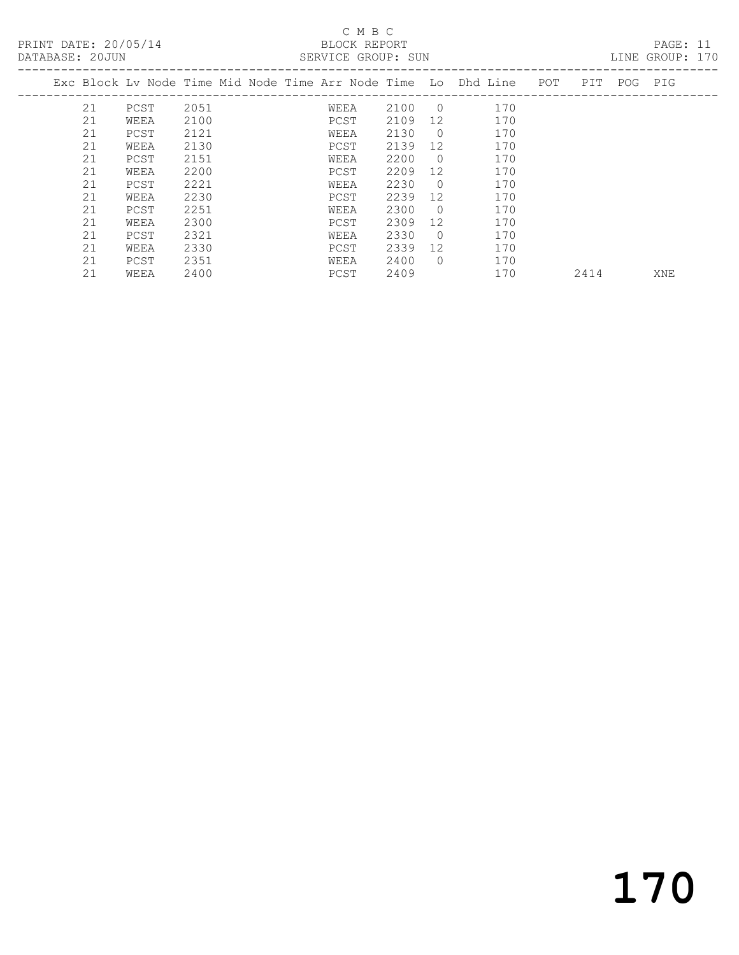| DATABASE: 20JUN |    |      |      |  | SERVICE GROUP: SUN |      |                |                                                                    |      |             | LINE GROUP: 170 |  |
|-----------------|----|------|------|--|--------------------|------|----------------|--------------------------------------------------------------------|------|-------------|-----------------|--|
|                 |    |      |      |  |                    |      |                | Exc Block Lv Node Time Mid Node Time Arr Node Time Lo Dhd Line POT |      | PIT POG PIG |                 |  |
|                 | 21 | PCST | 2051 |  | WEEA               | 2100 | $\overline{0}$ | 170                                                                |      |             |                 |  |
|                 | 21 | WEEA | 2100 |  | PCST               | 2109 | 12             | 170                                                                |      |             |                 |  |
|                 | 21 | PCST | 2121 |  | WEEA               | 2130 | $\overline{0}$ | 170                                                                |      |             |                 |  |
|                 | 21 | WEEA | 2130 |  | PCST               | 2139 | 12             | 170                                                                |      |             |                 |  |
|                 | 21 | PCST | 2151 |  | WEEA               | 2200 | $\Omega$       | 170                                                                |      |             |                 |  |
|                 | 21 | WEEA | 2200 |  | PCST               | 2209 | 12             | 170                                                                |      |             |                 |  |
|                 | 21 | PCST | 2221 |  | WEEA               | 2230 | $\Omega$       | 170                                                                |      |             |                 |  |
|                 | 21 | WEEA | 2230 |  | PCST               | 2239 | 12             | 170                                                                |      |             |                 |  |
|                 | 21 | PCST | 2251 |  | WEEA               | 2300 | $\Omega$       | 170                                                                |      |             |                 |  |
|                 | 21 | WEEA | 2300 |  | PCST               | 2309 | 12             | 170                                                                |      |             |                 |  |
|                 | 21 | PCST | 2321 |  | WEEA               | 2330 | $\Omega$       | 170                                                                |      |             |                 |  |
|                 | 21 | WEEA | 2330 |  | PCST               | 2339 | 12             | 170                                                                |      |             |                 |  |
|                 | 21 | PCST | 2351 |  | WEEA               | 2400 | $\Omega$       | 170                                                                |      |             |                 |  |
|                 | 21 | WEEA | 2400 |  | PCST               | 2409 |                | 170                                                                | 2414 |             | XNE             |  |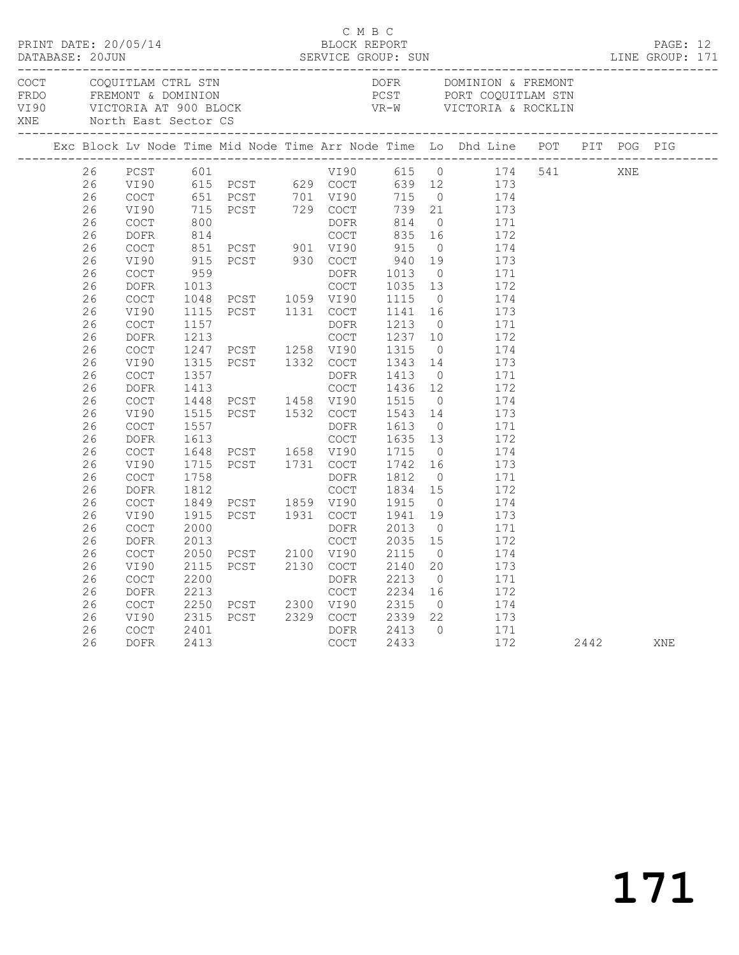|             |    |                                            |      | PRINT DATE: 20/05/14<br>BLOCK REPORT<br>SERVICE GROUP: SUN     | C M B C     |                        |                |                                                                                |         |      | PAGE: 12<br>LINE GROUP: 171 |  |
|-------------|----|--------------------------------------------|------|----------------------------------------------------------------|-------------|------------------------|----------------|--------------------------------------------------------------------------------|---------|------|-----------------------------|--|
| COCT<br>XNE |    | COQUITLAM CTRL STN<br>North East Sector CS |      |                                                                |             | DOFR                   |                | DOMINION & FREMONT                                                             |         |      |                             |  |
|             |    |                                            |      |                                                                |             |                        |                | Exc Block Lv Node Time Mid Node Time Arr Node Time Lo Dhd Line POT PIT POG PIG |         |      |                             |  |
|             | 26 | PCST                                       | 601  |                                                                | VI90 615 0  |                        |                |                                                                                | 174 541 | XNE  |                             |  |
|             | 26 | VI90                                       |      |                                                                |             | 639 12                 |                | 173                                                                            |         |      |                             |  |
|             | 26 | COCT                                       |      |                                                                |             |                        | $\overline{0}$ | 174                                                                            |         |      |                             |  |
|             | 26 | VI90                                       |      | 651 PCST 701 VI90 715<br>715 PCST 729 COCT 739<br>800 DOFR 814 |             | 739 21                 |                | 173                                                                            |         |      |                             |  |
|             | 26 | COCT                                       |      |                                                                |             |                        | $\overline{0}$ | 171                                                                            |         |      |                             |  |
|             | 26 | DOFR                                       | 814  |                                                                | COCT        | 835                    | 16             | 172                                                                            |         |      |                             |  |
|             | 26 | COCT                                       |      | 851 PCST 901 VI90                                              |             | 915                    | $\overline{0}$ | 174                                                                            |         |      |                             |  |
|             | 26 | VI90                                       | 915  | PCST 930 COCT                                                  |             | 940<br>$940$<br>$1013$ | 19             | 173                                                                            |         |      |                             |  |
|             | 26 | <b>COCT</b>                                | 959  |                                                                | DOFR        |                        | $\overline{0}$ | 171                                                                            |         |      |                             |  |
|             | 26 | <b>DOFR</b>                                | 1013 |                                                                | COCT        | 1035                   | 13             | 172                                                                            |         |      |                             |  |
|             | 26 | COCT                                       |      | 1048 PCST 1059 VI90                                            |             | 1115                   | $\overline{0}$ | 174                                                                            |         |      |                             |  |
|             | 26 | VI90                                       | 1115 | PCST 1131 COCT                                                 |             | 1141                   | 16             | 173                                                                            |         |      |                             |  |
|             | 26 | <b>COCT</b>                                | 1157 |                                                                | DOFR        | 1213                   | $\overline{0}$ | 171                                                                            |         |      |                             |  |
|             | 26 | DOFR                                       | 1213 |                                                                | COCT        | 1237                   | 10             | 172                                                                            |         |      |                             |  |
|             | 26 | COCT                                       |      | 1247 PCST 1258 VI90                                            |             | 1315                   | $\overline{0}$ | 174                                                                            |         |      |                             |  |
|             | 26 | VI90                                       | 1315 | PCST 1332 COCT                                                 |             | 1343                   | 14             | 173                                                                            |         |      |                             |  |
|             | 26 | <b>COCT</b>                                | 1357 |                                                                | DOFR        | 1413                   | $\overline{0}$ | 171                                                                            |         |      |                             |  |
|             | 26 | <b>DOFR</b>                                | 1413 |                                                                | <b>COCT</b> | 1436 12                |                | 172                                                                            |         |      |                             |  |
|             | 26 | <b>COCT</b>                                | 1448 | PCST 1458 VI90                                                 |             | 1515                   | $\overline{0}$ | 174                                                                            |         |      |                             |  |
|             | 26 | VI90                                       | 1515 | PCST 1532 COCT                                                 |             | 1543                   | 14             | 173                                                                            |         |      |                             |  |
|             | 26 | COCT                                       | 1557 |                                                                | DOFR        | 1613                   | $\overline{0}$ | 171                                                                            |         |      |                             |  |
|             | 26 | <b>DOFR</b>                                | 1613 |                                                                | <b>COCT</b> | 1635                   | 13             | 172                                                                            |         |      |                             |  |
|             | 26 | <b>COCT</b>                                | 1648 | PCST 1658 VI90<br>PCST 1731 COCT                               |             | 1715                   | $\overline{0}$ | 174                                                                            |         |      |                             |  |
|             | 26 | VI90                                       | 1715 |                                                                |             | 1742                   | 16             | 173                                                                            |         |      |                             |  |
|             | 26 | <b>COCT</b>                                | 1758 |                                                                | DOFR        | 1812                   | $\overline{0}$ | 171                                                                            |         |      |                             |  |
|             | 26 | <b>DOFR</b>                                | 1812 |                                                                | COCT        | 1834                   | 15             | 172                                                                            |         |      |                             |  |
|             | 26 | COCT                                       | 1849 | PCST 1859 VI90<br>PCST 1931 COCT                               |             | 1915                   | $\overline{0}$ | 174                                                                            |         |      |                             |  |
|             | 26 | VI90                                       | 1915 |                                                                |             | 1941                   | 19             | 173                                                                            |         |      |                             |  |
|             | 26 | <b>COCT</b>                                | 2000 |                                                                | DOFR        | 2013                   | $\overline{0}$ | 171                                                                            |         |      |                             |  |
|             | 26 | DOFR                                       | 2013 |                                                                | <b>COCT</b> | 2035                   | 15             | 172                                                                            |         |      |                             |  |
|             | 26 | COCT                                       | 2050 | PCST 2100 VI90                                                 |             | 2115                   | $\overline{0}$ | 174                                                                            |         |      |                             |  |
|             | 26 | VI90                                       | 2115 | PCST 2130 COCT                                                 |             | 2140                   | 20             | 173                                                                            |         |      |                             |  |
|             | 26 | <b>COCT</b>                                | 2200 |                                                                | DOFR        | 2213                   | $\overline{0}$ | 171                                                                            |         |      |                             |  |
|             | 26 | DOFR                                       | 2213 |                                                                | COCT        | 2234                   | 16             | 172                                                                            |         |      |                             |  |
|             | 26 | <b>COCT</b>                                | 2250 | PCST 2300 VI90                                                 |             | 2315                   | $\overline{0}$ | 174                                                                            |         |      |                             |  |
|             | 26 | VI90                                       | 2315 | PCST 2329 COCT                                                 |             | 2339                   | 22             | 173                                                                            |         |      |                             |  |
|             | 26 | COCT                                       | 2401 |                                                                | DOFR        | 2413                   | $\overline{0}$ | 171                                                                            |         |      |                             |  |
|             | 26 | DOFR                                       | 2413 |                                                                | COCT        | 2433                   |                | 172                                                                            |         | 2442 | XNE                         |  |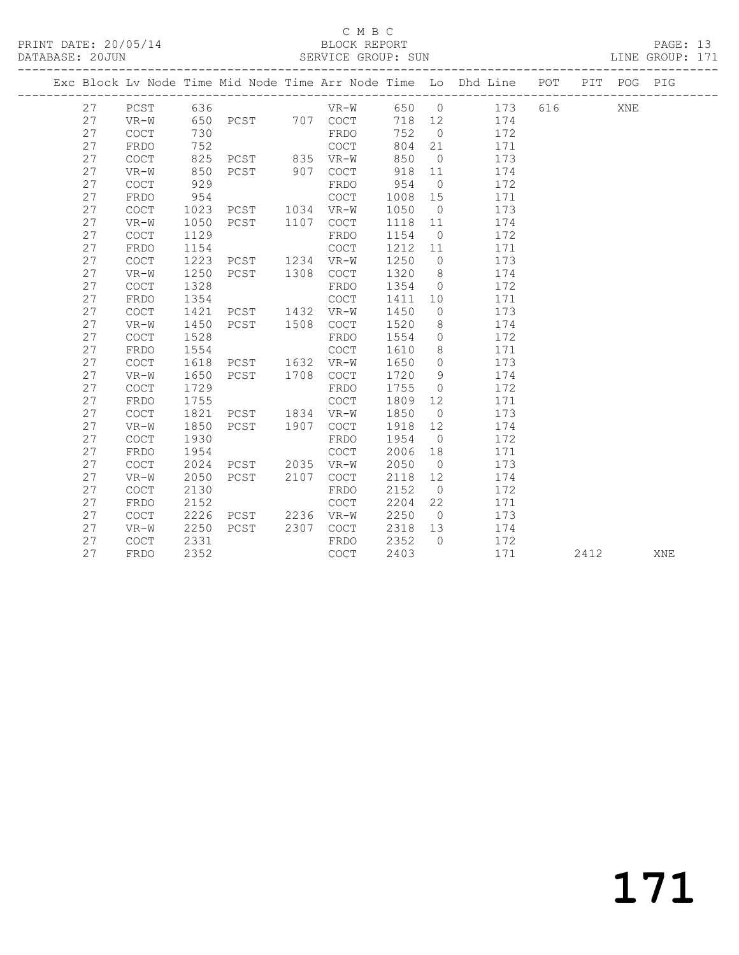## C M B C<br>
C M B C<br>
ELOCK REPORT

 27 FRDO 954 COCT 1008 15 171 27 COCT 1023 PCST 1034 VR-W 1050 0 173

|  | DATABASE: 20JUN |        |                                                                |      |     |        | SERVICE GROUP: SUN |          |     |     |     |     | LINE GROUP: 171 |  |
|--|-----------------|--------|----------------------------------------------------------------|------|-----|--------|--------------------|----------|-----|-----|-----|-----|-----------------|--|
|  |                 |        | Exc Block Lv Node Time Mid Node Time Arr Node Time Lo Dhd Line |      |     |        |                    |          |     | POT | PIT | POG | PIG             |  |
|  | 27              | PCST   | 636                                                            |      |     | VR-W   | 650                | - 0      | 173 | 616 |     | XNE |                 |  |
|  | 27              | $VR-W$ | 650                                                            | PCST | 707 | COCT   | 718                | 12       | 174 |     |     |     |                 |  |
|  | 27              | COCT   | 730                                                            |      |     | FRDO   | 752                | - 0      | 172 |     |     |     |                 |  |
|  | 27              | FRDO   | 752                                                            |      |     | COCT   | 804                | -21      | 171 |     |     |     |                 |  |
|  | 27              | COCT   | 825                                                            | PCST | 835 | $VR-W$ | 850                | $\Omega$ | 173 |     |     |     |                 |  |
|  | 27              | VR-W   | 850                                                            | PCST | 907 | COCT   | 918                | -11      | 174 |     |     |     |                 |  |
|  | 27              | COCT   | 929                                                            |      |     | FRDO   | 954                | $\Omega$ | 172 |     |     |     |                 |  |

| 27 | VR-W        | 1050 | PCST | 1107 | <b>COCT</b> | 1118 | 11             | 174 |      |     |  |
|----|-------------|------|------|------|-------------|------|----------------|-----|------|-----|--|
| 27 | <b>COCT</b> | 1129 |      |      | FRDO        | 1154 | $\overline{0}$ | 172 |      |     |  |
| 27 | FRDO        | 1154 |      |      | <b>COCT</b> | 1212 | 11             | 171 |      |     |  |
| 27 | <b>COCT</b> | 1223 | PCST | 1234 | VR-W        | 1250 | $\circ$        | 173 |      |     |  |
| 27 | VR-W        | 1250 | PCST | 1308 | COCT        | 1320 | 8              | 174 |      |     |  |
| 27 | <b>COCT</b> | 1328 |      |      | FRDO        | 1354 | $\circ$        | 172 |      |     |  |
| 27 | FRDO        | 1354 |      |      | COCT        | 1411 | 10             | 171 |      |     |  |
| 27 | <b>COCT</b> | 1421 | PCST | 1432 | $VR-W$      | 1450 | $\circ$        | 173 |      |     |  |
| 27 | $VR-W$      | 1450 | PCST | 1508 | COCT        | 1520 | 8              | 174 |      |     |  |
| 27 | <b>COCT</b> | 1528 |      |      | <b>FRDO</b> | 1554 | $\circ$        | 172 |      |     |  |
| 27 | FRDO        | 1554 |      |      | COCT        | 1610 | 8              | 171 |      |     |  |
| 27 | <b>COCT</b> | 1618 | PCST | 1632 | $VR-W$      | 1650 | $\circ$        | 173 |      |     |  |
| 27 | $VR-W$      | 1650 | PCST | 1708 | COCT        | 1720 | 9              | 174 |      |     |  |
| 27 | <b>COCT</b> | 1729 |      |      | FRDO        | 1755 | $\circ$        | 172 |      |     |  |
| 27 | FRDO        | 1755 |      |      | COCT        | 1809 | 12             | 171 |      |     |  |
| 27 | COCT        | 1821 | PCST | 1834 | VR-W        | 1850 | $\circ$        | 173 |      |     |  |
| 27 | $VR-W$      | 1850 | PCST | 1907 | COCT        | 1918 | 12             | 174 |      |     |  |
| 27 | <b>COCT</b> | 1930 |      |      | FRDO        | 1954 | $\overline{0}$ | 172 |      |     |  |
| 27 | FRDO        | 1954 |      |      | COCT        | 2006 | 18             | 171 |      |     |  |
| 27 | <b>COCT</b> | 2024 | PCST | 2035 | $VR-W$      | 2050 | $\circ$        | 173 |      |     |  |
| 27 | $VR-W$      | 2050 | PCST | 2107 | COCT        | 2118 | 12             | 174 |      |     |  |
| 27 | <b>COCT</b> | 2130 |      |      | FRDO        | 2152 | $\overline{0}$ | 172 |      |     |  |
| 27 | FRDO        | 2152 |      |      | <b>COCT</b> | 2204 | 22             | 171 |      |     |  |
| 27 | <b>COCT</b> | 2226 | PCST | 2236 | VR-W        | 2250 | $\circ$        | 173 |      |     |  |
| 27 | $VR-W$      | 2250 | PCST | 2307 | COCT        | 2318 | 13             | 174 |      |     |  |
| 27 | COCT        | 2331 |      |      | FRDO        | 2352 | $\circ$        | 172 |      |     |  |
| 27 | <b>FRDO</b> | 2352 |      |      | COCT        | 2403 |                | 171 | 2412 | XNE |  |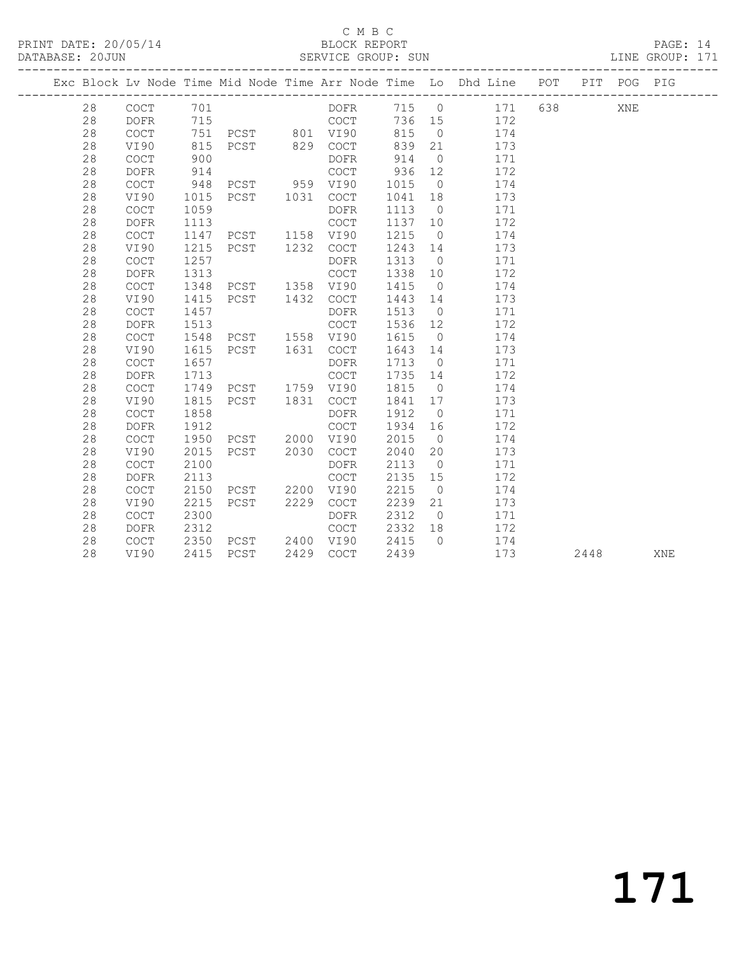## C M B C<br>BLOCK REPORT

PAGE: 14<br>LINE GROUP: 171

|  |    |                                            |      |                                |      |             |        |                | Exc Block Lv Node Time Mid Node Time Arr Node Time Lo Dhd Line POT |     |      | PIT POG PIG |            |
|--|----|--------------------------------------------|------|--------------------------------|------|-------------|--------|----------------|--------------------------------------------------------------------|-----|------|-------------|------------|
|  | 28 | $\mathtt{C}\mathtt{O}\mathtt{C}\mathtt{T}$ | 701  |                                |      | DOFR        | 715 0  |                | 171                                                                | 638 |      | XNE         |            |
|  | 28 | DOFR                                       | 715  |                                |      | COCT        | 736 15 |                | 172                                                                |     |      |             |            |
|  | 28 | COCT                                       | 751  |                                |      |             | 815    | $\overline{0}$ | 174                                                                |     |      |             |            |
|  | 28 | VI90                                       | 815  | PCST 801 VI90<br>PCST 829 COCT |      |             | 839    | 21             | 173                                                                |     |      |             |            |
|  | 28 | $\mathtt{C}\mathtt{O}\mathtt{C}\mathtt{T}$ | 900  |                                |      | DOFR        | 914    | $\overline{0}$ | 171                                                                |     |      |             |            |
|  | 28 | <b>DOFR</b>                                | 914  |                                |      | COCT        | 936    | 12             | 172                                                                |     |      |             |            |
|  | 28 | COCT                                       | 948  | PCST 959 VI90                  |      |             | 1015   | $\overline{0}$ | 174                                                                |     |      |             |            |
|  | 28 | VI90                                       | 1015 | PCST 1031                      |      | COCT        | 1041   | 18             | 173                                                                |     |      |             |            |
|  | 28 | COCT                                       | 1059 |                                |      | DOFR        | 1113   | $\overline{0}$ | 171                                                                |     |      |             |            |
|  | 28 | <b>DOFR</b>                                | 1113 |                                |      | COCT        | 1137   | 10             | 172                                                                |     |      |             |            |
|  | 28 | COCT                                       | 1147 | PCST                           | 1158 | VI90        | 1215   | $\overline{0}$ | 174                                                                |     |      |             |            |
|  | 28 | VI90                                       | 1215 | PCST                           | 1232 | COCT        | 1243   | 14             | 173                                                                |     |      |             |            |
|  | 28 | COCT                                       | 1257 |                                |      | DOFR        | 1313   | $\overline{0}$ | 171                                                                |     |      |             |            |
|  | 28 | DOFR                                       | 1313 |                                |      | COCT        | 1338   | 10             | 172                                                                |     |      |             |            |
|  | 28 | $\mathtt{C}\mathtt{O}\mathtt{C}\mathtt{T}$ | 1348 | PCST                           |      | 1358 VI90   | 1415   | $\overline{0}$ | 174                                                                |     |      |             |            |
|  | 28 | VI90                                       | 1415 | PCST                           | 1432 | COCT        | 1443   | 14             | 173                                                                |     |      |             |            |
|  | 28 | $\mathtt{C}\mathtt{O}\mathtt{C}\mathtt{T}$ | 1457 |                                |      | DOFR        | 1513   | $\overline{0}$ | 171                                                                |     |      |             |            |
|  | 28 | <b>DOFR</b>                                | 1513 |                                |      | COCT        | 1536   | 12             | 172                                                                |     |      |             |            |
|  | 28 | $\mathtt{C}\mathtt{O}\mathtt{C}\mathtt{T}$ | 1548 | PCST 1558 VI90                 |      |             | 1615   | $\overline{0}$ | 174                                                                |     |      |             |            |
|  | 28 | VI90                                       | 1615 | PCST 1631                      |      | COCT        | 1643   | 14             | 173                                                                |     |      |             |            |
|  | 28 | COCT                                       | 1657 |                                |      | DOFR        | 1713   | $\overline{0}$ | 171                                                                |     |      |             |            |
|  | 28 | $\mathtt{DOFR}$                            | 1713 |                                |      | COCT        | 1735   | 14             | 172                                                                |     |      |             |            |
|  | 28 | COCT                                       | 1749 | PCST 1759 VI90                 |      |             | 1815   | $\overline{0}$ | 174                                                                |     |      |             |            |
|  | 28 | VI90                                       | 1815 | PCST                           | 1831 | COCT        | 1841   | 17             | 173                                                                |     |      |             |            |
|  | 28 | COCT                                       | 1858 |                                |      | DOFR        | 1912   | $\overline{0}$ | 171                                                                |     |      |             |            |
|  | 28 | <b>DOFR</b>                                | 1912 |                                |      | COCT        | 1934   | 16             | 172                                                                |     |      |             |            |
|  | 28 | $\mathtt{C}\mathtt{O}\mathtt{C}\mathtt{T}$ | 1950 | PCST 2000                      |      | VI90        | 2015   | $\overline{0}$ | 174                                                                |     |      |             |            |
|  | 28 | VI90                                       | 2015 | PCST                           | 2030 | COCT        | 2040   | 20             | 173                                                                |     |      |             |            |
|  | 28 | $\mathtt{C}\mathtt{O}\mathtt{C}\mathtt{T}$ | 2100 |                                |      | <b>DOFR</b> | 2113   | $\overline{0}$ | 171                                                                |     |      |             |            |
|  | 28 | <b>DOFR</b>                                | 2113 |                                |      | COCT        | 2135   | 15             | 172                                                                |     |      |             |            |
|  | 28 | <b>COCT</b>                                | 2150 | PCST 2200                      |      | VI90        | 2215   | $\overline{0}$ | 174                                                                |     |      |             |            |
|  | 28 | VI90                                       | 2215 | PCST                           | 2229 | COCT        | 2239   | 21             | 173                                                                |     |      |             |            |
|  | 28 | $\mathtt{C}\mathtt{O}\mathtt{C}\mathtt{T}$ | 2300 |                                |      | DOFR        | 2312   | $\overline{0}$ | 171                                                                |     |      |             |            |
|  | 28 | <b>DOFR</b>                                | 2312 |                                |      | COCT        | 2332   | 18             | 172                                                                |     |      |             |            |
|  | 28 | COCT                                       | 2350 | PCST 2400 VI90                 |      |             | 2415   | $\bigcap$      | 174                                                                |     |      |             |            |
|  | 28 | VI90                                       | 2415 | PCST                           | 2429 | COCT        | 2439   |                | 173                                                                |     | 2448 |             | <b>XNE</b> |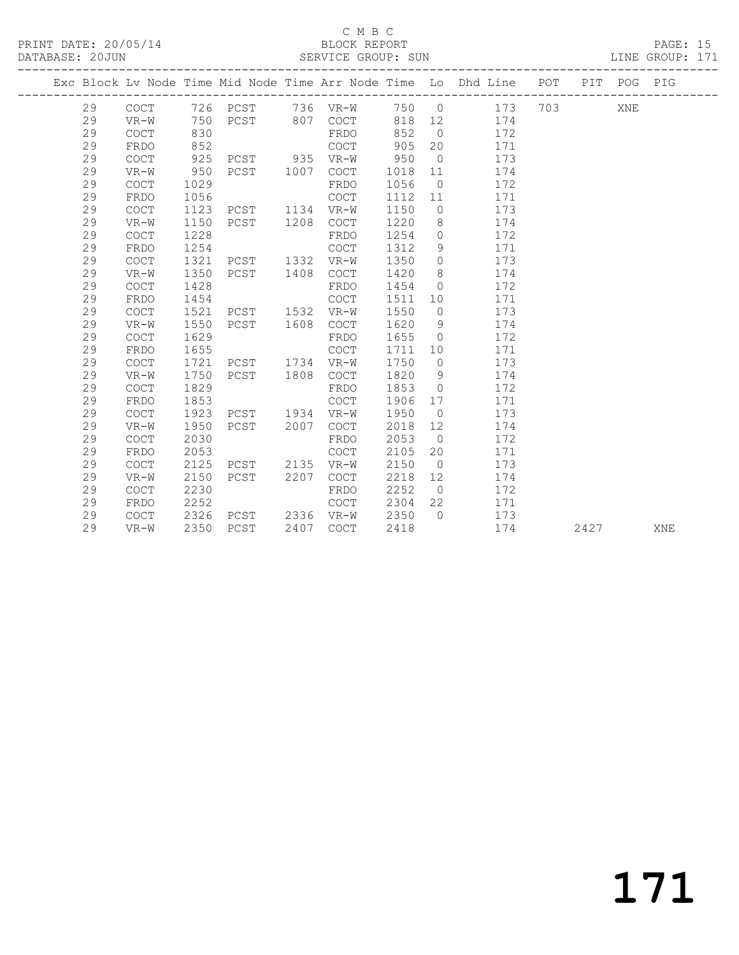## C M B C<br>BLOCK REPORT

PAGE: 15<br>LINE GROUP: 171

|  |    |             |      |                |      |             |      |                 | Exc Block Lv Node Time Mid Node Time Arr Node Time Lo Dhd Line POT PIT POG PIG |      |     |     |
|--|----|-------------|------|----------------|------|-------------|------|-----------------|--------------------------------------------------------------------------------|------|-----|-----|
|  | 29 |             |      |                |      |             |      |                 | COCT 726 PCST 736 VR-W 750 0 173 703                                           |      | XNE |     |
|  | 29 | $VR-W$      | 750  | PCST 807 COCT  |      |             | 818  | 12              | 174                                                                            |      |     |     |
|  | 29 | COCT        | 830  |                |      | FRDO        | 852  | $\overline{0}$  | 172                                                                            |      |     |     |
|  | 29 | FRDO        | 852  |                |      | COCT        | 905  | 20              | 171                                                                            |      |     |     |
|  | 29 | COCT        | 925  | PCST 935 VR-W  |      |             | 950  | $\overline{0}$  | 173                                                                            |      |     |     |
|  | 29 | $VR-W$      | 950  | PCST 1007      |      | COCT        | 1018 | 11              | 174                                                                            |      |     |     |
|  | 29 | <b>COCT</b> | 1029 |                |      | FRDO        | 1056 | $\overline{0}$  | 172                                                                            |      |     |     |
|  | 29 | FRDO        | 1056 |                |      | COCT        | 1112 | 11              | 171                                                                            |      |     |     |
|  | 29 | COCT        | 1123 | PCST           |      | 1134 VR-W   | 1150 | $\overline{0}$  | 173                                                                            |      |     |     |
|  | 29 | $VR-W$      | 1150 | PCST           | 1208 | COCT        | 1220 | 8               | 174                                                                            |      |     |     |
|  | 29 | COCT        | 1228 |                |      | FRDO        | 1254 | $\circ$         | 172                                                                            |      |     |     |
|  | 29 | FRDO        | 1254 |                |      | COCT        | 1312 | 9               | 171                                                                            |      |     |     |
|  | 29 | COCT        | 1321 | PCST           |      | 1332 VR-W   | 1350 | $\circ$         | 173                                                                            |      |     |     |
|  | 29 | VR-W        | 1350 | PCST           | 1408 | COCT        | 1420 | 8               | 174                                                                            |      |     |     |
|  | 29 | COCT        | 1428 |                |      | FRDO        | 1454 | $\circ$         | 172                                                                            |      |     |     |
|  | 29 | FRDO        | 1454 |                |      | <b>COCT</b> | 1511 | 10 <sup>°</sup> | 171                                                                            |      |     |     |
|  | 29 | COCT        | 1521 | PCST 1532 VR-W |      |             | 1550 | $\overline{0}$  | 173                                                                            |      |     |     |
|  | 29 | VR-W        | 1550 | PCST           | 1608 | COCT        | 1620 | 9               | 174                                                                            |      |     |     |
|  | 29 | COCT        | 1629 |                |      | FRDO        | 1655 | $\overline{0}$  | 172                                                                            |      |     |     |
|  | 29 | FRDO        | 1655 |                |      | <b>COCT</b> | 1711 | 10 <sub>1</sub> | 171                                                                            |      |     |     |
|  | 29 | COCT        | 1721 | PCST 1734 VR-W |      |             | 1750 | $\overline{0}$  | 173                                                                            |      |     |     |
|  | 29 | VR-W        | 1750 | PCST 1808      |      | COCT        | 1820 | - 9             | 174                                                                            |      |     |     |
|  | 29 | COCT        | 1829 |                |      | FRDO        | 1853 | $\overline{0}$  | 172                                                                            |      |     |     |
|  | 29 | FRDO        | 1853 |                |      | COCT        | 1906 | 17              | 171                                                                            |      |     |     |
|  | 29 | COCT        | 1923 | PCST 1934      |      | VR-W        | 1950 | $\overline{0}$  | 173                                                                            |      |     |     |
|  | 29 | VR-W        | 1950 | PCST 2007      |      | COCT        | 2018 | 12              | 174                                                                            |      |     |     |
|  | 29 | COCT        | 2030 |                |      | FRDO        | 2053 | $\overline{0}$  | 172                                                                            |      |     |     |
|  | 29 | FRDO        | 2053 |                |      | COCT        | 2105 | 20              | 171                                                                            |      |     |     |
|  | 29 | COCT        | 2125 | PCST 2135      |      | VR-W        | 2150 | $\overline{0}$  | 173                                                                            |      |     |     |
|  | 29 | $VR-W$      | 2150 | PCST           | 2207 | COCT        | 2218 | 12              | 174                                                                            |      |     |     |
|  | 29 | COCT        | 2230 |                |      | FRDO        | 2252 | $\overline{0}$  | 172                                                                            |      |     |     |
|  | 29 | FRDO        | 2252 |                |      | COCT        | 2304 | 22              | 171                                                                            |      |     |     |
|  | 29 | COCT        | 2326 | PCST 2336 VR-W |      |             | 2350 | $\bigcirc$      | 173                                                                            |      |     |     |
|  | 29 | $VR-W$      | 2350 | PCST           |      | 2407 COCT   | 2418 |                 | 174                                                                            | 2427 |     | XNE |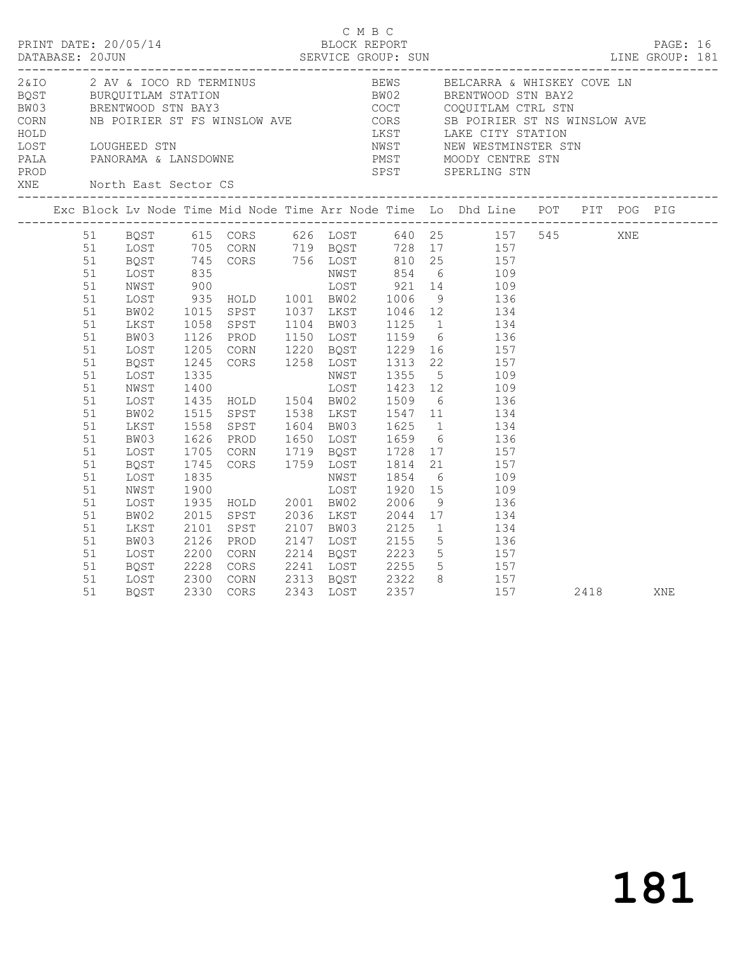| XNE North East Sector CS |                                                                                                                                                    |                                                                                                                      |              |           |  |  |                                                                                                                                                                                                                                                                                                                                                                                                                                                                                                                                                                                                                                                                                                                                                         |      |     |  |
|--------------------------|----------------------------------------------------------------------------------------------------------------------------------------------------|----------------------------------------------------------------------------------------------------------------------|--------------|-----------|--|--|---------------------------------------------------------------------------------------------------------------------------------------------------------------------------------------------------------------------------------------------------------------------------------------------------------------------------------------------------------------------------------------------------------------------------------------------------------------------------------------------------------------------------------------------------------------------------------------------------------------------------------------------------------------------------------------------------------------------------------------------------------|------|-----|--|
|                          |                                                                                                                                                    |                                                                                                                      |              |           |  |  |                                                                                                                                                                                                                                                                                                                                                                                                                                                                                                                                                                                                                                                                                                                                                         |      |     |  |
|                          | 51<br>51<br>51<br>51<br>51<br>51<br>51<br>51<br>51<br>51<br>51<br>51<br>51<br>51<br>51<br>51<br>51<br>51<br>51<br>51<br>51<br>51<br>51<br>51<br>51 | LOST<br>BQST<br>LOST<br>NWST<br>LOST<br>BW02<br>LKST<br>BW03<br>LOST<br>BQST<br>LOST<br>NWST<br>LOST<br>BW02<br>LKST | 1835<br>1900 |           |  |  | Research 1126 Research 1130 Research 1216 Research 1216 Research 1216 Research 1216 Research 1216 Research 1216 Research 1216 Research 1216 Research 1216 Research 1216 Research 1216 Research 1216 Research 1216 Research 122<br>1205 CORN 1220 BQST 1229 16<br>1205 CORN 1220 BQST 1229 16<br>1245 CORS 1258 LOST 1313 22<br>1335 NWST 1355 5 109<br>1400 LOST 1423 12 109<br>1435 HOLD 1504 BW02 1509 6 136<br>1515 SPST 1538 LKST 1547 11 134<br>1558 SPST 1604 BW03 1625 1 134<br>1626 PROD 1650 LOST 1659 6 136<br>1705 CORN 1719 BQST 1728 17 157<br>1745 CORS 1759 LOST 1814 21 157<br>1835 – NWST 1854 6 109<br>1900 – LOST 1920 15 109<br>1935 HOLD 2001 BW02 2006 9 136<br>2015 SPST 2036 LKST 2044 17 134<br>2101 SPST 2107 BW03 2125 1 134 |      |     |  |
|                          | 51<br>51<br>51<br>51                                                                                                                               | LOST<br>BQST                                                                                                         |              | 2330 CORS |  |  | BW03 2126 PROD 2147 LOST 2155 5<br>LOST 2200 CORN 2214 BQST 2223 5 157<br>BQST 2228 CORS 2241 LOST 2255 5 157<br>FOST 2228 CORS 2241 LOST 2255 5 157<br>157                                                                                                                                                                                                                                                                                                                                                                                                                                                                                                                                                                                             | 2418 | XNE |  |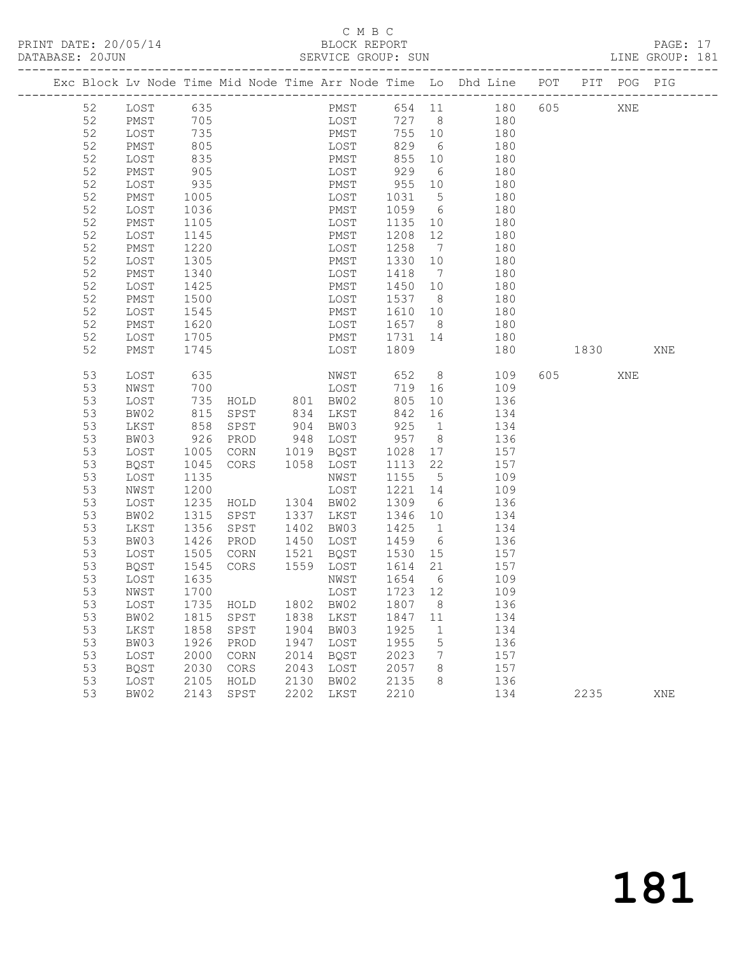# C M B C<br>BLOCK REPORT

PAGE: 17<br>LINE GROUP: 181

|  |          |              |              |              |              |              |      |                  |                      | Exc Block Lv Node Time Mid Node Time Arr Node Time Lo Dhd Line POT PIT POG PIG |            |      |         |     |
|--|----------|--------------|--------------|--------------|--------------|--------------|------|------------------|----------------------|--------------------------------------------------------------------------------|------------|------|---------|-----|
|  | 52       | LOST         | 635          |              |              |              | PMST |                  |                      | 654 11                                                                         | 180        | 605  | XNE     |     |
|  | 52       | PMST         | 705          |              |              | LOST         |      | 727 8            |                      | 180                                                                            |            |      |         |     |
|  | 52       | LOST         | 735          |              |              | PMST         |      | 755              | 10                   | 180                                                                            |            |      |         |     |
|  | 52       | PMST         | 805          |              |              | LOST         |      | 829              | 6                    | 180                                                                            |            |      |         |     |
|  | 52       | LOST         | 835          |              |              | PMST         |      | 855              | 10                   |                                                                                | 180        |      |         |     |
|  | 52       | PMST         | 905          |              |              | LOST         |      | 929              | 6                    |                                                                                | 180        |      |         |     |
|  | 52       | LOST         | 935          |              |              | PMST         |      | 955              | 10                   |                                                                                | 180        |      |         |     |
|  | 52       | PMST         | 1005         |              |              | LOST         |      | 1031             | $5\overline{)}$      |                                                                                | 180        |      |         |     |
|  | 52       | LOST         | 1036         |              |              | PMST         |      | 1059             | 6                    |                                                                                | 180        |      |         |     |
|  | 52       | PMST         | 1105         |              |              | LOST         |      | 1135             | 10                   |                                                                                | 180        |      |         |     |
|  | 52       | LOST         | 1145         |              |              | PMST         |      | 1208             | 12                   |                                                                                | 180        |      |         |     |
|  | 52       | PMST         | 1220         |              |              | LOST         |      | 1258             | $\overline{7}$       |                                                                                | 180        |      |         |     |
|  | 52       | LOST         | 1305         |              |              | PMST         |      | 1330             | 10                   |                                                                                | 180        |      |         |     |
|  | 52       | PMST         | 1340         |              |              | LOST         |      | 1418             | $\overline{7}$       |                                                                                | 180        |      |         |     |
|  | 52       | LOST         | 1425         |              |              | PMST         |      | 1450             | 10                   |                                                                                | 180        |      |         |     |
|  | 52       | PMST         | 1500         |              |              | LOST         |      | 1537             | 8 <sup>8</sup>       |                                                                                | 180        |      |         |     |
|  | 52       | LOST         | 1545         |              |              | PMST         |      | 1610             | 10                   |                                                                                | 180        |      |         |     |
|  | 52       | PMST         | 1620         |              |              | LOST         |      | 1657             | 8 <sup>8</sup>       |                                                                                | 180        |      |         |     |
|  | 52<br>52 | LOST         | 1705         |              |              | PMST         |      | 1731             | 14                   |                                                                                | 180        |      |         |     |
|  |          | PMST         | 1745         |              |              | LOST         |      | 1809             |                      |                                                                                | 180        |      | 1830 18 | XNE |
|  | 53       | LOST         | 635          |              |              | NWST         |      | 652              |                      | 8                                                                              | 605<br>109 |      | XNE     |     |
|  | 53       | NWST         | 700          |              |              | LOST         |      | 719              | 16                   |                                                                                | 109        |      |         |     |
|  | 53       | LOST         | 735          | HOLD         | 801 BW02     |              |      | 805              | 10                   |                                                                                | 136        |      |         |     |
|  | 53       | BW02         | 815          | SPST         | 834          | LKST         |      | 842              | 16                   |                                                                                | 134        |      |         |     |
|  | 53       | LKST         | 858          | SPST         | 904          | BW03         |      | 925              | $\overline{1}$       |                                                                                | 134        |      |         |     |
|  | 53       | BW03         | 926          | PROD         | 948          | LOST         |      | 957              | 8 <sup>8</sup>       |                                                                                | 136        |      |         |     |
|  | 53       | LOST         | 1005         | CORN         | 1019         | BQST         |      | 1028             | 17                   |                                                                                | 157        |      |         |     |
|  | 53       | BQST         | 1045         | CORS         | 1058         | LOST         |      | 1113             | 22                   |                                                                                | 157        |      |         |     |
|  | 53       | LOST         | 1135         |              |              | NWST         |      | 1155             | $5^{\circ}$          |                                                                                | 109        |      |         |     |
|  | 53       | NWST         | 1200         |              |              | LOST         |      | 1221             | 14                   |                                                                                | 109        |      |         |     |
|  | 53       | LOST         | 1235         | HOLD         | 1304 BW02    |              |      | 1309             | 6                    |                                                                                | 136        |      |         |     |
|  | 53<br>53 | BW02<br>LKST | 1315<br>1356 | SPST<br>SPST | 1337<br>1402 | LKST<br>BW03 |      | 1346<br>1425     | 10<br>$\overline{1}$ |                                                                                | 134<br>134 |      |         |     |
|  | 53       | BW03         | 1426         | PROD         | 1450         | LOST         |      | 1459             | 6                    |                                                                                | 136        |      |         |     |
|  | 53       | LOST         | 1505         | CORN         | 1521         | BQST         |      | 1530             | 15                   |                                                                                | 157        |      |         |     |
|  | 53       | BQST         | 1545         | CORS         | 1559 LOST    |              |      | 1614             | 21                   | 157                                                                            |            |      |         |     |
|  | 53       | LOST         | 1635         |              |              | NWST         |      | 1654             | 6                    | 109                                                                            |            |      |         |     |
|  | 53       | NWST         | 1700         |              |              | LOST         |      | 1723 12          |                      |                                                                                | 109        |      |         |     |
|  | 53       | LOST         | 1735 HOLD    |              |              |              |      | 1802 BW02 1807 8 |                      | 136                                                                            |            |      |         |     |
|  | 53       | BW02         | 1815         | SPST         | 1838         | LKST         |      | 1847             | 11                   |                                                                                | 134        |      |         |     |
|  | 53       | LKST         | 1858         | SPST         | 1904         | BW03         |      | 1925             | $\mathbf 1$          |                                                                                | 134        |      |         |     |
|  | 53       | BW03         | 1926         | PROD         | 1947         | LOST         |      | 1955             | 5                    |                                                                                | 136        |      |         |     |
|  | 53       | LOST         | 2000         | CORN         | 2014         | <b>BQST</b>  |      | 2023             | 7                    |                                                                                | 157        |      |         |     |
|  | 53       | <b>BQST</b>  | 2030         | CORS         | 2043         | LOST         |      | 2057             | 8                    |                                                                                | 157        |      |         |     |
|  | 53       | LOST         | 2105         | HOLD         | 2130         | BW02         |      | 2135             | 8                    |                                                                                | 136        |      |         |     |
|  | 53       | BW02         | 2143         | SPST         | 2202         | LKST         |      | 2210             |                      |                                                                                | 134        | 2235 |         | XNE |
|  |          |              |              |              |              |              |      |                  |                      |                                                                                |            |      |         |     |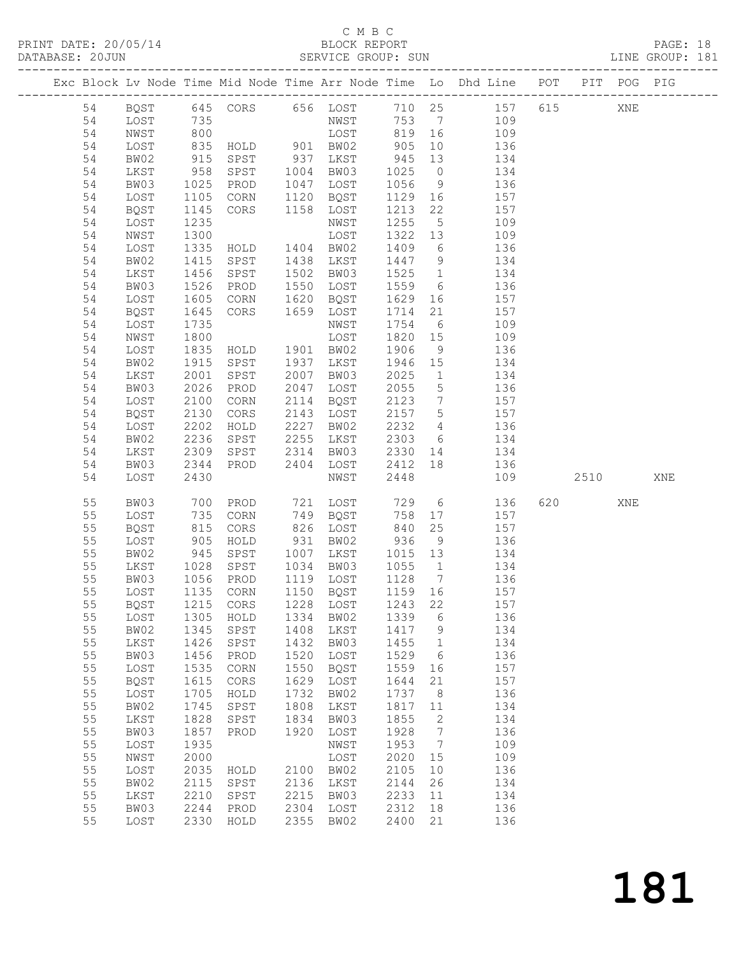## C M B C<br>BLOCK REPORT

PRINT DATE: 20/05/14 BLOCK REPORT BATABASE: 20JUN

PAGE: 18<br>LINE GROUP: 181

|  |    |      |            |                 |      |                   |             |                 | Exc Block Lv Node Time Mid Node Time Arr Node Time Lo Dhd Line POT PIT POG PIG |      |     |     |
|--|----|------|------------|-----------------|------|-------------------|-------------|-----------------|--------------------------------------------------------------------------------|------|-----|-----|
|  |    |      |            |                 |      |                   |             |                 |                                                                                |      |     |     |
|  | 54 |      |            |                 |      |                   |             |                 | BQST 645 CORS 656 LOST 710 25 157 615                                          |      | XNE |     |
|  | 54 | LOST | 735        |                 |      | NWST              |             |                 | 753 7 109                                                                      |      |     |     |
|  | 54 | NWST | 800        |                 |      | LOST              | 819 16      |                 | 109                                                                            |      |     |     |
|  | 54 | LOST | 835        | $HOLD$ 901 BW02 |      |                   | 905         | 10              | 136                                                                            |      |     |     |
|  | 54 | BW02 | 915<br>958 | SPST            |      | 937 LKST          | 945<br>1025 | 13              | 134                                                                            |      |     |     |
|  | 54 | LKST |            | SPST            |      | 1004 BW03         | 1025        |                 | $\frac{1}{0}$ $\frac{1}{134}$                                                  |      |     |     |
|  | 54 | BW03 | 1025       | PROD            |      | 1047 LOST         | 1056        | 9               | 136                                                                            |      |     |     |
|  | 54 | LOST | 1105       | CORN            |      | 1120 BQST         | 1129        | 16              | 157                                                                            |      |     |     |
|  | 54 | BQST | 1145       | CORS            |      | 1158 LOST         | 1213        | 22              | 157                                                                            |      |     |     |
|  | 54 | LOST | 1235       |                 |      | NWST              | 1255        | 5 <sup>5</sup>  | 109                                                                            |      |     |     |
|  | 54 | NWST | 1300       |                 |      | LOST              | 1322 13     |                 | 109                                                                            |      |     |     |
|  | 54 | LOST | 1335       | HOLD 1404 BW02  |      |                   | 1409        | $6\overline{6}$ | 136                                                                            |      |     |     |
|  | 54 | BW02 | 1415       | SPST            |      | 1438 LKST         | 1447        | 9               | 134                                                                            |      |     |     |
|  | 54 | LKST | 1456       | SPST            |      | 1502 BW03         | 1525        | $\overline{1}$  | 134                                                                            |      |     |     |
|  | 54 | BW03 | 1526       | PROD            | 1550 | LOST              | 1559        | 6               | 136                                                                            |      |     |     |
|  | 54 | LOST | 1605       | CORN            |      | 1620 BQST         | 1629        | 16              | 157                                                                            |      |     |     |
|  | 54 | BQST | 1645       | CORS            |      | 1659 LOST         | 1714        | 21              | 157                                                                            |      |     |     |
|  | 54 | LOST | 1735       |                 |      | NWST              | 1754        | $6\overline{6}$ | 109                                                                            |      |     |     |
|  | 54 | NWST | 1800       |                 |      | LOST              | 1820        | 15              | 109                                                                            |      |     |     |
|  | 54 | LOST | 1835       | HOLD 1901 BW02  |      |                   | 1906        | 9               | 136                                                                            |      |     |     |
|  | 54 | BW02 | 1915       | SPST            |      | 1937 LKST         | 1946        | 15              | 134                                                                            |      |     |     |
|  | 54 | LKST | 2001       | SPST            |      | 2007 BW03         | 2025        | $\overline{1}$  | 134                                                                            |      |     |     |
|  | 54 | BW03 | 2026       | PROD            | 2047 | LOST              | 2055        | 5 <sup>5</sup>  | 136                                                                            |      |     |     |
|  | 54 | LOST | 2100       | CORN            |      | 2114 BQST         | 2123        | $\overline{7}$  | 157                                                                            |      |     |     |
|  | 54 | BQST | 2130       | CORS            |      | 2143 LOST         | 2157        | $5\overline{)}$ | 157                                                                            |      |     |     |
|  | 54 | LOST | 2202       | HOLD            |      | 2227 BW02         | 2232        | $4\overline{4}$ | 136                                                                            |      |     |     |
|  | 54 | BW02 | 2236       | SPST            | 2255 | LKST              | 2303        |                 | 6 134                                                                          |      |     |     |
|  | 54 | LKST | 2309       | SPST            | 2314 |                   |             |                 | BW03 2330 14 134                                                               |      |     |     |
|  | 54 | BW03 | 2344       | PROD            | 2404 | LOST              | 2412        | 18              | 136                                                                            |      |     |     |
|  | 54 | LOST | 2430       |                 |      | NWST              | 2448        |                 | 109                                                                            | 2510 |     | XNE |
|  | 55 | BW03 | 700        | PROD            |      | 721 LOST          | 729         |                 | $6\overline{6}$<br>136                                                         | 620  | XNE |     |
|  | 55 | LOST | 735        | CORN            |      | 749 BQST          | 758         | 17              | 157                                                                            |      |     |     |
|  | 55 | BQST | 815<br>905 | CORS            |      | 826 LOST          |             | 25              | 157                                                                            |      |     |     |
|  | 55 | LOST |            | HOLD            |      | 931 BW02          | 840<br>936  | 9               | 136                                                                            |      |     |     |
|  | 55 | BW02 | 945        | SPST            |      | 1007 LKST         | 1015 13     |                 | 134                                                                            |      |     |     |
|  | 55 | LKST | 1028       | SPST            |      | 1034 BW03         | 1055        | $\overline{1}$  | 134                                                                            |      |     |     |
|  | 55 | BW03 | 1056       | PROD            |      | 1119 LOST         | 1128        | $7\overline{ }$ | 136                                                                            |      |     |     |
|  | 55 | LOST |            | 1135 CORN       |      | 1150 BQST         | 1159 16     |                 | 157                                                                            |      |     |     |
|  | 55 | BQST |            | 1215 CORS       |      | 1228 LOST 1243 22 |             |                 | 157                                                                            |      |     |     |
|  | 55 | LOST | 1305       | HOLD            | 1334 | BW02              | 1339        | 6               | 136                                                                            |      |     |     |
|  | 55 | BW02 | 1345       | SPST            | 1408 | LKST              | 1417        | 9               | 134                                                                            |      |     |     |
|  | 55 | LKST | 1426       | SPST            | 1432 | BW03              | 1455        | $\overline{1}$  | 134                                                                            |      |     |     |
|  | 55 | BW03 | 1456       | PROD            | 1520 | LOST              | 1529        | 6               | 136                                                                            |      |     |     |
|  | 55 | LOST | 1535       | CORN            | 1550 | BQST              | 1559        | 16              | 157                                                                            |      |     |     |
|  | 55 | BQST | 1615       | CORS            | 1629 | LOST              | 1644        | 21              | 157                                                                            |      |     |     |
|  | 55 | LOST | 1705       | HOLD            | 1732 | BW02              | 1737        | 8 <sup>8</sup>  | 136                                                                            |      |     |     |
|  | 55 | BW02 | 1745       | SPST            | 1808 | LKST              | 1817        | 11              | 134                                                                            |      |     |     |
|  | 55 | LKST | 1828       | SPST            | 1834 | BW03              | 1855        | 2               | 134                                                                            |      |     |     |
|  | 55 | BW03 | 1857       | PROD            | 1920 | LOST              | 1928        | $\overline{7}$  | 136                                                                            |      |     |     |
|  | 55 | LOST | 1935       |                 |      | NWST              | 1953        | $\overline{7}$  | 109                                                                            |      |     |     |
|  | 55 | NWST | 2000       |                 |      | LOST              | 2020        | 15              | 109                                                                            |      |     |     |
|  | 55 | LOST | 2035       | HOLD            | 2100 | BW02              | 2105        | 10 <sup>°</sup> | 136                                                                            |      |     |     |
|  | 55 | BW02 | 2115       | SPST            | 2136 | LKST              | 2144        | 26              | 134                                                                            |      |     |     |
|  | 55 | LKST | 2210       | SPST            | 2215 | BW03              | 2233        | 11              | 134                                                                            |      |     |     |
|  | 55 | BW03 | 2244       | PROD            | 2304 | LOST              | 2312        | 18              | 136                                                                            |      |     |     |
|  | 55 | LOST |            | 2330 HOLD       | 2355 | BW02              | 2400 21     |                 | 136                                                                            |      |     |     |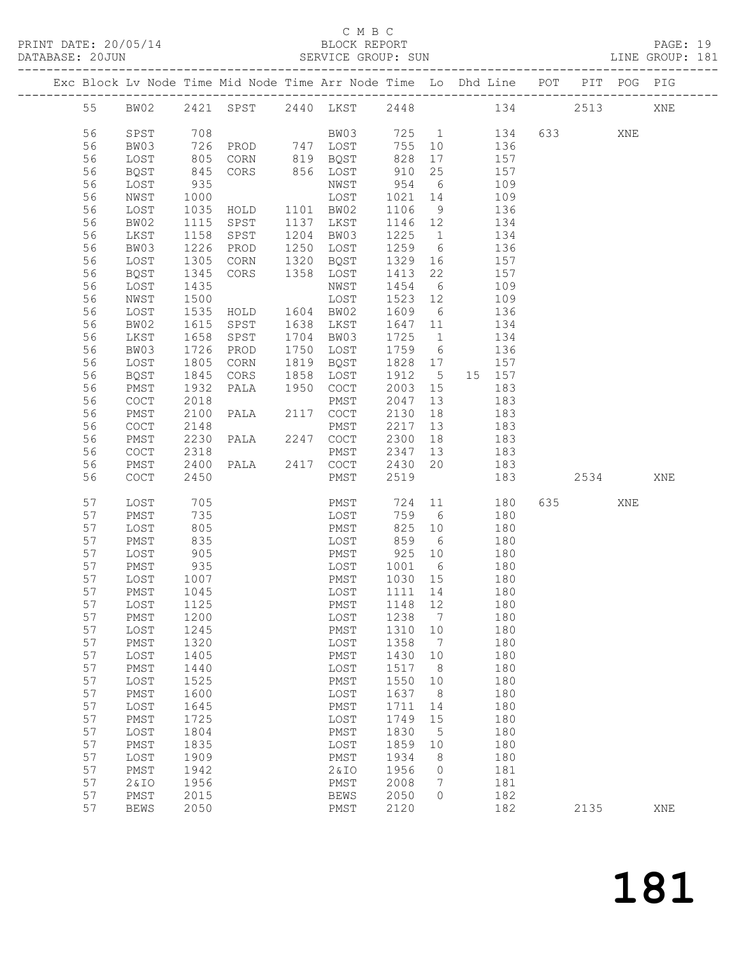## C M B C<br>BLOCK REPORT

PRINT DATE: 20/05/14 BLOCK REPORT BATABASE: 20JUN

PAGE: 19<br>LINE GROUP: 181

|          |                                            |              | Exc Block Lv Node Time Mid Node Time Arr Node Time Lo Dhd Line POT PIT POG PIG |                           |                    |                      |               |         |     |     |
|----------|--------------------------------------------|--------------|--------------------------------------------------------------------------------|---------------------------|--------------------|----------------------|---------------|---------|-----|-----|
| 55       |                                            |              | BW02 2421 SPST 2440 LKST 2448 134 2513                                         |                           |                    |                      |               |         |     | XNE |
| 56       | SPST                                       | 708          |                                                                                | BW03 725 1 134            |                    |                      |               |         | XNE |     |
| 56       | BW03                                       |              | 726 PROD 747 LOST 755 10 136                                                   |                           |                    |                      |               |         |     |     |
| 56       | LOST                                       |              |                                                                                |                           | 828 17             |                      | 157           |         |     |     |
| 56       | BQST                                       |              | 805    CORN           819    BQST<br>845    CORS          856    LOST          |                           | $828$ 17<br>910 25 |                      | i 57          |         |     |     |
| 56       | LOST                                       | 935          |                                                                                | NWST                      |                    |                      | 954 6 109     |         |     |     |
| 56       | NWST                                       | 1000         |                                                                                | LOST                      | 1021 14            |                      | 109           |         |     |     |
| 56       | LOST                                       | 1035         |                                                                                |                           | 1106 9             |                      | 136           |         |     |     |
| 56       | BW02                                       | 1115         | HOLD 1101 BW02<br>SPST 1137 LKST                                               |                           | 1146 12            |                      | 134           |         |     |     |
| 56       | LKST                                       | 1158         | SPST 1204 BW03                                                                 |                           |                    |                      | 1225 1 134    |         |     |     |
| 56       | BW03                                       | 1226         | PROD                                                                           | 1250 LOST                 | 1259 6             |                      | 136           |         |     |     |
| 56       | LOST                                       | 1305         | CORN 1320 BQST                                                                 |                           | $1329$ 16          |                      | 157           |         |     |     |
| 56       | BQST                                       | 1345         | CORS                                                                           | 1358 LOST                 | 1413 22            |                      | 157           |         |     |     |
| 56       | LOST                                       | 1435         |                                                                                | NWST                      |                    |                      | 1454 6 109    |         |     |     |
| 56       | NWST                                       | 1500         |                                                                                | LOST                      | 1523 12            |                      | 109           |         |     |     |
| 56       | LOST                                       | 1535         | 1535 HOLD 1604 BW02<br>1615 SPST 1638 LKST                                     |                           | 1609 6             |                      | 136           |         |     |     |
| 56       | BW02                                       |              |                                                                                |                           | 1647 11            |                      | 134           |         |     |     |
| 56       | LKST                                       | 1658         | SPST                                                                           | 1704 BW03                 | 1725 1             |                      | 134           |         |     |     |
| 56       | BW03                                       | 1726         | PROD                                                                           | 1750 LOST                 | 1759 6             |                      | 136           |         |     |     |
| 56       | LOST                                       | 1805         | CORN                                                                           | 1819 BQST                 | 1828 17            |                      | 157           |         |     |     |
| 56       | BQST                                       | 1845         | CORS                                                                           | 1858 LOST                 |                    |                      | 1912 5 15 157 |         |     |     |
| 56       | PMST                                       | 1932         | PALA                                                                           | 1950 COCT                 |                    |                      | 2003 15 183   |         |     |     |
| 56       | COCT                                       | 2018         |                                                                                | PMST                      | 2047 13            |                      | 183           |         |     |     |
| 56       | PMST                                       | 2100         | PALA                                                                           | 2117 COCT                 | 2130 18            |                      | 183           |         |     |     |
| 56       | COCT                                       | 2148         |                                                                                |                           | 2217 13            |                      | 183<br>183    |         |     |     |
| 56       | PMST                                       | 2230         |                                                                                | PMST 2347 13              | 2300 18            |                      | 183           |         |     |     |
| 56<br>56 | COCT<br>PMST                               | 2318<br>2400 |                                                                                | PALA 2417 COCT            | 2430 20            |                      | 183           |         |     |     |
| 56       | $\mathtt{C}\mathtt{O}\mathtt{C}\mathtt{T}$ | 2450         |                                                                                | PMST                      | 2519               |                      | 183           | 2534    |     | XNE |
|          |                                            |              |                                                                                |                           |                    |                      |               |         |     |     |
| 57       | LOST                                       | 705          |                                                                                | PMST 724 11 180           |                    |                      |               | 635 000 | XNE |     |
| 57       | PMST                                       | 735          |                                                                                | LOST                      | 759 6              |                      | 180           |         |     |     |
| 57       | LOST                                       | 805          |                                                                                | PMST 825 10<br>LOST 859 6 | 825 10             |                      | 180           |         |     |     |
| 57       | PMST                                       | 835          |                                                                                |                           |                    |                      | 180           |         |     |     |
| 57       | LOST                                       | 905          |                                                                                | PMST 925 10               |                    |                      | 180           |         |     |     |
| 57       | PMST                                       | 935          |                                                                                | LOST 1001 6               |                    |                      | 180           |         |     |     |
| 57       | LOST                                       | 1007         |                                                                                | PMST                      | 1030 15            |                      | 180           |         |     |     |
| 57       | PMST                                       | 1045         |                                                                                | LOST                      | 1111 14            |                      | 180           |         |     |     |
| 57       | LOST 1125                                  |              |                                                                                | PMST 1148 12              |                    |                      | 180           |         |     |     |
| 57       | PMST                                       | 1200         |                                                                                | LOST                      | 1238               | $\overline{7}$       | 180           |         |     |     |
| 57       | LOST                                       | 1245         |                                                                                | PMST                      | 1310 10            |                      | 180           |         |     |     |
| 57<br>57 | PMST                                       | 1320<br>1405 |                                                                                | LOST                      | 1358<br>1430       | $\overline{7}$       | 180<br>180    |         |     |     |
| 57       | LOST<br>PMST                               | 1440         |                                                                                | PMST<br>LOST              | 1517               | 10<br>8 <sup>8</sup> | 180           |         |     |     |
| 57       | LOST                                       | 1525         |                                                                                | PMST                      | 1550               | 10                   | 180           |         |     |     |
| 57       | PMST                                       | 1600         |                                                                                | LOST                      | 1637               | 8                    | 180           |         |     |     |
| 57       | LOST                                       | 1645         |                                                                                | PMST                      | 1711               | 14                   | 180           |         |     |     |
| 57       | PMST                                       | 1725         |                                                                                | LOST                      | 1749               | 15                   | 180           |         |     |     |
| 57       | LOST                                       | 1804         |                                                                                | PMST                      | 1830               | 5                    | 180           |         |     |     |
| 57       | PMST                                       | 1835         |                                                                                | LOST                      | 1859               | 10                   | 180           |         |     |     |
| 57       | LOST                                       | 1909         |                                                                                | PMST                      | 1934               | - 8                  | 180           |         |     |     |
| 57       | PMST                                       | 1942         |                                                                                | 2&10                      | 1956               | 0                    | 181           |         |     |     |
| 57       | 2&IO                                       | 1956         |                                                                                | PMST                      | 2008               | 7                    | 181           |         |     |     |
| 57       | PMST                                       | 2015         |                                                                                | <b>BEWS</b>               | 2050               | $\mathbf{0}$         | 182           |         |     |     |
| 57       | <b>BEWS</b>                                | 2050         |                                                                                | PMST                      | 2120               |                      | 182           | 2135    |     | XNE |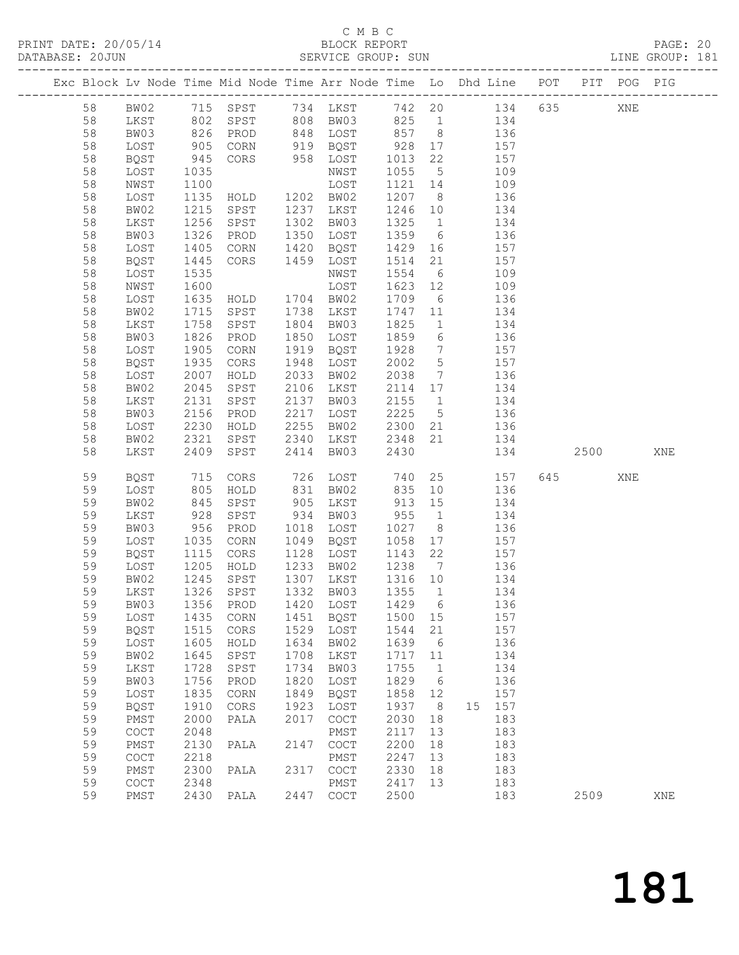| DATABASE: 20JUN |    |                                            |                      |                    |      | SERVICE GROUP: SUN                         |                      |                 | LINE GROUP: 181                                                                |     |           |     |     |  |
|-----------------|----|--------------------------------------------|----------------------|--------------------|------|--------------------------------------------|----------------------|-----------------|--------------------------------------------------------------------------------|-----|-----------|-----|-----|--|
|                 |    |                                            |                      |                    |      |                                            |                      |                 | Exc Block Lv Node Time Mid Node Time Arr Node Time Lo Dhd Line POT PIT POG PIG |     |           |     |     |  |
|                 | 58 |                                            |                      |                    |      |                                            |                      |                 | BW02 715 SPST 734 LKST 742 20 134 635 XNE                                      |     |           |     |     |  |
|                 | 58 | LKST                                       | 802                  |                    |      |                                            |                      |                 | SPST 808 BW03 825 1 134                                                        |     |           |     |     |  |
|                 | 58 | BW03                                       | 826<br>905<br>945    | PROD               |      |                                            |                      |                 | 848 LOST 857 8 136<br>919 BQST 928 17 157<br>958 LOST 1013 22 157              |     |           |     |     |  |
|                 | 58 | LOST                                       |                      | CORN               |      |                                            |                      |                 |                                                                                |     |           |     |     |  |
|                 | 58 | BQST                                       |                      | CORS               |      |                                            |                      |                 |                                                                                |     |           |     |     |  |
|                 | 58 | LOST                                       | 1035                 |                    |      | NWST                                       | 1055                 | 5 <sup>5</sup>  | 109                                                                            |     |           |     |     |  |
|                 | 58 | NWST                                       | 1100                 |                    |      | LOST                                       | 1121                 | 14              | 109                                                                            |     |           |     |     |  |
|                 | 58 | LOST                                       | 1135                 | HOLD 1202 BW02     |      |                                            | 1207 8               |                 | 136                                                                            |     |           |     |     |  |
|                 | 58 | BW02                                       | 1215                 | SPST               |      | 1237 LKST                                  | 1246 10              |                 | 134                                                                            |     |           |     |     |  |
|                 | 58 | LKST                                       | 1256                 | SPST               | 1302 | BW03                                       | 1325                 |                 | 1 134                                                                          |     |           |     |     |  |
|                 | 58 | BW03                                       | 1326                 | PROD               |      | 1350 LOST                                  | 1359                 |                 | 6 136                                                                          |     |           |     |     |  |
|                 | 58 | LOST                                       | 1405                 | CORN               |      | 1420 BQST                                  |                      |                 | 157                                                                            |     |           |     |     |  |
|                 | 58 | BQST                                       | $\frac{1}{1}$ 445    | CORS               |      | 1459 LOST                                  | 1429  16<br>1514  21 |                 | 157                                                                            |     |           |     |     |  |
|                 | 58 | LOST                                       | 1535                 |                    |      | NWST                                       | 1554                 |                 | 6 109                                                                          |     |           |     |     |  |
|                 | 58 | NWST                                       | 1600                 |                    |      | LOST                                       | 1623                 |                 | 12 109                                                                         |     |           |     |     |  |
|                 | 58 | LOST                                       | 1635                 | $HD$ $1704$ $BW02$ |      |                                            | 1709                 | 6               | 136                                                                            |     |           |     |     |  |
|                 | 58 | BW02                                       | 1715                 | SPST               |      | 1738 LKST                                  | 1747                 | 11              | 134                                                                            |     |           |     |     |  |
|                 | 58 | LKST                                       | 1758                 | SPST               |      | 1804 BW03                                  | 1825                 |                 | $1$ $134$                                                                      |     |           |     |     |  |
|                 | 58 | BW03                                       | 1826                 | PROD               |      | 1850 LOST                                  | 1859                 |                 | 6 136                                                                          |     |           |     |     |  |
|                 | 58 | LOST                                       |                      | CORN               |      | 1919 BQST                                  | 1928                 |                 | 157                                                                            |     |           |     |     |  |
|                 | 58 | <b>BQST</b>                                | 1905<br>1935         | CORS               |      | 1948 LOST                                  | 2002                 | 5 <sup>5</sup>  | $\frac{7}{1}$<br>157                                                           |     |           |     |     |  |
|                 | 58 | LOST                                       | 2007                 | HOLD               | 2033 | BW02                                       | 2038                 | $7\overline{ }$ | 136                                                                            |     |           |     |     |  |
|                 | 58 | BW02                                       | 2045                 | SPST               |      | 2106 LKST                                  |                      |                 | 2114 17 134                                                                    |     |           |     |     |  |
|                 | 58 | LKST                                       | 2131                 | SPST               |      | 2137 BW03                                  | 2155                 | 1               | 134                                                                            |     |           |     |     |  |
|                 | 58 | BW03                                       | 2156                 | PROD               |      | 2217 LOST                                  | 2225                 | 5 <sup>5</sup>  | 136                                                                            |     |           |     |     |  |
|                 | 58 | LOST                                       | 2230                 | HOLD               | 2255 | BW02                                       |                      |                 | 2300 21 136                                                                    |     |           |     |     |  |
|                 | 58 | BW02                                       | 2321                 | SPST               |      | 2340 LKST                                  | 2348                 |                 | 21 134                                                                         |     |           |     |     |  |
|                 | 58 | LKST                                       | 2409                 | SPST               | 2414 | BW03                                       | 2430                 |                 |                                                                                | 134 | 2500 000  |     | XNE |  |
|                 | 59 | BQST                                       | 715                  | CORS               |      | 726 LOST                                   | 740                  |                 | 25 157                                                                         |     | 645   100 | XNE |     |  |
|                 | 59 | LOST                                       | 805                  | HOLD               |      | 831 BW02                                   | 835                  |                 | 10 136                                                                         |     |           |     |     |  |
|                 | 59 | BW02                                       |                      | SPST               |      | 905 LKST                                   | 913                  | 15              | 134                                                                            |     |           |     |     |  |
|                 | 59 | LKST                                       | 845<br>928<br>956    | SPST               |      | 934 BW03                                   | 955                  | $\overline{1}$  | 134                                                                            |     |           |     |     |  |
|                 | 59 | BW03                                       |                      | PROD               |      | 1018 LOST                                  | 1027                 | 8 <sup>1</sup>  | 136                                                                            |     |           |     |     |  |
|                 | 59 | LOST                                       | 1035                 | CORN               |      | 1049 BQST                                  | 1058                 |                 | 17 157                                                                         |     |           |     |     |  |
|                 | 59 | BQST                                       |                      | CORS               |      | 1128 LOST                                  | 1143                 | 22              | 157                                                                            |     |           |     |     |  |
|                 | 59 | LOST                                       |                      | HOLD               |      | 1233 BW02                                  | 1238 7               |                 | 136                                                                            |     |           |     |     |  |
|                 | 59 | BW02                                       | 1115<br>1205<br>1245 | SPST               |      | 1307 LKST                                  | 1316 10              |                 | 134                                                                            |     |           |     |     |  |
|                 | 59 |                                            |                      |                    |      |                                            |                      |                 | LKST 1326 SPST 1332 BW03 1355 1 134                                            |     |           |     |     |  |
|                 | 59 | BW03                                       | 1356                 | PROD               | 1420 | LOST                                       | 1429                 | $6\overline{6}$ | 136                                                                            |     |           |     |     |  |
|                 | 59 | LOST                                       | 1435                 | CORN               | 1451 | BQST                                       | 1500 15              |                 | 157                                                                            |     |           |     |     |  |
|                 | 59 | BQST                                       | 1515                 | CORS               | 1529 | LOST                                       | 1544                 | 21              | 157                                                                            |     |           |     |     |  |
|                 | 59 | LOST                                       | 1605                 | HOLD               | 1634 | BW02                                       | 1639                 | $6\overline{6}$ | 136                                                                            |     |           |     |     |  |
|                 | 59 | BW02                                       | 1645                 | SPST               | 1708 | LKST                                       | 1717                 | 11              | 134                                                                            |     |           |     |     |  |
|                 | 59 | LKST                                       | 1728                 | SPST               | 1734 | BW03                                       | 1755                 | $\overline{1}$  | 134                                                                            |     |           |     |     |  |
|                 | 59 | BW03                                       | 1756                 | PROD               | 1820 | LOST                                       | 1829                 | $6\overline{6}$ | 136                                                                            |     |           |     |     |  |
|                 | 59 | LOST                                       | 1835                 | CORN               | 1849 | BQST                                       | 1858                 | 12              | 157                                                                            |     |           |     |     |  |
|                 | 59 | BQST                                       | 1910                 | CORS               | 1923 | LOST                                       | 1937                 | 8 <sup>8</sup>  | 15 157                                                                         |     |           |     |     |  |
|                 | 59 | PMST                                       | 2000                 | PALA               | 2017 | $\mathtt{C}\mathtt{O}\mathtt{C}\mathtt{T}$ | 2030                 | 18              | 183                                                                            |     |           |     |     |  |
|                 | 59 | $\mathtt{C}\mathtt{O}\mathtt{C}\mathtt{T}$ | 2048                 |                    |      | PMST                                       | 2117                 | 13              | 183                                                                            |     |           |     |     |  |
|                 | 59 | PMST                                       | 2130                 | PALA               | 2147 | $\mathtt{C}\mathtt{O}\mathtt{C}\mathtt{T}$ | 2200                 | 18              | 183                                                                            |     |           |     |     |  |
|                 | 59 | $\mathtt{C}\mathtt{O}\mathtt{C}\mathtt{T}$ | 2218                 |                    |      | PMST                                       | 2247                 | 13              | 183                                                                            |     |           |     |     |  |
|                 | 59 | PMST                                       | 2300                 | PALA               | 2317 | COCT                                       | 2330                 | 18              | 183                                                                            |     |           |     |     |  |
|                 | 59 | COCT                                       | 2348                 |                    |      | PMST                                       | 2417                 | 13              | 183                                                                            |     |           |     |     |  |
|                 | 59 | PMST                                       |                      | 2430 PALA          |      | 2447 COCT                                  | 2500                 |                 | 183                                                                            |     | 2509      |     | XNE |  |
|                 |    |                                            |                      |                    |      |                                            |                      |                 |                                                                                |     |           |     |     |  |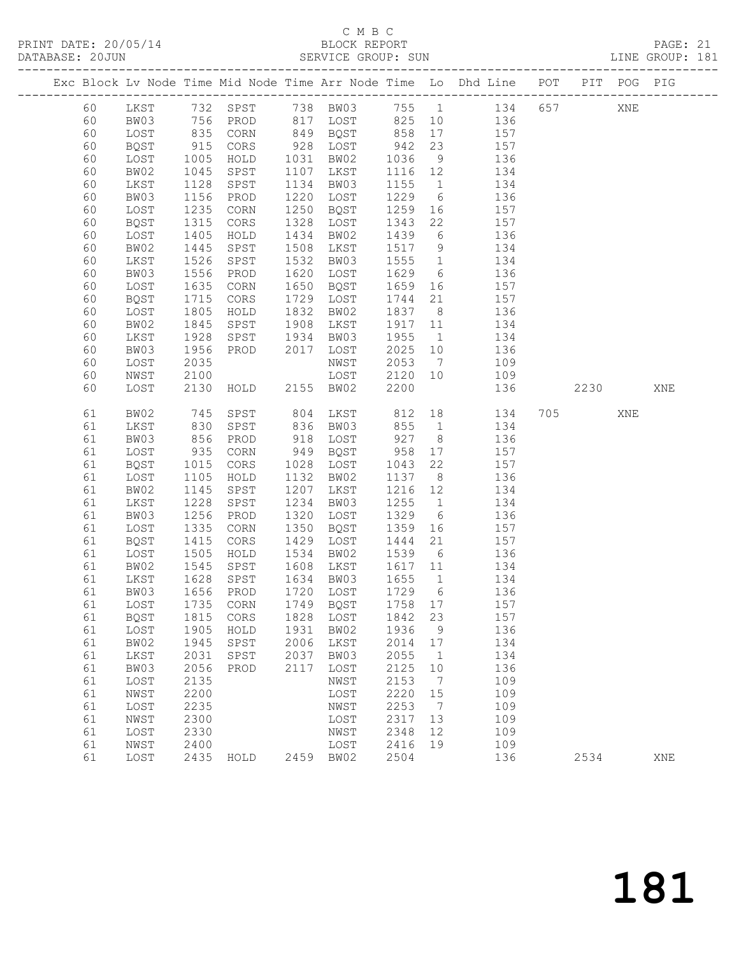| DATABASE: 20JUN |              |                    |                |      | SERVICE GROUP: SUN |              |                 | LINE GROUP: 181                                                                |           |     |     |  |
|-----------------|--------------|--------------------|----------------|------|--------------------|--------------|-----------------|--------------------------------------------------------------------------------|-----------|-----|-----|--|
|                 |              |                    |                |      |                    |              |                 | Exc Block Lv Node Time Mid Node Time Arr Node Time Lo Dhd Line POT PIT POG PIG |           |     |     |  |
| 60              |              |                    |                |      |                    |              |                 | LKST 732 SPST 738 BW03 755 1 134 657 XNE                                       |           |     |     |  |
| 60              | BW03         | 756                |                |      |                    |              |                 | PROD 817 LOST 825 10 136                                                       |           |     |     |  |
| 60              | LOST         |                    | CORN           |      | 849 BQST 858       |              |                 | $17 \qquad \qquad 157$                                                         |           |     |     |  |
| 60              | BQST         | 835<br>915<br>1005 | CORS           |      | 928 LOST           | $858$<br>942 | 23              | 157                                                                            |           |     |     |  |
| 60              | LOST         |                    | HOLD           |      | 1031 BW02          | 1036         |                 | $\frac{15}{9}$ 136                                                             |           |     |     |  |
| 60              | BW02         | 1045               | SPST           |      | 1107 LKST          | 1116 12      |                 | 134                                                                            |           |     |     |  |
| 60              | LKST         | 1128               | SPST           | 1134 | BW03               | 1155         | 1               | 134                                                                            |           |     |     |  |
| 60              | BW03         | 1156               | PROD           |      | 1220 LOST          | 1229         | 6               | 136                                                                            |           |     |     |  |
| 60              | LOST         | 1235               | CORN           |      | 1250 BQST          | 1259         | 16              | 157                                                                            |           |     |     |  |
| 60              | BQST         | 1315               | CORS           | 1328 | LOST               | 1343         | 22              | 157                                                                            |           |     |     |  |
| 60              | LOST         | 1405               | HOLD           | 1434 | BW02               | 1439         | $6\overline{6}$ | 136                                                                            |           |     |     |  |
| 60              | BW02         | 1445               | SPST           | 1508 | LKST               | 1517 9       |                 | 134                                                                            |           |     |     |  |
| 60              |              |                    |                | 1532 |                    | 1555         | $\overline{1}$  |                                                                                |           |     |     |  |
|                 | LKST<br>BW03 | 1526<br>1556       | SPST           | 1620 | BW03               | 1629         |                 | 134<br>6 136                                                                   |           |     |     |  |
| 60              |              |                    | PROD           |      | LOST               |              |                 |                                                                                |           |     |     |  |
| 60              | LOST         | 1635               | CORN           | 1650 | BQST               | 1659         | 16              | 157                                                                            |           |     |     |  |
| 60              | BQST         | 1715               | CORS           |      | 1729 LOST          | 1744         | 21              | 157                                                                            |           |     |     |  |
| 60              | LOST         | 1805               | HOLD           | 1832 | BW02               | 1837 8       |                 | 136<br>134                                                                     |           |     |     |  |
| 60              | BW02         | 1845               | SPST           | 1908 | LKST               | 1917         | 11              |                                                                                |           |     |     |  |
| 60              | LKST         | 1928               | SPST           | 1934 | BW03               | 1955         | $\overline{1}$  | 134                                                                            |           |     |     |  |
| 60              | BW03         | 1956               | PROD           | 2017 | LOST               | 2025         | 10              | 136                                                                            |           |     |     |  |
| 60              | LOST         | 2035               |                |      | NWST               | 2053         | $7\overline{ }$ | 109<br>109                                                                     |           |     |     |  |
| 60              | NWST         | 2100               |                |      | LOST               | 2120         | 10              |                                                                                |           |     |     |  |
| 60              | LOST         | 2130               | HOLD 2155 BW02 |      |                    | 2200         |                 | 136                                                                            | 2230      |     | XNE |  |
| 61              | BW02         | 745                | SPST           | 804  | LKST 812           |              |                 | 18 18<br>134                                                                   | 705 — 100 | XNE |     |  |
| 61              | LKST         | 830                | SPST           | 836  | BW03               | 855          |                 | 1<br>134                                                                       |           |     |     |  |
| 61              | BW03         | 856                | PROD           | 918  | LOST               | 927          | 8 <sup>8</sup>  | 136                                                                            |           |     |     |  |
| 61              | LOST         |                    | CORN           |      | 949 BQST           | 958          | 17              | 157                                                                            |           |     |     |  |
| 61              | BQST         | 935<br>1015        | CORS           |      | 1028 LOST          | 1043         | 22              | 157                                                                            |           |     |     |  |
| 61              | LOST         | 1105               | HOLD           |      | 1132 BW02          | 1137         |                 | 8 <sup>1</sup><br>136                                                          |           |     |     |  |
| 61              | BW02         | 1145               | SPST           | 1207 | LKST               | 1216 12      |                 | 134                                                                            |           |     |     |  |
| 61              | LKST         | 1228               | SPST           | 1234 | BW03               | 1255         | $\overline{1}$  | 134                                                                            |           |     |     |  |
| 61              | BW03         | 1256               | PROD           |      | 1320 LOST          | 1329         | 6               | 136                                                                            |           |     |     |  |
| 61              | LOST         | 1335               | CORN           | 1350 | BQST               | 1359         | 16              | 157                                                                            |           |     |     |  |
| 61              | BQST         | 1415               | CORS           | 1429 | LOST               | 1444         | 21              | 157                                                                            |           |     |     |  |
| 61              | LOST         | 1505               | HOLD           | 1534 | BW02               | 1539         | 6               | 136                                                                            |           |     |     |  |
| 61              | BW02         |                    | SPST           |      | 1608 LKST          | 1617 11      |                 | 134                                                                            |           |     |     |  |
| 61              | LKST         | 1545<br>1628       | SPST           |      | 1634 BW03          | 1655         | $\overline{1}$  | 134                                                                            |           |     |     |  |
| 61              |              |                    |                |      |                    |              |                 | BW03 1656 PROD 1720 LOST 1729 6 136                                            |           |     |     |  |
| 61              | LOST         | 1735               | CORN           | 1749 | BQST               | 1758 17      |                 | 157                                                                            |           |     |     |  |
| 61              | <b>BQST</b>  | 1815               | CORS           |      | 1828 LOST          | 1842         | 23              | 157                                                                            |           |     |     |  |
| 61              | LOST         | 1905               | HOLD           | 1931 | BW02               | 1936         | 9               | 136                                                                            |           |     |     |  |
| 61              | BW02         | 1945               | SPST           | 2006 | LKST               | 2014         | 17              | 134                                                                            |           |     |     |  |
| 61              | LKST         | 2031               | SPST           | 2037 | BW03               | 2055         | $\overline{1}$  | 134                                                                            |           |     |     |  |
| 61              | BW03         | 2056               | PROD           | 2117 | LOST               | 2125         | 10              | 136                                                                            |           |     |     |  |
| 61              | LOST         | 2135               |                |      | NWST               | 2153         | $\overline{7}$  | 109                                                                            |           |     |     |  |
| 61              | NWST         | 2200               |                |      | LOST               | 2220         | 15              | 109                                                                            |           |     |     |  |
| 61              | LOST         | 2235               |                |      | NWST               | 2253         | $\overline{7}$  | 109                                                                            |           |     |     |  |
| 61              | NWST         | 2300               |                |      | LOST               | 2317         | 13              | 109                                                                            |           |     |     |  |
| 61              | LOST         | 2330               |                |      | NWST               | 2348         | 12              | 109                                                                            |           |     |     |  |
| 61              | NWST         | 2400               |                |      | LOST               | 2416         | 19              | 109                                                                            |           |     |     |  |
| 61              | LOST         | 2435               | HOLD           |      | 2459 BW02          | 2504         |                 | 136                                                                            | 2534      |     | XNE |  |
|                 |              |                    |                |      |                    |              |                 |                                                                                |           |     |     |  |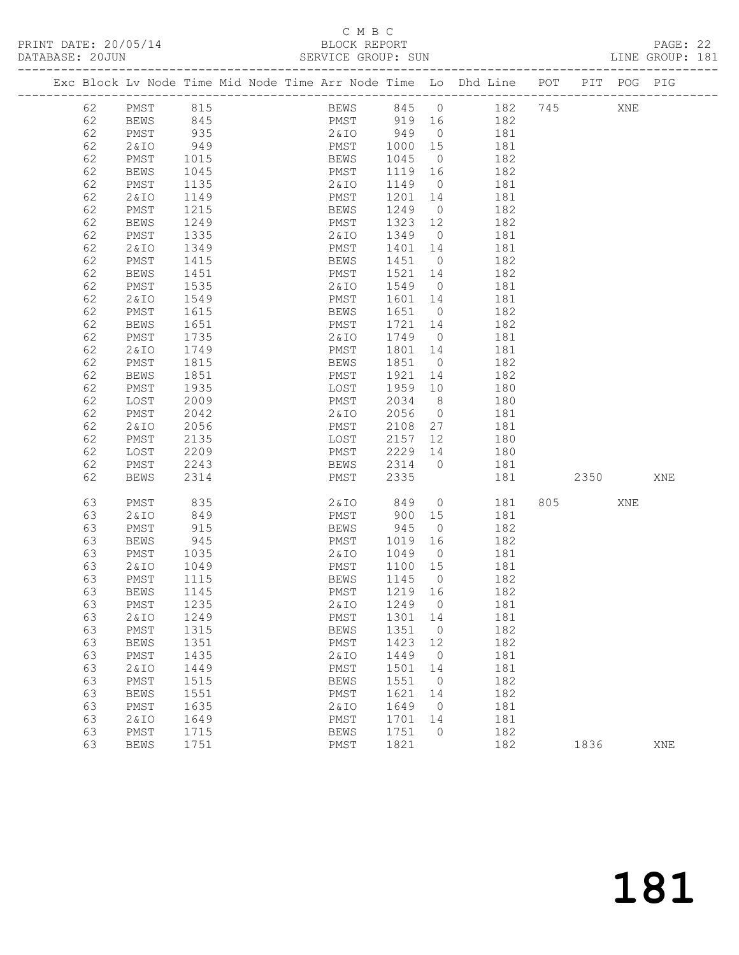PRINT DATE: 20/05/14 BLOCK REPORT<br>DATABASE: 20JUN SERVICE GROUP: SUN

# C M B C<br>BLOCK REPORT

PAGE: 22<br>LINE GROUP: 181

|  |          |                     |              |  |              |                             |                | Exc Block Lv Node Time Mid Node Time Arr Node Time Lo Dhd Line POT PIT POG PIG |     |      |     |     |
|--|----------|---------------------|--------------|--|--------------|-----------------------------|----------------|--------------------------------------------------------------------------------|-----|------|-----|-----|
|  | 62       | PMST                | 815          |  |              | BEWS 845 0                  |                | 182 745                                                                        |     |      | XNE |     |
|  | 62       | <b>BEWS</b>         | 845          |  |              |                             |                | PMST 919 16 182                                                                |     |      |     |     |
|  | 62       | PMST                | 935          |  |              | 2&IO 949 0                  |                | 181                                                                            |     |      |     |     |
|  | 62       | 2&IO                | 949          |  |              | PMST 1000 15<br>BEWS 1045 0 |                | 181                                                                            |     |      |     |     |
|  | 62       | PMST                | 1015         |  |              |                             | $\overline{0}$ | 182                                                                            |     |      |     |     |
|  | 62       | BEWS                | 1045         |  | PMST         | 1119 16                     |                | 182                                                                            |     |      |     |     |
|  | 62       | PMST                | 1135         |  | 2 & I O      | 1149 0                      |                | 181                                                                            |     |      |     |     |
|  | 62       | 2&IO                | 1149         |  | PMST         | 1201 14                     |                | 181                                                                            |     |      |     |     |
|  | 62       | PMST                | 1215         |  | BEWS         | 1249                        | $\overline{0}$ | 182                                                                            |     |      |     |     |
|  | 62       | <b>BEWS</b>         | 1249         |  | PMST         | 1323 12                     |                | 182                                                                            |     |      |     |     |
|  | 62       | PMST                | 1335         |  | 2 & I O      | 1349 0                      |                | 181                                                                            |     |      |     |     |
|  | 62       | 2&IO                | 1349         |  | PMST         | 1401 14                     |                | 181                                                                            |     |      |     |     |
|  | 62       | PMST                | 1415         |  | BEWS         | 1451 0                      |                | 182                                                                            |     |      |     |     |
|  | 62       | BEWS                | 1451         |  | PMST         | 1521 14                     |                | 182                                                                            |     |      |     |     |
|  | 62       | PMST                | 1535         |  | 2 & I O      | 1549 0                      |                | 181                                                                            |     |      |     |     |
|  | 62       | 2&IO                | 1549         |  | PMST<br>BEWS | 1601 14                     |                | 181                                                                            |     |      |     |     |
|  | 62<br>62 | PMST                | 1615<br>1651 |  |              | 1651 0<br>1721 14           |                | 182<br>182                                                                     |     |      |     |     |
|  | 62       | <b>BEWS</b><br>PMST | 1735         |  | PMST<br>2&10 | 1749 0                      |                | 181                                                                            |     |      |     |     |
|  | 62       | 2&IO                | 1749         |  | PMST         | 1801 14                     |                | 181                                                                            |     |      |     |     |
|  | 62       | PMST                | 1815         |  | BEWS         | 1851 0                      |                | 182                                                                            |     |      |     |     |
|  | 62       | BEWS                | 1851         |  | PMST         | 1921 14                     |                | 182                                                                            |     |      |     |     |
|  | 62       | PMST                | 1935         |  | LOST         | 1959 10                     |                | 180                                                                            |     |      |     |     |
|  | 62       | LOST                | 2009         |  | PMST         | 2034                        | 8 <sup>8</sup> | 180                                                                            |     |      |     |     |
|  | 62       | PMST                | 2042         |  | 2&IO         | 2056                        | $\overline{0}$ | 181                                                                            |     |      |     |     |
|  | 62       | 2&IO                | 2056         |  | PMST         | 2108 27                     |                | 181                                                                            |     |      |     |     |
|  | 62       | PMST                | 2135         |  | LOST         | 2157 12                     |                | 180                                                                            |     |      |     |     |
|  | 62       | LOST                | 2209         |  | PMST         | 2229 14                     |                | 180                                                                            |     |      |     |     |
|  | 62       | PMST                | 2243         |  | <b>BEWS</b>  | 2314 0                      |                | 181                                                                            |     |      |     |     |
|  | 62       | <b>BEWS</b>         | 2314         |  | PMST         | 2335                        |                | 181                                                                            |     | 2350 |     | XNE |
|  | 63       | PMST                | 835          |  |              | 2&IO 849                    |                | $\overline{0}$<br>181                                                          | 805 |      | XNE |     |
|  | 63       | 2&IO                | 849          |  | PMST         | 900 15                      |                | 181                                                                            |     |      |     |     |
|  | 63       | PMST                | 915          |  | BEWS         | 945                         | $\overline{0}$ | 182                                                                            |     |      |     |     |
|  | 63       | <b>BEWS</b>         | 945          |  | PMST         | 1019 16                     |                | 182                                                                            |     |      |     |     |
|  | 63       | PMST                | 1035         |  | 2 & I O      | 1049                        | $\overline{0}$ | 181                                                                            |     |      |     |     |
|  | 63       | 2&IO                | 1049         |  | PMST         | 1100 15                     |                | 181                                                                            |     |      |     |     |
|  | 63       | PMST                | 1115         |  | BEWS         | 1145 0                      |                | 182                                                                            |     |      |     |     |
|  | 63       | BEWS                | 1145         |  | PMST         | 1219 16                     |                | 182                                                                            |     |      |     |     |
|  | 63       | PMST                | 1235         |  | 2&IO         | 1249                        | 0              | 181                                                                            |     |      |     |     |
|  | 63       | <b>2&amp;IO</b>     | 1249         |  | PMST         | 1301                        | 14             | 181                                                                            |     |      |     |     |
|  | 63       | PMST                | 1315         |  | <b>BEWS</b>  | 1351                        | $\circ$        | 182                                                                            |     |      |     |     |
|  | 63       | <b>BEWS</b>         | 1351         |  | PMST         | 1423                        | 12             | 182                                                                            |     |      |     |     |
|  | 63       | PMST                | 1435         |  | 2 & IO       | 1449                        | $\circ$        | 181                                                                            |     |      |     |     |
|  | 63       | <b>2&amp;IO</b>     | 1449         |  | PMST         | 1501                        | 14             | 181                                                                            |     |      |     |     |
|  | 63       | PMST                | 1515         |  | <b>BEWS</b>  | 1551                        | $\circ$        | 182                                                                            |     |      |     |     |
|  | 63       | <b>BEWS</b>         | 1551         |  | PMST         | 1621                        | 14             | 182                                                                            |     |      |     |     |
|  | 63       | PMST                | 1635         |  | 2 & IO       | 1649                        | $\circ$        | 181                                                                            |     |      |     |     |
|  | 63       | <b>2&amp;IO</b>     | 1649         |  | PMST         | 1701                        | 14             | 181                                                                            |     |      |     |     |
|  | 63       | PMST                | 1715         |  | <b>BEWS</b>  | 1751                        | $\circ$        | 182                                                                            |     |      |     |     |
|  | 63       | <b>BEWS</b>         | 1751         |  | PMST         | 1821                        |                | 182                                                                            |     | 1836 |     | XNE |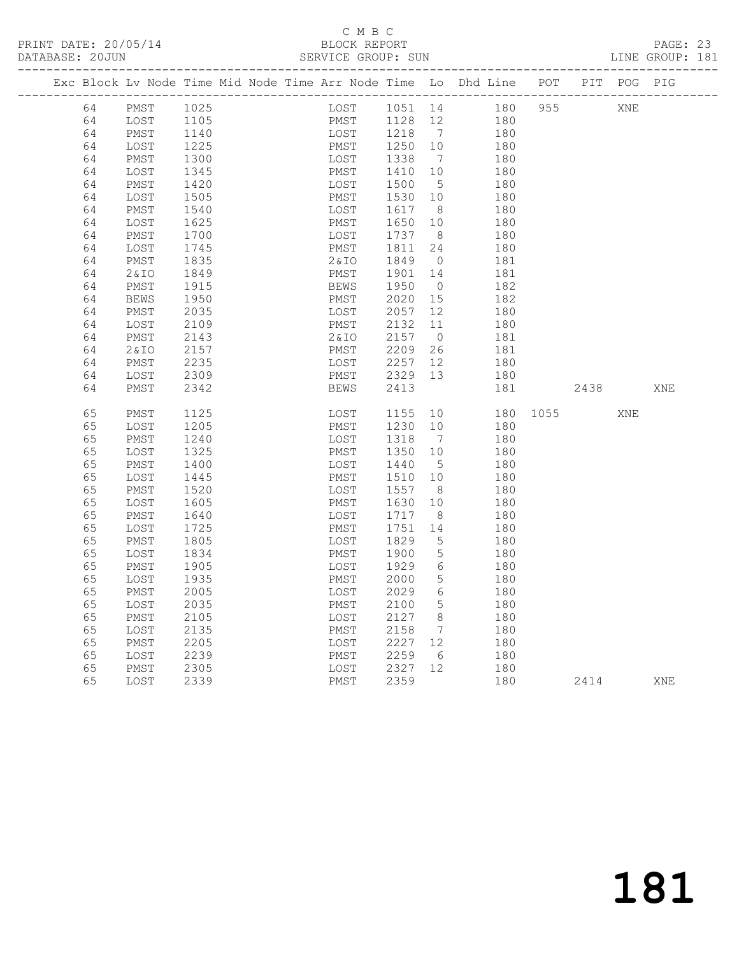|  | DATABASE: 20JUN |              |              |  | SERVICE GROUP: SUN                                                             |              |                 |            |          |      |     | LINE GROUP: 181 |
|--|-----------------|--------------|--------------|--|--------------------------------------------------------------------------------|--------------|-----------------|------------|----------|------|-----|-----------------|
|  |                 |              |              |  | Exc Block Lv Node Time Mid Node Time Arr Node Time Lo Dhd Line POT PIT POG PIG |              |                 |            |          |      |     |                 |
|  | 64              | PMST         | 1025         |  | LOST 1051 14 180 955 XNE                                                       |              |                 |            |          |      |     |                 |
|  | 64              | LOST         | 1105         |  | PMST 1128 12 180                                                               |              |                 |            |          |      |     |                 |
|  | 64              | PMST         | 1140         |  | LOST 1218 7 180                                                                |              |                 |            |          |      |     |                 |
|  | 64              | LOST         | 1225         |  | PMST                                                                           | 1250 10      |                 | 180        |          |      |     |                 |
|  | 64              | PMST         | 1300         |  | LOST                                                                           | 1338         | $\overline{7}$  | 180        |          |      |     |                 |
|  | 64              | LOST         | 1345         |  | PMST                                                                           | 1410         | 10              | 180        |          |      |     |                 |
|  | 64              | PMST         | 1420         |  | LOST                                                                           | 1500         | $5^{\circ}$     | 180        |          |      |     |                 |
|  | 64              | LOST         | 1505         |  | PMST                                                                           | 1530 10      |                 | 180        |          |      |     |                 |
|  | 64              | PMST         | 1540         |  | LOST                                                                           | 1617 8       |                 | 180        |          |      |     |                 |
|  | 64              | LOST         | 1625         |  | PMST                                                                           | 1650         | 10              | 180        |          |      |     |                 |
|  | 64              | PMST         | 1700         |  | LOST                                                                           | 1737         | 8 <sup>8</sup>  | 180        |          |      |     |                 |
|  | 64              | LOST         | 1745         |  | PMST                                                                           | 1811         | 24              | 180        |          |      |     |                 |
|  | 64              | PMST         | 1835         |  | 2 & I O                                                                        | 1849         | $\overline{0}$  | 181        |          |      |     |                 |
|  | 64              | 2& IO        | 1849         |  | PMST                                                                           | 1901 14      |                 | 181        |          |      |     |                 |
|  | 64              | PMST         | 1915         |  | BEWS                                                                           | 1950         | $\overline{0}$  | 182        |          |      |     |                 |
|  | 64              | BEWS         | 1950         |  | PMST                                                                           | 2020         | 15              | 182        |          |      |     |                 |
|  | 64              | PMST         | 2035         |  | LOST                                                                           | 2057         | 12              | 180        |          |      |     |                 |
|  | 64              | LOST         | 2109         |  | PMST                                                                           | 2132 11      |                 | 180        |          |      |     |                 |
|  | 64              | PMST         | 2143         |  | 2 & I O                                                                        | 2157         | $\overline{0}$  | 181        |          |      |     |                 |
|  | 64              | 2&IO         | 2157         |  | PMST                                                                           | 2209         | 26              | 181        |          |      |     |                 |
|  | 64              | PMST         | 2235         |  | LOST                                                                           | 2257         | 12              | 180        |          |      |     |                 |
|  | 64              | LOST         | 2309         |  | PMST                                                                           | 2329 13      |                 | 180        |          |      |     |                 |
|  | 64              | PMST         | 2342         |  | BEWS                                                                           | 2413         |                 | 181        |          | 2438 |     | XNE             |
|  | 65              | PMST         | 1125         |  | LOST                                                                           | 1155 10      |                 |            | 180 1055 |      | XNE |                 |
|  | 65              | LOST         | 1205         |  | PMST                                                                           | 1230 10      |                 | 180        |          |      |     |                 |
|  | 65              | PMST         | 1240         |  | LOST                                                                           | 1318         | $\overline{7}$  | 180        |          |      |     |                 |
|  | 65              | LOST         | 1325         |  | PMST                                                                           | 1350         | 10              | 180        |          |      |     |                 |
|  | 65              | PMST         | 1400         |  | LOST                                                                           | 1440         | 5 <sup>5</sup>  | 180        |          |      |     |                 |
|  | 65              | LOST         | 1445         |  | PMST                                                                           | 1510         | 10              | 180        |          |      |     |                 |
|  | 65              | PMST         | 1520         |  | LOST                                                                           | 1557         | 8 <sup>8</sup>  | 180        |          |      |     |                 |
|  | 65              | LOST         | 1605         |  | PMST                                                                           | 1630         | 10              | 180        |          |      |     |                 |
|  | 65              | PMST         | 1640         |  | LOST                                                                           | 1717         | 8 <sup>8</sup>  | 180        |          |      |     |                 |
|  | 65              | LOST         | 1725         |  | PMST                                                                           | 1751         | 14              | 180        |          |      |     |                 |
|  | 65              | PMST         | 1805         |  | LOST                                                                           | 1829         | $5^{\circ}$     | 180        |          |      |     |                 |
|  | 65              | LOST         | 1834         |  | PMST                                                                           | 1900         | $5\overline{)}$ | 180        |          |      |     |                 |
|  | 65              | PMST         | 1905         |  | LOST                                                                           | 1929         | $6\overline{6}$ | 180        |          |      |     |                 |
|  | 65              | LOST         | 1935         |  | PMST                                                                           | 2000         | 5               | 180        |          |      |     |                 |
|  | 65              | PMST         | 2005         |  | LOST 2029                                                                      |              | 6               | 180        |          |      |     |                 |
|  | 65              | LOST         | 2035         |  | PMST                                                                           | 2100         | 5               | 180        |          |      |     |                 |
|  | 65              | PMST         | 2105         |  | LOST                                                                           | 2127         | 8               | 180        |          |      |     |                 |
|  | 65<br>65        | LOST         | 2135<br>2205 |  | PMST                                                                           | 2158<br>2227 | $\overline{7}$  | 180<br>180 |          |      |     |                 |
|  | 65              | PMST<br>LOST | 2239         |  | LOST<br>PMST                                                                   | 2259         | 12<br>6         | 180        |          |      |     |                 |
|  | 65              | PMST         | 2305         |  | LOST                                                                           | 2327         | 12              | 180        |          |      |     |                 |
|  | 65              |              | 2339         |  | ${\tt PMST}$                                                                   | 2359         |                 | 180        |          | 2414 |     | XNE             |
|  |                 | LOST         |              |  |                                                                                |              |                 |            |          |      |     |                 |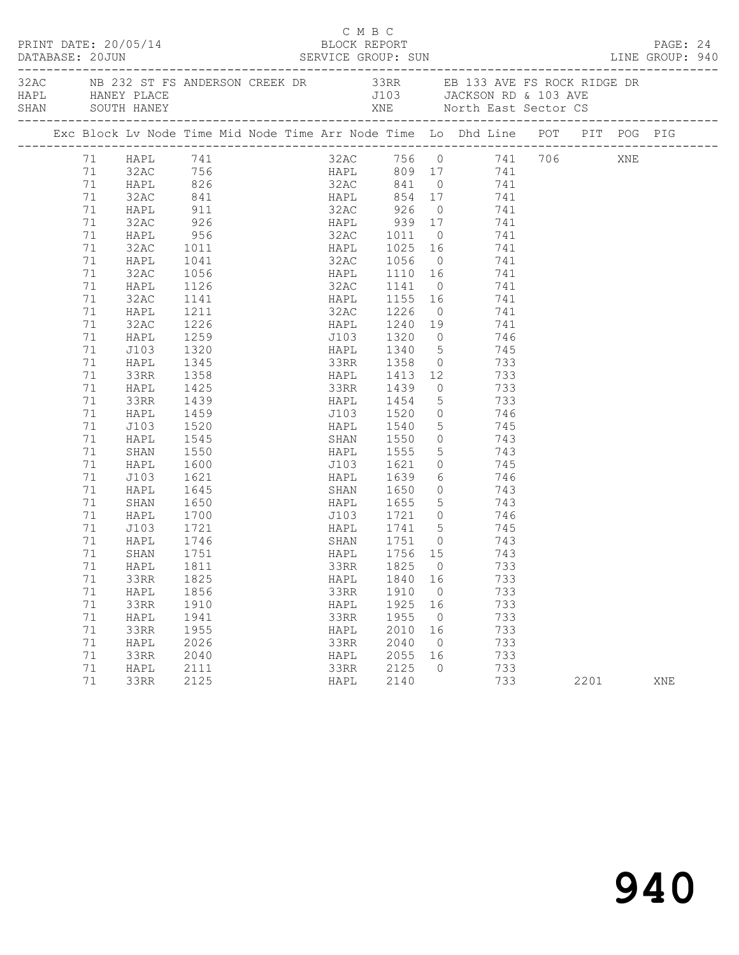| PRINT DATE: 20/05/14<br>DATABASE: 20JUN |  |                                                                                                              |              |                      |  |  | C M B C<br>BLOCK REPORT<br>DATABASE: 20JUN SERVICE GROUP: SUN LINE GROUP: 940 |  |                             |                           |                                                                                                                                                                                                                                                                                                                                         |  |      |  |     | PAGE: 24 |
|-----------------------------------------|--|--------------------------------------------------------------------------------------------------------------|--------------|----------------------|--|--|-------------------------------------------------------------------------------|--|-----------------------------|---------------------------|-----------------------------------------------------------------------------------------------------------------------------------------------------------------------------------------------------------------------------------------------------------------------------------------------------------------------------------------|--|------|--|-----|----------|
|                                         |  | 32AC NB 232 ST FS ANDERSON CREEK DR 33RR EB 133 AVE FS ROCK RIDGE DR<br>HAPL HANEY PLACE<br>SHAN SOUTH HANEY |              |                      |  |  |                                                                               |  |                             | J103 JACKSON RD & 103 AVE |                                                                                                                                                                                                                                                                                                                                         |  |      |  |     |          |
|                                         |  |                                                                                                              |              |                      |  |  |                                                                               |  |                             |                           | Exc Block Lv Node Time Mid Node Time Arr Node Time Lo Dhd Line POT PIT POG PIG                                                                                                                                                                                                                                                          |  |      |  |     |          |
|                                         |  |                                                                                                              |              |                      |  |  |                                                                               |  |                             |                           | 32AC 756 0 741 706 XNE<br>HAPL 809 17 741<br>32AC 841 0 741<br>1 HAPL 741<br>1 HAPL 741<br>22AC 756<br>23AC 756<br>23AC 756<br>23AC 756<br>23AC 841<br>23AC 841<br>23AC 841<br>23AC 841<br>23AC 841<br>23AC 841<br>23AC 841<br>23AC 841<br>23AC 841<br>23AC 926<br>23AC 926<br>23AC 926<br>23AC 926<br>23AC 926<br>23AC 926<br>23AC 926 |  |      |  |     |          |
|                                         |  |                                                                                                              |              |                      |  |  |                                                                               |  |                             |                           |                                                                                                                                                                                                                                                                                                                                         |  |      |  |     |          |
|                                         |  |                                                                                                              |              |                      |  |  |                                                                               |  |                             |                           |                                                                                                                                                                                                                                                                                                                                         |  |      |  |     |          |
|                                         |  |                                                                                                              |              |                      |  |  |                                                                               |  |                             |                           |                                                                                                                                                                                                                                                                                                                                         |  |      |  |     |          |
|                                         |  |                                                                                                              |              |                      |  |  |                                                                               |  |                             |                           |                                                                                                                                                                                                                                                                                                                                         |  |      |  |     |          |
|                                         |  |                                                                                                              |              |                      |  |  |                                                                               |  |                             |                           |                                                                                                                                                                                                                                                                                                                                         |  |      |  |     |          |
|                                         |  |                                                                                                              |              |                      |  |  |                                                                               |  |                             |                           |                                                                                                                                                                                                                                                                                                                                         |  |      |  |     |          |
|                                         |  |                                                                                                              |              |                      |  |  |                                                                               |  |                             |                           |                                                                                                                                                                                                                                                                                                                                         |  |      |  |     |          |
|                                         |  | 71                                                                                                           | HAPL         | 1041                 |  |  |                                                                               |  |                             |                           | 32AC 1056 0 741                                                                                                                                                                                                                                                                                                                         |  |      |  |     |          |
|                                         |  | 71                                                                                                           | 32AC<br>HAPL | 1056<br>1126<br>1141 |  |  |                                                                               |  | HAPL 1110 16<br>32AC 1141 0 |                           | $741$                                                                                                                                                                                                                                                                                                                                   |  |      |  |     |          |
|                                         |  | 71                                                                                                           |              |                      |  |  |                                                                               |  |                             |                           | 741                                                                                                                                                                                                                                                                                                                                     |  |      |  |     |          |
|                                         |  | 71                                                                                                           | 32AC         |                      |  |  |                                                                               |  |                             |                           | HAPL 1155 16 741                                                                                                                                                                                                                                                                                                                        |  |      |  |     |          |
|                                         |  | 71                                                                                                           | HAPL         | 1211                 |  |  |                                                                               |  | 32AC 1226                   |                           | $0$ 741                                                                                                                                                                                                                                                                                                                                 |  |      |  |     |          |
|                                         |  | 71                                                                                                           | 32AC         | 1226                 |  |  |                                                                               |  |                             |                           |                                                                                                                                                                                                                                                                                                                                         |  |      |  |     |          |
|                                         |  | 71                                                                                                           | HAPL         | 1259<br>1320         |  |  |                                                                               |  |                             |                           |                                                                                                                                                                                                                                                                                                                                         |  |      |  |     |          |
|                                         |  | 71                                                                                                           | J103         |                      |  |  |                                                                               |  |                             |                           | HAPL 1340 5 745                                                                                                                                                                                                                                                                                                                         |  |      |  |     |          |
|                                         |  | 71                                                                                                           | HAPL         | 1345                 |  |  |                                                                               |  |                             |                           | 33RR 1358 0 733                                                                                                                                                                                                                                                                                                                         |  |      |  |     |          |
|                                         |  | 71                                                                                                           | 33RR         | 1358                 |  |  |                                                                               |  |                             |                           |                                                                                                                                                                                                                                                                                                                                         |  |      |  |     |          |
|                                         |  | 71                                                                                                           | HAPL<br>33RR | 1425<br>1439         |  |  |                                                                               |  |                             |                           | 12 1413 12 733<br>33RR 1439 0 733<br>1454 5 733                                                                                                                                                                                                                                                                                         |  |      |  |     |          |
|                                         |  | 71                                                                                                           |              | 1459                 |  |  |                                                                               |  |                             |                           |                                                                                                                                                                                                                                                                                                                                         |  |      |  |     |          |
|                                         |  | 71<br>71                                                                                                     | HAPL         | 1520                 |  |  |                                                                               |  |                             |                           | J103 1520 0 746                                                                                                                                                                                                                                                                                                                         |  |      |  |     |          |
|                                         |  | 71                                                                                                           | J103<br>HAPL | 1545                 |  |  |                                                                               |  | HAPL 1540                   | $\overline{0}$            | 5 745                                                                                                                                                                                                                                                                                                                                   |  |      |  |     |          |
|                                         |  | 71                                                                                                           |              | 1550                 |  |  |                                                                               |  | SHAN 1550<br>HAPL 1555      |                           | $\begin{array}{ccc} 0 & 743 \\ 5 & 743 \end{array}$                                                                                                                                                                                                                                                                                     |  |      |  |     |          |
|                                         |  | 71                                                                                                           | SHAN<br>HAPL | 1600                 |  |  |                                                                               |  | J103 1621                   |                           | $0$ 745                                                                                                                                                                                                                                                                                                                                 |  |      |  |     |          |
|                                         |  | 71                                                                                                           | J103         | 1621                 |  |  |                                                                               |  |                             |                           | 6 746                                                                                                                                                                                                                                                                                                                                   |  |      |  |     |          |
|                                         |  | 71                                                                                                           | HAPL         |                      |  |  |                                                                               |  | HAPL 1639                   |                           |                                                                                                                                                                                                                                                                                                                                         |  |      |  |     |          |
|                                         |  | 71                                                                                                           | SHAN         |                      |  |  |                                                                               |  |                             |                           |                                                                                                                                                                                                                                                                                                                                         |  |      |  |     |          |
|                                         |  | 71                                                                                                           | HAPL         |                      |  |  |                                                                               |  |                             |                           |                                                                                                                                                                                                                                                                                                                                         |  |      |  |     |          |
|                                         |  | 71                                                                                                           | J103         | 1721                 |  |  |                                                                               |  |                             |                           | HAPL 1741 5 745                                                                                                                                                                                                                                                                                                                         |  |      |  |     |          |
|                                         |  | 71                                                                                                           | HAPL         |                      |  |  |                                                                               |  |                             |                           |                                                                                                                                                                                                                                                                                                                                         |  |      |  |     |          |
|                                         |  | 71                                                                                                           | SHAN         | 1746<br>1751         |  |  |                                                                               |  | SHAN 1751 0<br>HAPL 1756 15 |                           | 743<br>743                                                                                                                                                                                                                                                                                                                              |  |      |  |     |          |
|                                         |  | 71                                                                                                           | HAPL 1811    |                      |  |  |                                                                               |  | 33RR 1825 0                 |                           | 733                                                                                                                                                                                                                                                                                                                                     |  |      |  |     |          |
|                                         |  | 71                                                                                                           | 33RR         | 1825                 |  |  | HAPL                                                                          |  | 1840 16                     |                           | 733                                                                                                                                                                                                                                                                                                                                     |  |      |  |     |          |
|                                         |  | 71                                                                                                           | HAPL         | 1856                 |  |  | 33RR                                                                          |  | 1910                        | $\overline{0}$            | 733                                                                                                                                                                                                                                                                                                                                     |  |      |  |     |          |
|                                         |  | 71                                                                                                           | 33RR         | 1910                 |  |  | HAPL                                                                          |  | 1925                        | 16                        | 733                                                                                                                                                                                                                                                                                                                                     |  |      |  |     |          |
|                                         |  | 71                                                                                                           | HAPL         | 1941                 |  |  | 33RR                                                                          |  | 1955                        | $\overline{0}$            | 733                                                                                                                                                                                                                                                                                                                                     |  |      |  |     |          |
|                                         |  | 71                                                                                                           | 33RR         | 1955                 |  |  | HAPL                                                                          |  | 2010                        | 16                        | 733                                                                                                                                                                                                                                                                                                                                     |  |      |  |     |          |
|                                         |  | 71                                                                                                           | HAPL         | 2026                 |  |  | 33RR                                                                          |  | 2040                        | $\overline{0}$            | 733                                                                                                                                                                                                                                                                                                                                     |  |      |  |     |          |
|                                         |  | 71                                                                                                           | 33RR         | 2040                 |  |  | HAPL                                                                          |  | 2055                        | 16                        | 733                                                                                                                                                                                                                                                                                                                                     |  |      |  |     |          |
|                                         |  | 71                                                                                                           | HAPL         | 2111                 |  |  | 33RR                                                                          |  | 2125                        | $\circ$                   | 733                                                                                                                                                                                                                                                                                                                                     |  |      |  |     |          |
|                                         |  | 71                                                                                                           | 33RR         | 2125                 |  |  | HAPL                                                                          |  | 2140                        |                           | 733                                                                                                                                                                                                                                                                                                                                     |  | 2201 |  | XNE |          |
|                                         |  |                                                                                                              |              |                      |  |  |                                                                               |  |                             |                           |                                                                                                                                                                                                                                                                                                                                         |  |      |  |     |          |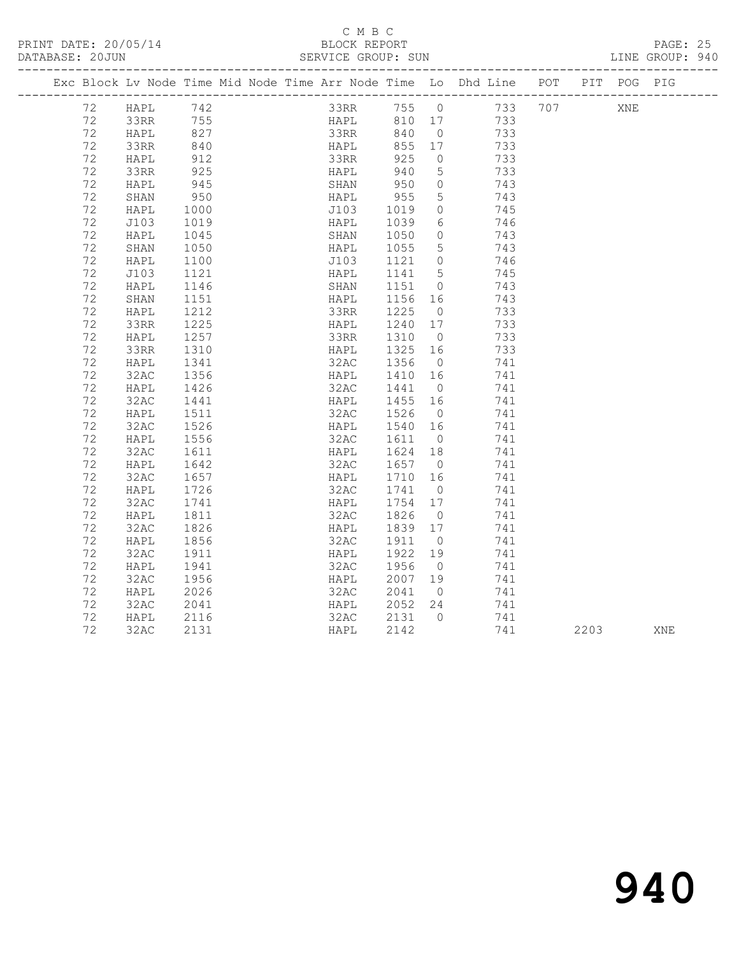# C M B C<br>BLOCK REPORT

PAGE: 25<br>LINE GROUP: 940

|         |      |                  |                                  |                             |         |                 | Exc Block Lv Node Time Mid Node Time Arr Node Time Lo Dhd Line POT PIT POG PIG |      |     |     |
|---------|------|------------------|----------------------------------|-----------------------------|---------|-----------------|--------------------------------------------------------------------------------|------|-----|-----|
| 72 HAPL |      |                  | HAPL 742<br>33RR 755<br>HAPL 827 |                             |         |                 | 33RR 755 0 733 707<br>HAPL 810 17 733<br>33RR 840 0 733                        |      | XNE |     |
| 72      |      |                  |                                  |                             |         |                 |                                                                                |      |     |     |
| 72      |      |                  |                                  |                             |         |                 |                                                                                |      |     |     |
| 72      | 33RR | 840<br>912       |                                  |                             |         |                 | 733                                                                            |      |     |     |
| 72      | HAPL |                  |                                  |                             |         |                 | 733                                                                            |      |     |     |
| 72      | 33RR | 925              |                                  | HAPL 940                    |         | $5^{\circ}$     | 733                                                                            |      |     |     |
| 72      | HAPL | 945<br>950       |                                  | SHAN 950<br>HAPL 955        |         | $\overline{0}$  | 743                                                                            |      |     |     |
| 72      | SHAN |                  |                                  |                             |         | 5 <sup>5</sup>  | 743                                                                            |      |     |     |
| 72      | HAPL | 1000             |                                  | J103 1019                   |         | $\overline{0}$  | 745                                                                            |      |     |     |
| 72      | J103 | 1019<br>1045     |                                  | HAPL 1039<br>SHAN 1050      |         | 6               | 746                                                                            |      |     |     |
| 72      | HAPL | 1045             |                                  |                             |         | $\overline{0}$  | 743                                                                            |      |     |     |
| 72      | SHAN | 1050             |                                  | HAPL 1055                   |         | $5\overline{)}$ | 743                                                                            |      |     |     |
| 72      | HAPL | 1100             |                                  | J103 1121 0<br>HAPL 1141 5  |         | $\overline{0}$  | 746                                                                            |      |     |     |
| 72      | J103 | 1121             |                                  |                             |         |                 | 745                                                                            |      |     |     |
| 72      | HAPL | 1146             |                                  | SHAN 1151                   |         |                 | 0 743                                                                          |      |     |     |
| 72      | SHAN | 1151             |                                  |                             |         |                 | 743                                                                            |      |     |     |
| 72      | HAPL | 1212             |                                  |                             |         |                 | 733                                                                            |      |     |     |
| 72      | 33RR | 1225             |                                  | HAPL 1240                   |         | 17              | 733                                                                            |      |     |     |
| 72      | HAPL | 1257             |                                  | 33RR 1310 0<br>HAPL 1325 16 |         |                 | 733                                                                            |      |     |     |
| 72      | 33RR | 1310             |                                  |                             |         |                 | 733                                                                            |      |     |     |
| 72      | HAPL | 1341             |                                  | 32AC 1356                   |         | $\overline{0}$  | 741                                                                            |      |     |     |
| 72      | 32AC | 1356             |                                  | HAPL 1410 16                |         |                 | 741                                                                            |      |     |     |
| 72      | HAPL | 1426             |                                  | 32AC 1441                   |         | $\overline{0}$  | 741                                                                            |      |     |     |
| 72      | 32AC | 1441             |                                  | HAPL 1455 16<br>32AC 1526 0 |         |                 | 741                                                                            |      |     |     |
| 72      | HAPL | 1511             |                                  |                             |         |                 | 741                                                                            |      |     |     |
| 72      | 32AC | 1526             |                                  | HAPL 1540 16                |         |                 | 741                                                                            |      |     |     |
| 72      | HAPL | $1556$<br>$1611$ |                                  | 32AC 1611 0<br>HAPL 1624 18 |         |                 | 741                                                                            |      |     |     |
| 72      | 32AC | 1611             |                                  |                             |         |                 | 741                                                                            |      |     |     |
| 72      | HAPL | 1642             |                                  | 32AC 1657 0                 |         |                 | 741                                                                            |      |     |     |
| 72      | 32AC | 1657             |                                  |                             |         |                 | 741                                                                            |      |     |     |
| 72      | HAPL | 1726             |                                  |                             |         |                 | 741                                                                            |      |     |     |
| 72      | 32AC | 1741             |                                  | HAPL                        | 1754 17 |                 | 741                                                                            |      |     |     |
| 72      | HAPL | 1811             |                                  | 32AC 1826 0<br>HAPL 1839 17 |         | $\overline{0}$  | 741                                                                            |      |     |     |
| 72      | 32AC | 1826             |                                  |                             |         |                 | 741                                                                            |      |     |     |
| 72      | HAPL | 1856             |                                  | 32AC                        | 1911    | $\overline{0}$  | 741                                                                            |      |     |     |
| 72      | 32AC | 1911             |                                  | HAPL                        | 1922 19 |                 | 741                                                                            |      |     |     |
| 72      | HAPL | 1941             |                                  | $32AC$ $1956$ 0             |         |                 | 741                                                                            |      |     |     |
| 72      | 32AC | 1956             |                                  | HAPL 2007 19                |         |                 | 741                                                                            |      |     |     |
| 72      | HAPL | 2026             |                                  | 32AC 2041                   |         | $\overline{0}$  | 741                                                                            |      |     |     |
| 72      | 32AC | 2041             |                                  | HAPL 2052 24                |         |                 | 741                                                                            |      |     |     |
| 72      | HAPL | 2116             |                                  | 32AC 2131 0                 |         |                 | 741                                                                            |      |     |     |
| 72      | 32AC | 2131             |                                  | HAPL                        | 2142    |                 | 741                                                                            | 2203 |     | XNE |